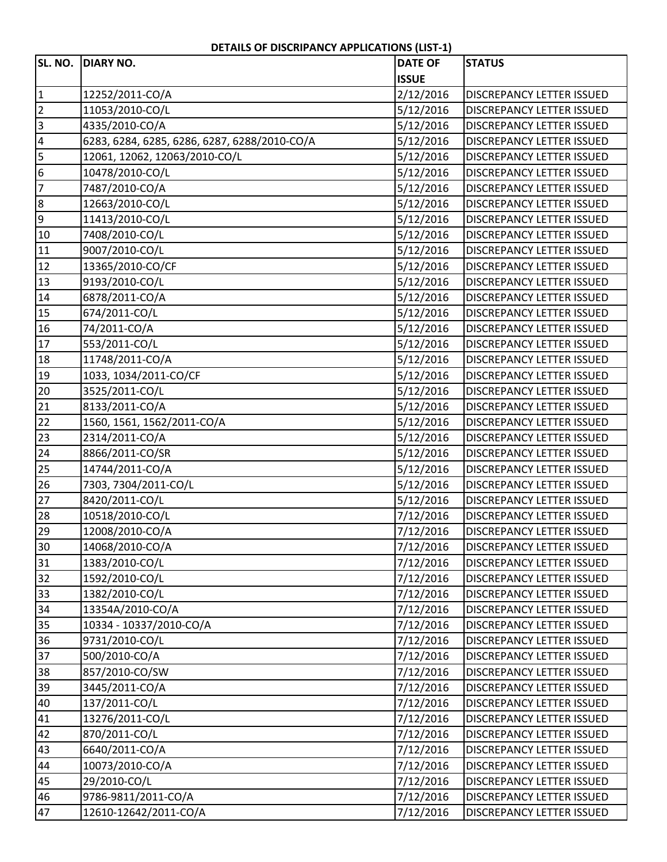## **DETAILS OF DISCRIPANCY APPLICATIONS (LIST‐1)**

|                 | SL. NO. DIARY NO.                            | <b>DATE OF</b> | <b>STATUS</b>                    |
|-----------------|----------------------------------------------|----------------|----------------------------------|
|                 |                                              | <b>ISSUE</b>   |                                  |
| $\overline{1}$  | 12252/2011-CO/A                              | 2/12/2016      | <b>DISCREPANCY LETTER ISSUED</b> |
| $\overline{2}$  | 11053/2010-CO/L                              | 5/12/2016      | <b>DISCREPANCY LETTER ISSUED</b> |
| $\frac{1}{2}$   | 4335/2010-CO/A                               | 5/12/2016      | <b>DISCREPANCY LETTER ISSUED</b> |
|                 | 6283, 6284, 6285, 6286, 6287, 6288/2010-CO/A | 5/12/2016      | <b>DISCREPANCY LETTER ISSUED</b> |
| 5               | 12061, 12062, 12063/2010-CO/L                | 5/12/2016      | DISCREPANCY LETTER ISSUED        |
| $6\overline{6}$ | 10478/2010-CO/L                              | 5/12/2016      | <b>DISCREPANCY LETTER ISSUED</b> |
| $\overline{7}$  | 7487/2010-CO/A                               | 5/12/2016      | <b>DISCREPANCY LETTER ISSUED</b> |
| 8               | 12663/2010-CO/L                              | 5/12/2016      | <b>DISCREPANCY LETTER ISSUED</b> |
| $\overline{9}$  | 11413/2010-CO/L                              | 5/12/2016      | <b>DISCREPANCY LETTER ISSUED</b> |
| 10              | 7408/2010-CO/L                               | 5/12/2016      | DISCREPANCY LETTER ISSUED        |
| 11              | 9007/2010-CO/L                               | 5/12/2016      | <b>DISCREPANCY LETTER ISSUED</b> |
| 12              | 13365/2010-CO/CF                             | 5/12/2016      | <b>DISCREPANCY LETTER ISSUED</b> |
| 13              | 9193/2010-CO/L                               | 5/12/2016      | <b>DISCREPANCY LETTER ISSUED</b> |
| 14              | 6878/2011-CO/A                               | 5/12/2016      | <b>DISCREPANCY LETTER ISSUED</b> |
| 15              | 674/2011-CO/L                                | 5/12/2016      | <b>DISCREPANCY LETTER ISSUED</b> |
| 16              | 74/2011-CO/A                                 | 5/12/2016      | <b>DISCREPANCY LETTER ISSUED</b> |
| 17              | 553/2011-CO/L                                | 5/12/2016      | <b>DISCREPANCY LETTER ISSUED</b> |
| 18              | 11748/2011-CO/A                              | 5/12/2016      | <b>DISCREPANCY LETTER ISSUED</b> |
| $\overline{19}$ | 1033, 1034/2011-CO/CF                        | 5/12/2016      | <b>DISCREPANCY LETTER ISSUED</b> |
| 20              | 3525/2011-CO/L                               | 5/12/2016      | <b>DISCREPANCY LETTER ISSUED</b> |
| $\overline{21}$ | 8133/2011-CO/A                               | 5/12/2016      | <b>DISCREPANCY LETTER ISSUED</b> |
| 22              | 1560, 1561, 1562/2011-CO/A                   | 5/12/2016      | <b>DISCREPANCY LETTER ISSUED</b> |
| 23              | 2314/2011-CO/A                               | 5/12/2016      | <b>DISCREPANCY LETTER ISSUED</b> |
| 24              | 8866/2011-CO/SR                              | 5/12/2016      | <b>DISCREPANCY LETTER ISSUED</b> |
| 25              | 14744/2011-CO/A                              | 5/12/2016      | <b>DISCREPANCY LETTER ISSUED</b> |
| 26              | 7303, 7304/2011-CO/L                         | 5/12/2016      | <b>DISCREPANCY LETTER ISSUED</b> |
| 27              | 8420/2011-CO/L                               | 5/12/2016      | <b>DISCREPANCY LETTER ISSUED</b> |
| 28              | 10518/2010-CO/L                              | 7/12/2016      | DISCREPANCY LETTER ISSUED        |
| 29              | 12008/2010-CO/A                              | 7/12/2016      | <b>DISCREPANCY LETTER ISSUED</b> |
| 30              | 14068/2010-CO/A                              | 7/12/2016      | <b>DISCREPANCY LETTER ISSUED</b> |
| 31              | 1383/2010-CO/L                               | 7/12/2016      | DISCREPANCY LETTER ISSUED        |
| 32              | 1592/2010-CO/L                               | 7/12/2016      | <b>DISCREPANCY LETTER ISSUED</b> |
| 33              | 1382/2010-CO/L                               | 7/12/2016      | DISCREPANCY LETTER ISSUED        |
| 34              | 13354A/2010-CO/A                             | 7/12/2016      | <b>DISCREPANCY LETTER ISSUED</b> |
| 35              | 10334 - 10337/2010-CO/A                      | 7/12/2016      | <b>DISCREPANCY LETTER ISSUED</b> |
| 36              | 9731/2010-CO/L                               | 7/12/2016      | <b>DISCREPANCY LETTER ISSUED</b> |
| 37              | 500/2010-CO/A                                | 7/12/2016      | <b>DISCREPANCY LETTER ISSUED</b> |
| 38              | 857/2010-CO/SW                               | 7/12/2016      | DISCREPANCY LETTER ISSUED        |
| 39              | 3445/2011-CO/A                               | 7/12/2016      | <b>DISCREPANCY LETTER ISSUED</b> |
| 40              | 137/2011-CO/L                                | 7/12/2016      | DISCREPANCY LETTER ISSUED        |
| 41              | 13276/2011-CO/L                              | 7/12/2016      | <b>DISCREPANCY LETTER ISSUED</b> |
| 42              | 870/2011-CO/L                                | 7/12/2016      | <b>DISCREPANCY LETTER ISSUED</b> |
| 43              | 6640/2011-CO/A                               | 7/12/2016      | <b>DISCREPANCY LETTER ISSUED</b> |
| 44              | 10073/2010-CO/A                              | 7/12/2016      | DISCREPANCY LETTER ISSUED        |
| 45              | 29/2010-CO/L                                 | 7/12/2016      | <b>DISCREPANCY LETTER ISSUED</b> |
| 46              | 9786-9811/2011-CO/A                          | 7/12/2016      | DISCREPANCY LETTER ISSUED        |
| 47              | 12610-12642/2011-CO/A                        | 7/12/2016      | <b>DISCREPANCY LETTER ISSUED</b> |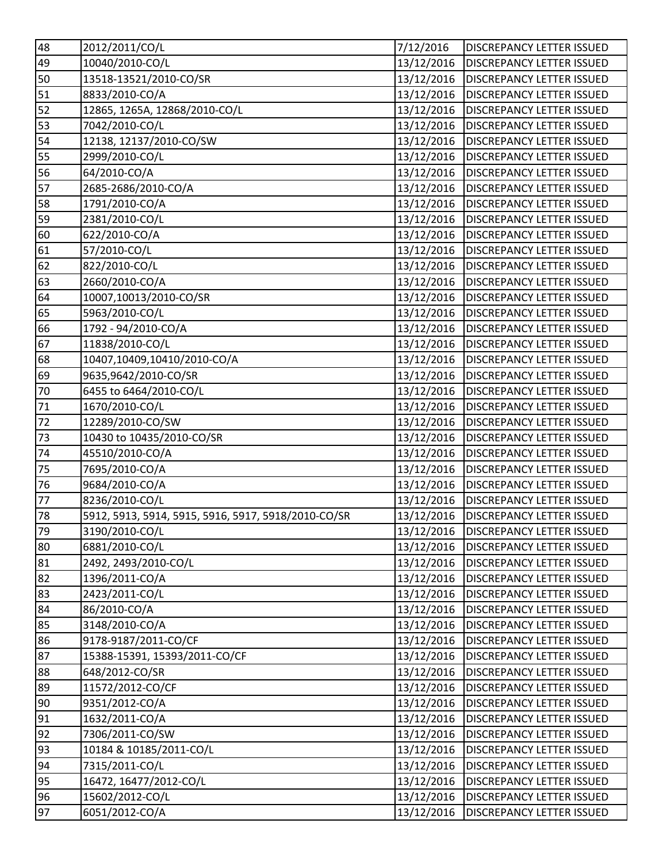| 48 | 2012/2011/CO/L                                      | 7/12/2016  | <b>DISCREPANCY LETTER ISSUED</b> |
|----|-----------------------------------------------------|------------|----------------------------------|
| 49 | 10040/2010-CO/L                                     | 13/12/2016 | <b>DISCREPANCY LETTER ISSUED</b> |
| 50 | 13518-13521/2010-CO/SR                              | 13/12/2016 | <b>DISCREPANCY LETTER ISSUED</b> |
| 51 | 8833/2010-CO/A                                      | 13/12/2016 | <b>DISCREPANCY LETTER ISSUED</b> |
| 52 | 12865, 1265A, 12868/2010-CO/L                       | 13/12/2016 | <b>DISCREPANCY LETTER ISSUED</b> |
| 53 | 7042/2010-CO/L                                      | 13/12/2016 | <b>DISCREPANCY LETTER ISSUED</b> |
| 54 | 12138, 12137/2010-CO/SW                             | 13/12/2016 | <b>DISCREPANCY LETTER ISSUED</b> |
| 55 | 2999/2010-CO/L                                      | 13/12/2016 | <b>DISCREPANCY LETTER ISSUED</b> |
| 56 | 64/2010-CO/A                                        | 13/12/2016 | <b>DISCREPANCY LETTER ISSUED</b> |
| 57 | 2685-2686/2010-CO/A                                 | 13/12/2016 | <b>DISCREPANCY LETTER ISSUED</b> |
| 58 | 1791/2010-CO/A                                      | 13/12/2016 | <b>DISCREPANCY LETTER ISSUED</b> |
| 59 | 2381/2010-CO/L                                      | 13/12/2016 | <b>DISCREPANCY LETTER ISSUED</b> |
| 60 | 622/2010-CO/A                                       | 13/12/2016 | <b>DISCREPANCY LETTER ISSUED</b> |
| 61 | 57/2010-CO/L                                        | 13/12/2016 | <b>DISCREPANCY LETTER ISSUED</b> |
| 62 | 822/2010-CO/L                                       | 13/12/2016 | <b>DISCREPANCY LETTER ISSUED</b> |
| 63 | 2660/2010-CO/A                                      | 13/12/2016 | <b>DISCREPANCY LETTER ISSUED</b> |
| 64 | 10007,10013/2010-CO/SR                              | 13/12/2016 | <b>DISCREPANCY LETTER ISSUED</b> |
| 65 | 5963/2010-CO/L                                      | 13/12/2016 | <b>DISCREPANCY LETTER ISSUED</b> |
| 66 | 1792 - 94/2010-CO/A                                 | 13/12/2016 | <b>DISCREPANCY LETTER ISSUED</b> |
| 67 | 11838/2010-CO/L                                     | 13/12/2016 | <b>DISCREPANCY LETTER ISSUED</b> |
| 68 | 10407,10409,10410/2010-CO/A                         | 13/12/2016 | <b>DISCREPANCY LETTER ISSUED</b> |
| 69 | 9635,9642/2010-CO/SR                                | 13/12/2016 | <b>DISCREPANCY LETTER ISSUED</b> |
| 70 | 6455 to 6464/2010-CO/L                              | 13/12/2016 | <b>DISCREPANCY LETTER ISSUED</b> |
| 71 | 1670/2010-CO/L                                      | 13/12/2016 | <b>DISCREPANCY LETTER ISSUED</b> |
| 72 | 12289/2010-CO/SW                                    | 13/12/2016 | <b>DISCREPANCY LETTER ISSUED</b> |
| 73 | 10430 to 10435/2010-CO/SR                           | 13/12/2016 | <b>DISCREPANCY LETTER ISSUED</b> |
| 74 | 45510/2010-CO/A                                     | 13/12/2016 | <b>DISCREPANCY LETTER ISSUED</b> |
| 75 | 7695/2010-CO/A                                      | 13/12/2016 | <b>DISCREPANCY LETTER ISSUED</b> |
| 76 | 9684/2010-CO/A                                      | 13/12/2016 | <b>DISCREPANCY LETTER ISSUED</b> |
| 77 | 8236/2010-CO/L                                      | 13/12/2016 | <b>DISCREPANCY LETTER ISSUED</b> |
| 78 | 5912, 5913, 5914, 5915, 5916, 5917, 5918/2010-CO/SR | 13/12/2016 | <b>DISCREPANCY LETTER ISSUED</b> |
| 79 | 3190/2010-CO/L                                      | 13/12/2016 | <b>DISCREPANCY LETTER ISSUED</b> |
| 80 | 6881/2010-CO/L                                      | 13/12/2016 | <b>DISCREPANCY LETTER ISSUED</b> |
| 81 | 2492, 2493/2010-CO/L                                | 13/12/2016 | <b>DISCREPANCY LETTER ISSUED</b> |
| 82 | 1396/2011-CO/A                                      | 13/12/2016 | <b>DISCREPANCY LETTER ISSUED</b> |
| 83 | 2423/2011-CO/L                                      | 13/12/2016 | <b>DISCREPANCY LETTER ISSUED</b> |
| 84 | 86/2010-CO/A                                        | 13/12/2016 | <b>DISCREPANCY LETTER ISSUED</b> |
| 85 | 3148/2010-CO/A                                      | 13/12/2016 | <b>DISCREPANCY LETTER ISSUED</b> |
| 86 | 9178-9187/2011-CO/CF                                | 13/12/2016 | <b>DISCREPANCY LETTER ISSUED</b> |
| 87 | 15388-15391, 15393/2011-CO/CF                       | 13/12/2016 | <b>DISCREPANCY LETTER ISSUED</b> |
| 88 | 648/2012-CO/SR                                      | 13/12/2016 | <b>DISCREPANCY LETTER ISSUED</b> |
| 89 | 11572/2012-CO/CF                                    | 13/12/2016 | <b>DISCREPANCY LETTER ISSUED</b> |
| 90 | 9351/2012-CO/A                                      | 13/12/2016 | <b>DISCREPANCY LETTER ISSUED</b> |
| 91 | 1632/2011-CO/A                                      | 13/12/2016 | <b>DISCREPANCY LETTER ISSUED</b> |
| 92 | 7306/2011-CO/SW                                     | 13/12/2016 | <b>DISCREPANCY LETTER ISSUED</b> |
| 93 | 10184 & 10185/2011-CO/L                             | 13/12/2016 | <b>DISCREPANCY LETTER ISSUED</b> |
| 94 | 7315/2011-CO/L                                      | 13/12/2016 | <b>DISCREPANCY LETTER ISSUED</b> |
| 95 | 16472, 16477/2012-CO/L                              | 13/12/2016 | <b>DISCREPANCY LETTER ISSUED</b> |
| 96 | 15602/2012-CO/L                                     | 13/12/2016 | <b>DISCREPANCY LETTER ISSUED</b> |
| 97 | 6051/2012-CO/A                                      | 13/12/2016 | <b>DISCREPANCY LETTER ISSUED</b> |
|    |                                                     |            |                                  |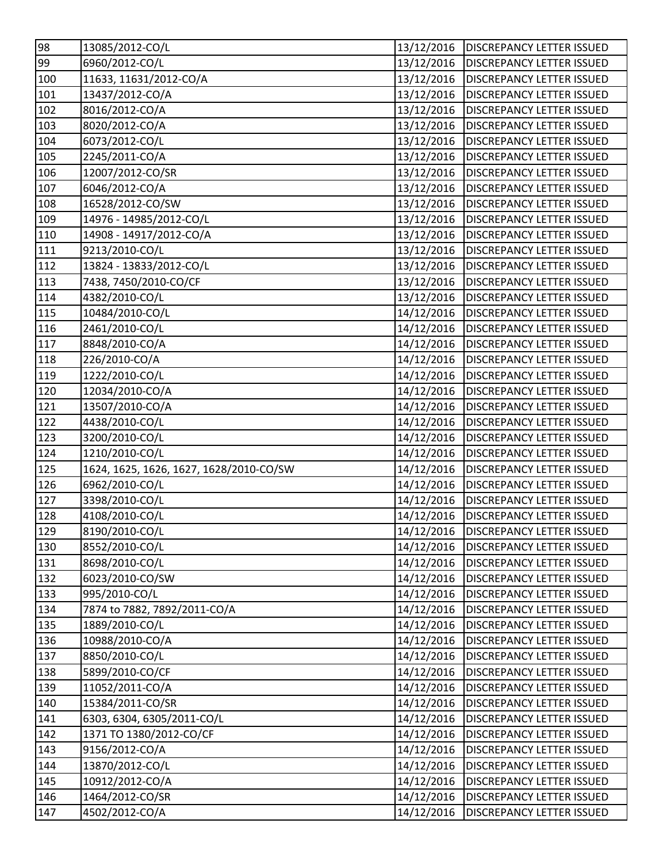| 98                     | 13085/2012-CO/L                         | 13/12/2016 | <b>DISCREPANCY LETTER ISSUED</b> |
|------------------------|-----------------------------------------|------------|----------------------------------|
| 99                     | 6960/2012-CO/L                          | 13/12/2016 | <b>DISCREPANCY LETTER ISSUED</b> |
| 100                    | 11633, 11631/2012-CO/A                  | 13/12/2016 | <b>DISCREPANCY LETTER ISSUED</b> |
| 101                    | 13437/2012-CO/A                         | 13/12/2016 | <b>DISCREPANCY LETTER ISSUED</b> |
| 102                    | 8016/2012-CO/A                          | 13/12/2016 | <b>DISCREPANCY LETTER ISSUED</b> |
| 103                    | 8020/2012-CO/A                          | 13/12/2016 | <b>DISCREPANCY LETTER ISSUED</b> |
| 104                    | 6073/2012-CO/L                          | 13/12/2016 | <b>DISCREPANCY LETTER ISSUED</b> |
| 105                    | 2245/2011-CO/A                          | 13/12/2016 | <b>DISCREPANCY LETTER ISSUED</b> |
| 106                    | 12007/2012-CO/SR                        | 13/12/2016 | <b>DISCREPANCY LETTER ISSUED</b> |
| 107                    | 6046/2012-CO/A                          | 13/12/2016 | <b>DISCREPANCY LETTER ISSUED</b> |
| 108                    | 16528/2012-CO/SW                        | 13/12/2016 | <b>DISCREPANCY LETTER ISSUED</b> |
| 109                    | 14976 - 14985/2012-CO/L                 | 13/12/2016 | <b>DISCREPANCY LETTER ISSUED</b> |
| $\overline{1}10$       | 14908 - 14917/2012-CO/A                 | 13/12/2016 | <b>DISCREPANCY LETTER ISSUED</b> |
| 111                    | 9213/2010-CO/L                          | 13/12/2016 | <b>DISCREPANCY LETTER ISSUED</b> |
| 112                    | 13824 - 13833/2012-CO/L                 | 13/12/2016 | <b>DISCREPANCY LETTER ISSUED</b> |
| $\overline{1}13$       | 7438, 7450/2010-CO/CF                   | 13/12/2016 | <b>DISCREPANCY LETTER ISSUED</b> |
| 114                    | 4382/2010-CO/L                          | 13/12/2016 | <b>DISCREPANCY LETTER ISSUED</b> |
| 115                    | 10484/2010-CO/L                         | 14/12/2016 | <b>DISCREPANCY LETTER ISSUED</b> |
| 116                    | 2461/2010-CO/L                          | 14/12/2016 | <b>DISCREPANCY LETTER ISSUED</b> |
| 117                    | 8848/2010-CO/A                          | 14/12/2016 | <b>DISCREPANCY LETTER ISSUED</b> |
| 118                    | 226/2010-CO/A                           | 14/12/2016 | <b>DISCREPANCY LETTER ISSUED</b> |
| 119                    | 1222/2010-CO/L                          | 14/12/2016 | <b>DISCREPANCY LETTER ISSUED</b> |
| 120                    | 12034/2010-CO/A                         | 14/12/2016 | <b>DISCREPANCY LETTER ISSUED</b> |
| $\overline{121}$       | 13507/2010-CO/A                         | 14/12/2016 | <b>DISCREPANCY LETTER ISSUED</b> |
| 122                    | 4438/2010-CO/L                          | 14/12/2016 | <b>DISCREPANCY LETTER ISSUED</b> |
|                        |                                         |            |                                  |
|                        | 3200/2010-CO/L                          | 14/12/2016 | <b>DISCREPANCY LETTER ISSUED</b> |
| 123<br>124             | 1210/2010-CO/L                          | 14/12/2016 | <b>DISCREPANCY LETTER ISSUED</b> |
| 125                    | 1624, 1625, 1626, 1627, 1628/2010-CO/SW | 14/12/2016 | <b>DISCREPANCY LETTER ISSUED</b> |
| 126                    | 6962/2010-CO/L                          | 14/12/2016 | <b>DISCREPANCY LETTER ISSUED</b> |
| 127                    | 3398/2010-CO/L                          | 14/12/2016 | <b>DISCREPANCY LETTER ISSUED</b> |
| 128                    | 4108/2010-CO/L                          | 14/12/2016 | <b>DISCREPANCY LETTER ISSUED</b> |
| 129                    | 8190/2010-CO/L                          | 14/12/2016 | <b>DISCREPANCY LETTER ISSUED</b> |
| 130                    | 8552/2010-CO/L                          | 14/12/2016 | <b>DISCREPANCY LETTER ISSUED</b> |
|                        | 8698/2010-CO/L                          | 14/12/2016 | <b>DISCREPANCY LETTER ISSUED</b> |
| 131<br>132             | 6023/2010-CO/SW                         | 14/12/2016 | <b>DISCREPANCY LETTER ISSUED</b> |
| 133                    | 995/2010-CO/L                           | 14/12/2016 | <b>DISCREPANCY LETTER ISSUED</b> |
| 134                    | 7874 to 7882, 7892/2011-CO/A            | 14/12/2016 | <b>DISCREPANCY LETTER ISSUED</b> |
| 135                    | 1889/2010-CO/L                          | 14/12/2016 | <b>DISCREPANCY LETTER ISSUED</b> |
| 136                    | 10988/2010-CO/A                         | 14/12/2016 | <b>DISCREPANCY LETTER ISSUED</b> |
|                        | 8850/2010-CO/L                          | 14/12/2016 | <b>DISCREPANCY LETTER ISSUED</b> |
| 137<br>138             | 5899/2010-CO/CF                         | 14/12/2016 | <b>DISCREPANCY LETTER ISSUED</b> |
|                        | 11052/2011-CO/A                         | 14/12/2016 | <b>DISCREPANCY LETTER ISSUED</b> |
| $\frac{139}{2}$<br>140 | 15384/2011-CO/SR                        | 14/12/2016 | <b>DISCREPANCY LETTER ISSUED</b> |
| 141                    | 6303, 6304, 6305/2011-CO/L              | 14/12/2016 | <b>DISCREPANCY LETTER ISSUED</b> |
| 142                    | 1371 TO 1380/2012-CO/CF                 | 14/12/2016 | <b>DISCREPANCY LETTER ISSUED</b> |
| 143                    | 9156/2012-CO/A                          | 14/12/2016 | <b>DISCREPANCY LETTER ISSUED</b> |
| $\sqrt{144}$           | 13870/2012-CO/L                         | 14/12/2016 | <b>DISCREPANCY LETTER ISSUED</b> |
| 145                    | 10912/2012-CO/A                         | 14/12/2016 | <b>DISCREPANCY LETTER ISSUED</b> |
| $\frac{146}{5}$        | 1464/2012-CO/SR                         | 14/12/2016 | <b>DISCREPANCY LETTER ISSUED</b> |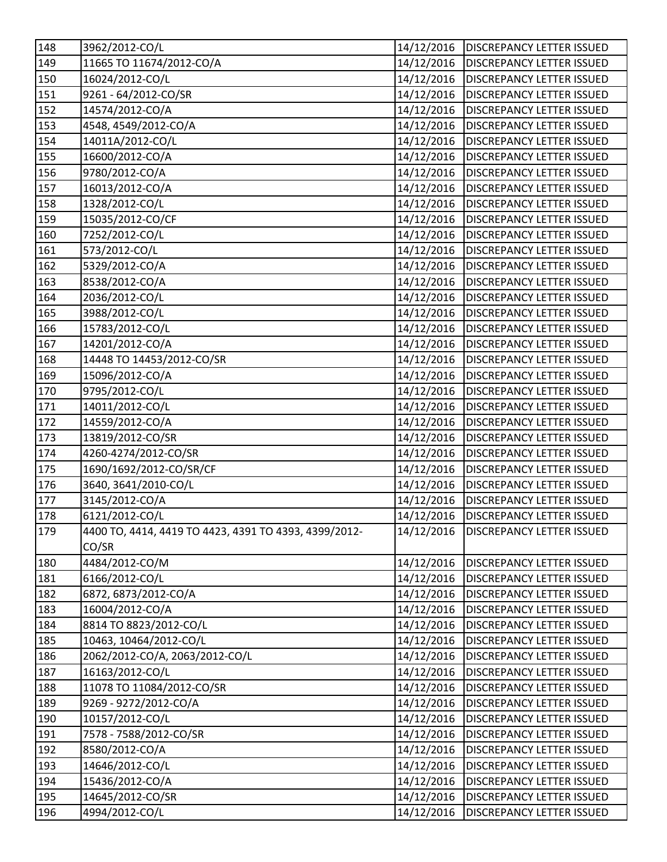| 148          | 3962/2012-CO/L                                        | 14/12/2016 | <b>DISCREPANCY LETTER ISSUED</b> |
|--------------|-------------------------------------------------------|------------|----------------------------------|
| 149          | 11665 TO 11674/2012-CO/A                              | 14/12/2016 | <b>DISCREPANCY LETTER ISSUED</b> |
| 150          | 16024/2012-CO/L                                       | 14/12/2016 | <b>DISCREPANCY LETTER ISSUED</b> |
| 151          | 9261 - 64/2012-CO/SR                                  | 14/12/2016 | <b>DISCREPANCY LETTER ISSUED</b> |
| 152          | 14574/2012-CO/A                                       | 14/12/2016 | <b>DISCREPANCY LETTER ISSUED</b> |
| 153          | 4548, 4549/2012-CO/A                                  | 14/12/2016 | <b>DISCREPANCY LETTER ISSUED</b> |
| 154          | 14011A/2012-CO/L                                      | 14/12/2016 | <b>DISCREPANCY LETTER ISSUED</b> |
| 155          | 16600/2012-CO/A                                       | 14/12/2016 | <b>DISCREPANCY LETTER ISSUED</b> |
| 156          | 9780/2012-CO/A                                        | 14/12/2016 | <b>DISCREPANCY LETTER ISSUED</b> |
| 157          | 16013/2012-CO/A                                       | 14/12/2016 | <b>DISCREPANCY LETTER ISSUED</b> |
| 158          | 1328/2012-CO/L                                        | 14/12/2016 | <b>DISCREPANCY LETTER ISSUED</b> |
| 159          | 15035/2012-CO/CF                                      | 14/12/2016 | <b>DISCREPANCY LETTER ISSUED</b> |
| 160          | 7252/2012-CO/L                                        | 14/12/2016 | <b>DISCREPANCY LETTER ISSUED</b> |
| 161          | 573/2012-CO/L                                         | 14/12/2016 | <b>DISCREPANCY LETTER ISSUED</b> |
| 162          | 5329/2012-CO/A                                        | 14/12/2016 | <b>DISCREPANCY LETTER ISSUED</b> |
| 163          | 8538/2012-CO/A                                        | 14/12/2016 | <b>DISCREPANCY LETTER ISSUED</b> |
| 164          | 2036/2012-CO/L                                        | 14/12/2016 | <b>DISCREPANCY LETTER ISSUED</b> |
| 165          | 3988/2012-CO/L                                        | 14/12/2016 | <b>DISCREPANCY LETTER ISSUED</b> |
| 166          | 15783/2012-CO/L                                       | 14/12/2016 | <b>DISCREPANCY LETTER ISSUED</b> |
| 167          | 14201/2012-CO/A                                       | 14/12/2016 | <b>DISCREPANCY LETTER ISSUED</b> |
| 168          | 14448 TO 14453/2012-CO/SR                             | 14/12/2016 | <b>DISCREPANCY LETTER ISSUED</b> |
| 169          | 15096/2012-CO/A                                       | 14/12/2016 | <b>DISCREPANCY LETTER ISSUED</b> |
| 170          | 9795/2012-CO/L                                        | 14/12/2016 | <b>DISCREPANCY LETTER ISSUED</b> |
| 171          | 14011/2012-CO/L                                       | 14/12/2016 | <b>DISCREPANCY LETTER ISSUED</b> |
| 172          | 14559/2012-CO/A                                       | 14/12/2016 | <b>DISCREPANCY LETTER ISSUED</b> |
| 173          | 13819/2012-CO/SR                                      | 14/12/2016 | <b>DISCREPANCY LETTER ISSUED</b> |
| 174          | 4260-4274/2012-CO/SR                                  | 14/12/2016 | <b>DISCREPANCY LETTER ISSUED</b> |
| 175          | 1690/1692/2012-CO/SR/CF                               | 14/12/2016 | <b>DISCREPANCY LETTER ISSUED</b> |
| 176          | 3640, 3641/2010-CO/L                                  | 14/12/2016 | <b>DISCREPANCY LETTER ISSUED</b> |
| 177          | 3145/2012-CO/A                                        | 14/12/2016 | <b>DISCREPANCY LETTER ISSUED</b> |
| 178          | 6121/2012-CO/L                                        | 14/12/2016 | <b>DISCREPANCY LETTER ISSUED</b> |
| 179          | 4400 TO, 4414, 4419 TO 4423, 4391 TO 4393, 4399/2012- | 14/12/2016 | <b>DISCREPANCY LETTER ISSUED</b> |
|              | CO/SR                                                 |            |                                  |
| 180          | 4484/2012-CO/M                                        | 14/12/2016 | <b>DISCREPANCY LETTER ISSUED</b> |
| 181          | 6166/2012-CO/L                                        | 14/12/2016 | <b>DISCREPANCY LETTER ISSUED</b> |
| 182          | 6872, 6873/2012-CO/A                                  | 14/12/2016 | <b>DISCREPANCY LETTER ISSUED</b> |
| 183          | 16004/2012-CO/A                                       | 14/12/2016 | <b>DISCREPANCY LETTER ISSUED</b> |
| 184          | 8814 TO 8823/2012-CO/L                                | 14/12/2016 | <b>DISCREPANCY LETTER ISSUED</b> |
| 185          | 10463, 10464/2012-CO/L                                | 14/12/2016 | <b>DISCREPANCY LETTER ISSUED</b> |
| 186          | 2062/2012-CO/A, 2063/2012-CO/L                        | 14/12/2016 | <b>DISCREPANCY LETTER ISSUED</b> |
| 187          | 16163/2012-CO/L                                       | 14/12/2016 | <b>DISCREPANCY LETTER ISSUED</b> |
| 188          | 11078 TO 11084/2012-CO/SR                             | 14/12/2016 | <b>DISCREPANCY LETTER ISSUED</b> |
| 189          | 9269 - 9272/2012-CO/A                                 | 14/12/2016 | DISCREPANCY LETTER ISSUED        |
| 190          | 10157/2012-CO/L                                       | 14/12/2016 | <b>DISCREPANCY LETTER ISSUED</b> |
| 191          | 7578 - 7588/2012-CO/SR                                | 14/12/2016 | <b>DISCREPANCY LETTER ISSUED</b> |
| 192          | 8580/2012-CO/A                                        | 14/12/2016 | <b>DISCREPANCY LETTER ISSUED</b> |
| $\sqrt{193}$ | 14646/2012-CO/L                                       | 14/12/2016 | <b>DISCREPANCY LETTER ISSUED</b> |
| 194          | 15436/2012-CO/A                                       | 14/12/2016 | <b>DISCREPANCY LETTER ISSUED</b> |
| 195          | 14645/2012-CO/SR                                      | 14/12/2016 | <b>DISCREPANCY LETTER ISSUED</b> |
| 196          | 4994/2012-CO/L                                        | 14/12/2016 | <b>DISCREPANCY LETTER ISSUED</b> |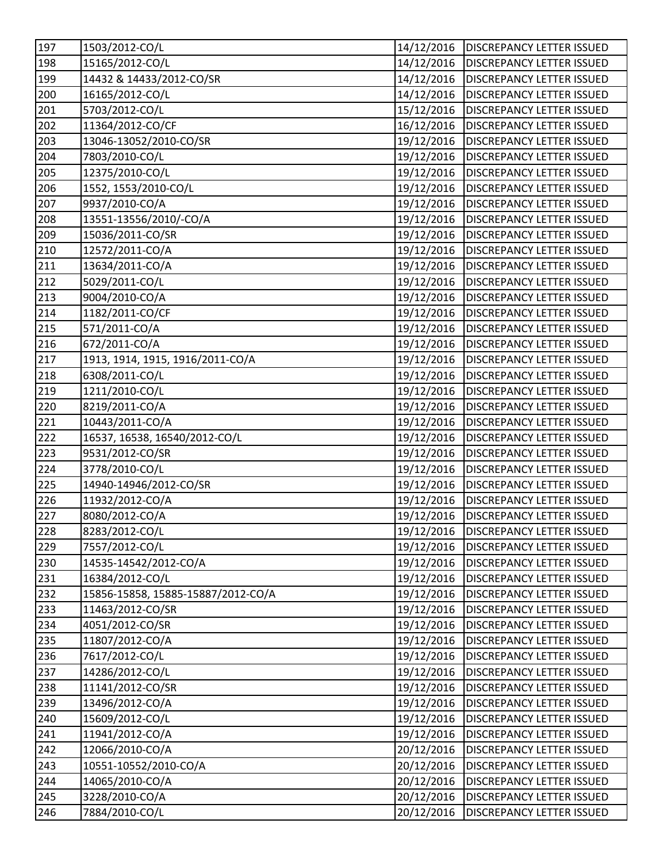| 197               | 1503/2012-CO/L                     | 14/12/2016 | <b>DISCREPANCY LETTER ISSUED</b>       |
|-------------------|------------------------------------|------------|----------------------------------------|
| 198               | 15165/2012-CO/L                    | 14/12/2016 | <b>DISCREPANCY LETTER ISSUED</b>       |
| 199               | 14432 & 14433/2012-CO/SR           | 14/12/2016 | <b>DISCREPANCY LETTER ISSUED</b>       |
| 200               | 16165/2012-CO/L                    | 14/12/2016 | <b>DISCREPANCY LETTER ISSUED</b>       |
| 201               | 5703/2012-CO/L                     | 15/12/2016 | <b>DISCREPANCY LETTER ISSUED</b>       |
| 202               | 11364/2012-CO/CF                   | 16/12/2016 | DISCREPANCY LETTER ISSUED              |
| 203               | 13046-13052/2010-CO/SR             | 19/12/2016 | <b>DISCREPANCY LETTER ISSUED</b>       |
| 204               | 7803/2010-CO/L                     | 19/12/2016 | <b>DISCREPANCY LETTER ISSUED</b>       |
| 205               | 12375/2010-CO/L                    | 19/12/2016 | <b>DISCREPANCY LETTER ISSUED</b>       |
| 206               | 1552, 1553/2010-CO/L               | 19/12/2016 | <b>DISCREPANCY LETTER ISSUED</b>       |
| 207               | 9937/2010-CO/A                     | 19/12/2016 | <b>DISCREPANCY LETTER ISSUED</b>       |
| 208               | 13551-13556/2010/-CO/A             | 19/12/2016 | <b>DISCREPANCY LETTER ISSUED</b>       |
| 209               | 15036/2011-CO/SR                   | 19/12/2016 | <b>DISCREPANCY LETTER ISSUED</b>       |
| $\frac{1}{210}$   | 12572/2011-CO/A                    | 19/12/2016 | <b>DISCREPANCY LETTER ISSUED</b>       |
| 211               | 13634/2011-CO/A                    | 19/12/2016 | <b>DISCREPANCY LETTER ISSUED</b>       |
| 212               | 5029/2011-CO/L                     | 19/12/2016 | <b>DISCREPANCY LETTER ISSUED</b>       |
| 213               | 9004/2010-CO/A                     | 19/12/2016 | <b>DISCREPANCY LETTER ISSUED</b>       |
| 214               | 1182/2011-CO/CF                    | 19/12/2016 | <b>DISCREPANCY LETTER ISSUED</b>       |
| $\sqrt{215}$      | 571/2011-CO/A                      | 19/12/2016 | <b>DISCREPANCY LETTER ISSUED</b>       |
| 216               | 672/2011-CO/A                      | 19/12/2016 | <b>DISCREPANCY LETTER ISSUED</b>       |
| 217               | 1913, 1914, 1915, 1916/2011-CO/A   | 19/12/2016 | <b>DISCREPANCY LETTER ISSUED</b>       |
| 218               | 6308/2011-CO/L                     | 19/12/2016 | <b>DISCREPANCY LETTER ISSUED</b>       |
| 219               | 1211/2010-CO/L                     | 19/12/2016 | <b>DISCREPANCY LETTER ISSUED</b>       |
| 220               | 8219/2011-CO/A                     | 19/12/2016 | <b>DISCREPANCY LETTER ISSUED</b>       |
| 221               | 10443/2011-CO/A                    | 19/12/2016 | <b>DISCREPANCY LETTER ISSUED</b>       |
| $\overline{2}$ 22 | 16537, 16538, 16540/2012-CO/L      | 19/12/2016 | <b>DISCREPANCY LETTER ISSUED</b>       |
| $\overline{223}$  | 9531/2012-CO/SR                    | 19/12/2016 | <b>DISCREPANCY LETTER ISSUED</b>       |
| 224               | 3778/2010-CO/L                     | 19/12/2016 | <b>DISCREPANCY LETTER ISSUED</b>       |
| 225               | 14940-14946/2012-CO/SR             | 19/12/2016 | <b>DISCREPANCY LETTER ISSUED</b>       |
| 226               | 11932/2012-CO/A                    | 19/12/2016 | <b>DISCREPANCY LETTER ISSUED</b>       |
| 227               | 8080/2012-CO/A                     | 19/12/2016 | <b>DISCREPANCY LETTER ISSUED</b>       |
| 228               | 8283/2012-CO/L                     |            | 19/12/2016   DISCREPANCY LETTER ISSUED |
| 229               | 7557/2012-CO/L                     | 19/12/2016 | <b>DISCREPANCY LETTER ISSUED</b>       |
| 230               | 14535-14542/2012-CO/A              | 19/12/2016 | <b>DISCREPANCY LETTER ISSUED</b>       |
| 231               | 16384/2012-CO/L                    | 19/12/2016 | DISCREPANCY LETTER ISSUED              |
| 232               | 15856-15858, 15885-15887/2012-CO/A | 19/12/2016 | <b>DISCREPANCY LETTER ISSUED</b>       |
| 233               | 11463/2012-CO/SR                   | 19/12/2016 | <b>DISCREPANCY LETTER ISSUED</b>       |
| 234               | 4051/2012-CO/SR                    | 19/12/2016 | DISCREPANCY LETTER ISSUED              |
| 235               | 11807/2012-CO/A                    | 19/12/2016 | <b>DISCREPANCY LETTER ISSUED</b>       |
| 236               | 7617/2012-CO/L                     | 19/12/2016 | DISCREPANCY LETTER ISSUED              |
| 237               | 14286/2012-CO/L                    | 19/12/2016 | <b>DISCREPANCY LETTER ISSUED</b>       |
| 238               | 11141/2012-CO/SR                   | 19/12/2016 | DISCREPANCY LETTER ISSUED              |
| 239               | 13496/2012-CO/A                    | 19/12/2016 | DISCREPANCY LETTER ISSUED              |
| 240               | 15609/2012-CO/L                    | 19/12/2016 | DISCREPANCY LETTER ISSUED              |
| 241               | 11941/2012-CO/A                    | 19/12/2016 | DISCREPANCY LETTER ISSUED              |
| 242               | 12066/2010-CO/A                    | 20/12/2016 | DISCREPANCY LETTER ISSUED              |
| 243               | 10551-10552/2010-CO/A              | 20/12/2016 | DISCREPANCY LETTER ISSUED              |
| 244               | 14065/2010-CO/A                    | 20/12/2016 | <b>DISCREPANCY LETTER ISSUED</b>       |
| 245               | 3228/2010-CO/A                     | 20/12/2016 | DISCREPANCY LETTER ISSUED              |
| 246               | 7884/2010-CO/L                     | 20/12/2016 | DISCREPANCY LETTER ISSUED              |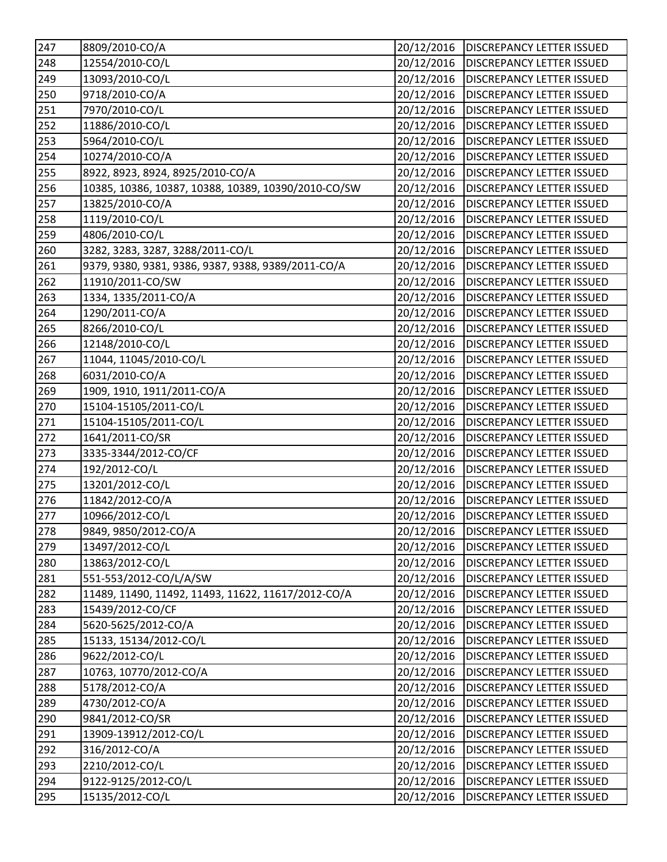| 247 | 8809/2010-CO/A                                      | 20/12/2016 | <b>DISCREPANCY LETTER ISSUED</b>       |
|-----|-----------------------------------------------------|------------|----------------------------------------|
| 248 | 12554/2010-CO/L                                     | 20/12/2016 | <b>DISCREPANCY LETTER ISSUED</b>       |
| 249 | 13093/2010-CO/L                                     | 20/12/2016 | <b>DISCREPANCY LETTER ISSUED</b>       |
| 250 | 9718/2010-CO/A                                      | 20/12/2016 | <b>DISCREPANCY LETTER ISSUED</b>       |
| 251 | 7970/2010-CO/L                                      | 20/12/2016 | <b>DISCREPANCY LETTER ISSUED</b>       |
| 252 | 11886/2010-CO/L                                     | 20/12/2016 | <b>DISCREPANCY LETTER ISSUED</b>       |
| 253 | 5964/2010-CO/L                                      | 20/12/2016 | <b>DISCREPANCY LETTER ISSUED</b>       |
| 254 | 10274/2010-CO/A                                     | 20/12/2016 | <b>DISCREPANCY LETTER ISSUED</b>       |
| 255 | 8922, 8923, 8924, 8925/2010-CO/A                    | 20/12/2016 | <b>DISCREPANCY LETTER ISSUED</b>       |
| 256 | 10385, 10386, 10387, 10388, 10389, 10390/2010-CO/SW | 20/12/2016 | <b>DISCREPANCY LETTER ISSUED</b>       |
| 257 | 13825/2010-CO/A                                     | 20/12/2016 | <b>DISCREPANCY LETTER ISSUED</b>       |
| 258 | 1119/2010-CO/L                                      | 20/12/2016 | <b>DISCREPANCY LETTER ISSUED</b>       |
| 259 | 4806/2010-CO/L                                      | 20/12/2016 | <b>DISCREPANCY LETTER ISSUED</b>       |
| 260 | 3282, 3283, 3287, 3288/2011-CO/L                    | 20/12/2016 | DISCREPANCY LETTER ISSUED              |
| 261 | 9379, 9380, 9381, 9386, 9387, 9388, 9389/2011-CO/A  | 20/12/2016 | <b>DISCREPANCY LETTER ISSUED</b>       |
| 262 | 11910/2011-CO/SW                                    | 20/12/2016 | <b>DISCREPANCY LETTER ISSUED</b>       |
| 263 | 1334, 1335/2011-CO/A                                | 20/12/2016 | <b>DISCREPANCY LETTER ISSUED</b>       |
| 264 | 1290/2011-CO/A                                      | 20/12/2016 | <b>DISCREPANCY LETTER ISSUED</b>       |
| 265 | 8266/2010-CO/L                                      | 20/12/2016 | DISCREPANCY LETTER ISSUED              |
| 266 | 12148/2010-CO/L                                     | 20/12/2016 | <b>DISCREPANCY LETTER ISSUED</b>       |
| 267 | 11044, 11045/2010-CO/L                              | 20/12/2016 | <b>DISCREPANCY LETTER ISSUED</b>       |
| 268 | 6031/2010-CO/A                                      | 20/12/2016 | <b>DISCREPANCY LETTER ISSUED</b>       |
| 269 | 1909, 1910, 1911/2011-CO/A                          | 20/12/2016 | <b>DISCREPANCY LETTER ISSUED</b>       |
| 270 | 15104-15105/2011-CO/L                               | 20/12/2016 | <b>DISCREPANCY LETTER ISSUED</b>       |
| 271 | 15104-15105/2011-CO/L                               | 20/12/2016 | <b>DISCREPANCY LETTER ISSUED</b>       |
| 272 | 1641/2011-CO/SR                                     | 20/12/2016 | <b>DISCREPANCY LETTER ISSUED</b>       |
| 273 | 3335-3344/2012-CO/CF                                | 20/12/2016 | <b>DISCREPANCY LETTER ISSUED</b>       |
| 274 | 192/2012-CO/L                                       | 20/12/2016 | <b>DISCREPANCY LETTER ISSUED</b>       |
| 275 | 13201/2012-CO/L                                     | 20/12/2016 | <b>DISCREPANCY LETTER ISSUED</b>       |
| 276 | 11842/2012-CO/A                                     | 20/12/2016 | <b>DISCREPANCY LETTER ISSUED</b>       |
| 277 | 10966/2012-CO/L                                     | 20/12/2016 | <b>DISCREPANCY LETTER ISSUED</b>       |
| 278 | 9849, 9850/2012-CO/A                                |            | 20/12/2016   DISCREPANCY LETTER ISSUED |
| 279 | 13497/2012-CO/L                                     | 20/12/2016 | <b>DISCREPANCY LETTER ISSUED</b>       |
| 280 | 13863/2012-CO/L                                     | 20/12/2016 | DISCREPANCY LETTER ISSUED              |
| 281 | 551-553/2012-CO/L/A/SW                              | 20/12/2016 | DISCREPANCY LETTER ISSUED              |
| 282 | 11489, 11490, 11492, 11493, 11622, 11617/2012-CO/A  | 20/12/2016 | <b>DISCREPANCY LETTER ISSUED</b>       |
| 283 | 15439/2012-CO/CF                                    | 20/12/2016 | DISCREPANCY LETTER ISSUED              |
| 284 | 5620-5625/2012-CO/A                                 | 20/12/2016 | DISCREPANCY LETTER ISSUED              |
| 285 | 15133, 15134/2012-CO/L                              | 20/12/2016 | DISCREPANCY LETTER ISSUED              |
| 286 | 9622/2012-CO/L                                      | 20/12/2016 | DISCREPANCY LETTER ISSUED              |
| 287 | 10763, 10770/2012-CO/A                              | 20/12/2016 | <b>DISCREPANCY LETTER ISSUED</b>       |
| 288 | 5178/2012-CO/A                                      | 20/12/2016 | DISCREPANCY LETTER ISSUED              |
| 289 | 4730/2012-CO/A                                      | 20/12/2016 | DISCREPANCY LETTER ISSUED              |
| 290 | 9841/2012-CO/SR                                     | 20/12/2016 | DISCREPANCY LETTER ISSUED              |
| 291 | 13909-13912/2012-CO/L                               | 20/12/2016 | DISCREPANCY LETTER ISSUED              |
| 292 | 316/2012-CO/A                                       | 20/12/2016 | DISCREPANCY LETTER ISSUED              |
| 293 | 2210/2012-CO/L                                      | 20/12/2016 | DISCREPANCY LETTER ISSUED              |
| 294 | 9122-9125/2012-CO/L                                 | 20/12/2016 | DISCREPANCY LETTER ISSUED              |
| 295 | 15135/2012-CO/L                                     | 20/12/2016 | DISCREPANCY LETTER ISSUED              |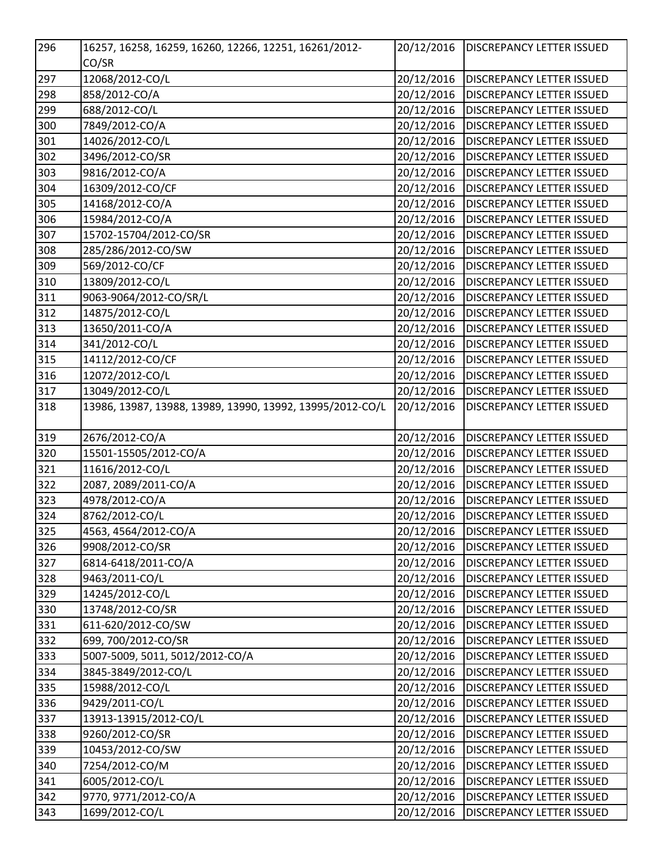| 296 | 16257, 16258, 16259, 16260, 12266, 12251, 16261/2012-     | 20/12/2016 | <b>DISCREPANCY LETTER ISSUED</b> |
|-----|-----------------------------------------------------------|------------|----------------------------------|
|     | CO/SR                                                     |            |                                  |
| 297 | 12068/2012-CO/L                                           | 20/12/2016 | <b>DISCREPANCY LETTER ISSUED</b> |
| 298 | 858/2012-CO/A                                             | 20/12/2016 | <b>DISCREPANCY LETTER ISSUED</b> |
| 299 | 688/2012-CO/L                                             | 20/12/2016 | <b>DISCREPANCY LETTER ISSUED</b> |
| 300 | 7849/2012-CO/A                                            | 20/12/2016 | <b>DISCREPANCY LETTER ISSUED</b> |
| 301 | 14026/2012-CO/L                                           | 20/12/2016 | <b>DISCREPANCY LETTER ISSUED</b> |
| 302 | 3496/2012-CO/SR                                           | 20/12/2016 | <b>DISCREPANCY LETTER ISSUED</b> |
| 303 | 9816/2012-CO/A                                            | 20/12/2016 | <b>DISCREPANCY LETTER ISSUED</b> |
| 304 | 16309/2012-CO/CF                                          | 20/12/2016 | <b>DISCREPANCY LETTER ISSUED</b> |
| 305 | 14168/2012-CO/A                                           | 20/12/2016 | <b>DISCREPANCY LETTER ISSUED</b> |
| 306 | 15984/2012-CO/A                                           | 20/12/2016 | <b>DISCREPANCY LETTER ISSUED</b> |
| 307 | 15702-15704/2012-CO/SR                                    | 20/12/2016 | <b>DISCREPANCY LETTER ISSUED</b> |
| 308 | 285/286/2012-CO/SW                                        | 20/12/2016 | <b>DISCREPANCY LETTER ISSUED</b> |
| 309 | 569/2012-CO/CF                                            | 20/12/2016 | <b>DISCREPANCY LETTER ISSUED</b> |
| 310 | 13809/2012-CO/L                                           | 20/12/2016 | <b>DISCREPANCY LETTER ISSUED</b> |
| 311 | 9063-9064/2012-CO/SR/L                                    | 20/12/2016 | <b>DISCREPANCY LETTER ISSUED</b> |
| 312 | 14875/2012-CO/L                                           | 20/12/2016 | DISCREPANCY LETTER ISSUED        |
| 313 | 13650/2011-CO/A                                           | 20/12/2016 | <b>DISCREPANCY LETTER ISSUED</b> |
| 314 | 341/2012-CO/L                                             | 20/12/2016 | <b>DISCREPANCY LETTER ISSUED</b> |
| 315 | 14112/2012-CO/CF                                          | 20/12/2016 | <b>DISCREPANCY LETTER ISSUED</b> |
| 316 | 12072/2012-CO/L                                           | 20/12/2016 | <b>DISCREPANCY LETTER ISSUED</b> |
| 317 | 13049/2012-CO/L                                           | 20/12/2016 | DISCREPANCY LETTER ISSUED        |
| 318 | 13986, 13987, 13988, 13989, 13990, 13992, 13995/2012-CO/L | 20/12/2016 | DISCREPANCY LETTER ISSUED        |
|     |                                                           |            |                                  |
| 319 | 2676/2012-CO/A                                            | 20/12/2016 | <b>DISCREPANCY LETTER ISSUED</b> |
| 320 | 15501-15505/2012-CO/A                                     | 20/12/2016 | <b>DISCREPANCY LETTER ISSUED</b> |
| 321 | 11616/2012-CO/L                                           | 20/12/2016 | <b>DISCREPANCY LETTER ISSUED</b> |
| 322 | 2087, 2089/2011-CO/A                                      | 20/12/2016 | <b>DISCREPANCY LETTER ISSUED</b> |
| 323 | 4978/2012-CO/A                                            | 20/12/2016 | <b>DISCREPANCY LETTER ISSUED</b> |
| 324 | 8762/2012-CO/L                                            | 20/12/2016 | DISCREPANCY LETTER ISSUED        |
| 325 | 4563, 4564/2012-CO/A                                      | 20/12/2016 | <b>DISCREPANCY LETTER ISSUED</b> |
| 326 | 9908/2012-CO/SR                                           | 20/12/2016 | <b>DISCREPANCY LETTER ISSUED</b> |
| 327 | 6814-6418/2011-CO/A                                       | 20/12/2016 | <b>DISCREPANCY LETTER ISSUED</b> |
| 328 | 9463/2011-CO/L                                            | 20/12/2016 | <b>DISCREPANCY LETTER ISSUED</b> |
| 329 | 14245/2012-CO/L                                           | 20/12/2016 | DISCREPANCY LETTER ISSUED        |
| 330 | 13748/2012-CO/SR                                          | 20/12/2016 | <b>DISCREPANCY LETTER ISSUED</b> |
| 331 | 611-620/2012-CO/SW                                        | 20/12/2016 | DISCREPANCY LETTER ISSUED        |
| 332 | 699, 700/2012-CO/SR                                       | 20/12/2016 | <b>DISCREPANCY LETTER ISSUED</b> |
| 333 | 5007-5009, 5011, 5012/2012-CO/A                           | 20/12/2016 | <b>DISCREPANCY LETTER ISSUED</b> |
| 334 | 3845-3849/2012-CO/L                                       | 20/12/2016 | DISCREPANCY LETTER ISSUED        |
| 335 | 15988/2012-CO/L                                           | 20/12/2016 | DISCREPANCY LETTER ISSUED        |
| 336 | 9429/2011-CO/L                                            | 20/12/2016 | DISCREPANCY LETTER ISSUED        |
| 337 | 13913-13915/2012-CO/L                                     | 20/12/2016 | DISCREPANCY LETTER ISSUED        |
| 338 | 9260/2012-CO/SR                                           | 20/12/2016 | <b>DISCREPANCY LETTER ISSUED</b> |
| 339 | 10453/2012-CO/SW                                          | 20/12/2016 | DISCREPANCY LETTER ISSUED        |
| 340 | 7254/2012-CO/M                                            | 20/12/2016 | DISCREPANCY LETTER ISSUED        |
| 341 | 6005/2012-CO/L                                            | 20/12/2016 | DISCREPANCY LETTER ISSUED        |
| 342 | 9770, 9771/2012-CO/A                                      | 20/12/2016 | DISCREPANCY LETTER ISSUED        |
| 343 | 1699/2012-CO/L                                            | 20/12/2016 | DISCREPANCY LETTER ISSUED        |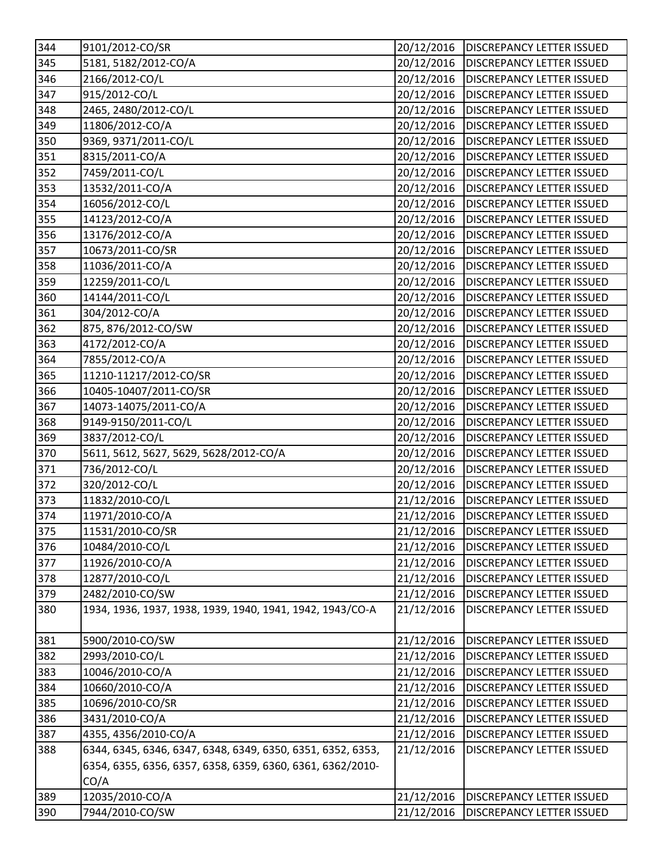| 344 | 9101/2012-CO/SR                                             | 20/12/2016 | <b>DISCREPANCY LETTER ISSUED</b>       |
|-----|-------------------------------------------------------------|------------|----------------------------------------|
| 345 | 5181, 5182/2012-CO/A                                        | 20/12/2016 | <b>DISCREPANCY LETTER ISSUED</b>       |
| 346 | 2166/2012-CO/L                                              | 20/12/2016 | <b>DISCREPANCY LETTER ISSUED</b>       |
| 347 | 915/2012-CO/L                                               | 20/12/2016 | <b>DISCREPANCY LETTER ISSUED</b>       |
| 348 | 2465, 2480/2012-CO/L                                        | 20/12/2016 | <b>DISCREPANCY LETTER ISSUED</b>       |
| 349 | 11806/2012-CO/A                                             | 20/12/2016 | <b>DISCREPANCY LETTER ISSUED</b>       |
| 350 | 9369, 9371/2011-CO/L                                        | 20/12/2016 | <b>DISCREPANCY LETTER ISSUED</b>       |
| 351 | 8315/2011-CO/A                                              | 20/12/2016 | <b>DISCREPANCY LETTER ISSUED</b>       |
| 352 | 7459/2011-CO/L                                              | 20/12/2016 | <b>DISCREPANCY LETTER ISSUED</b>       |
| 353 | 13532/2011-CO/A                                             | 20/12/2016 | <b>DISCREPANCY LETTER ISSUED</b>       |
| 354 | 16056/2012-CO/L                                             | 20/12/2016 | <b>DISCREPANCY LETTER ISSUED</b>       |
| 355 | 14123/2012-CO/A                                             | 20/12/2016 | <b>DISCREPANCY LETTER ISSUED</b>       |
| 356 | 13176/2012-CO/A                                             | 20/12/2016 | <b>DISCREPANCY LETTER ISSUED</b>       |
| 357 | 10673/2011-CO/SR                                            | 20/12/2016 | <b>DISCREPANCY LETTER ISSUED</b>       |
| 358 | 11036/2011-CO/A                                             | 20/12/2016 | <b>DISCREPANCY LETTER ISSUED</b>       |
| 359 | 12259/2011-CO/L                                             | 20/12/2016 | <b>DISCREPANCY LETTER ISSUED</b>       |
| 360 | 14144/2011-CO/L                                             | 20/12/2016 | <b>DISCREPANCY LETTER ISSUED</b>       |
| 361 | 304/2012-CO/A                                               | 20/12/2016 | <b>DISCREPANCY LETTER ISSUED</b>       |
| 362 | 875, 876/2012-CO/SW                                         | 20/12/2016 | <b>DISCREPANCY LETTER ISSUED</b>       |
| 363 | 4172/2012-CO/A                                              | 20/12/2016 | <b>DISCREPANCY LETTER ISSUED</b>       |
| 364 | 7855/2012-CO/A                                              | 20/12/2016 | <b>DISCREPANCY LETTER ISSUED</b>       |
| 365 | 11210-11217/2012-CO/SR                                      | 20/12/2016 | <b>DISCREPANCY LETTER ISSUED</b>       |
| 366 | 10405-10407/2011-CO/SR                                      | 20/12/2016 | <b>DISCREPANCY LETTER ISSUED</b>       |
| 367 | 14073-14075/2011-CO/A                                       | 20/12/2016 | <b>DISCREPANCY LETTER ISSUED</b>       |
| 368 | 9149-9150/2011-CO/L                                         | 20/12/2016 | <b>DISCREPANCY LETTER ISSUED</b>       |
| 369 | 3837/2012-CO/L                                              | 20/12/2016 | <b>DISCREPANCY LETTER ISSUED</b>       |
| 370 | 5611, 5612, 5627, 5629, 5628/2012-CO/A                      | 20/12/2016 | <b>DISCREPANCY LETTER ISSUED</b>       |
| 371 | 736/2012-CO/L                                               | 20/12/2016 | <b>DISCREPANCY LETTER ISSUED</b>       |
| 372 | 320/2012-CO/L                                               | 20/12/2016 | <b>DISCREPANCY LETTER ISSUED</b>       |
| 373 | 11832/2010-CO/L                                             | 21/12/2016 | <b>DISCREPANCY LETTER ISSUED</b>       |
| 374 | 11971/2010-CO/A                                             | 21/12/2016 | <b>DISCREPANCY LETTER ISSUED</b>       |
| 375 | 11531/2010-CO/SR                                            |            | 21/12/2016   DISCREPANCY LETTER ISSUED |
| 376 | 10484/2010-CO/L                                             | 21/12/2016 | <b>DISCREPANCY LETTER ISSUED</b>       |
| 377 | 11926/2010-CO/A                                             | 21/12/2016 | <b>DISCREPANCY LETTER ISSUED</b>       |
| 378 | 12877/2010-CO/L                                             | 21/12/2016 | <b>DISCREPANCY LETTER ISSUED</b>       |
| 379 | 2482/2010-CO/SW                                             | 21/12/2016 | <b>DISCREPANCY LETTER ISSUED</b>       |
| 380 | 1934, 1936, 1937, 1938, 1939, 1940, 1941, 1942, 1943/CO-A   | 21/12/2016 | <b>DISCREPANCY LETTER ISSUED</b>       |
| 381 | 5900/2010-CO/SW                                             | 21/12/2016 | <b>DISCREPANCY LETTER ISSUED</b>       |
| 382 | 2993/2010-CO/L                                              | 21/12/2016 | <b>DISCREPANCY LETTER ISSUED</b>       |
| 383 | 10046/2010-CO/A                                             | 21/12/2016 | <b>DISCREPANCY LETTER ISSUED</b>       |
| 384 | 10660/2010-CO/A                                             | 21/12/2016 | <b>DISCREPANCY LETTER ISSUED</b>       |
| 385 | 10696/2010-CO/SR                                            | 21/12/2016 | <b>DISCREPANCY LETTER ISSUED</b>       |
| 386 | 3431/2010-CO/A                                              | 21/12/2016 | <b>DISCREPANCY LETTER ISSUED</b>       |
| 387 | 4355, 4356/2010-CO/A                                        | 21/12/2016 | <b>DISCREPANCY LETTER ISSUED</b>       |
| 388 | 6344, 6345, 6346, 6347, 6348, 6349, 6350, 6351, 6352, 6353, | 21/12/2016 | <b>DISCREPANCY LETTER ISSUED</b>       |
|     | 6354, 6355, 6356, 6357, 6358, 6359, 6360, 6361, 6362/2010-  |            |                                        |
|     | CO/A                                                        |            |                                        |
| 389 | 12035/2010-CO/A                                             | 21/12/2016 | <b>DISCREPANCY LETTER ISSUED</b>       |
| 390 | 7944/2010-CO/SW                                             | 21/12/2016 | <b>DISCREPANCY LETTER ISSUED</b>       |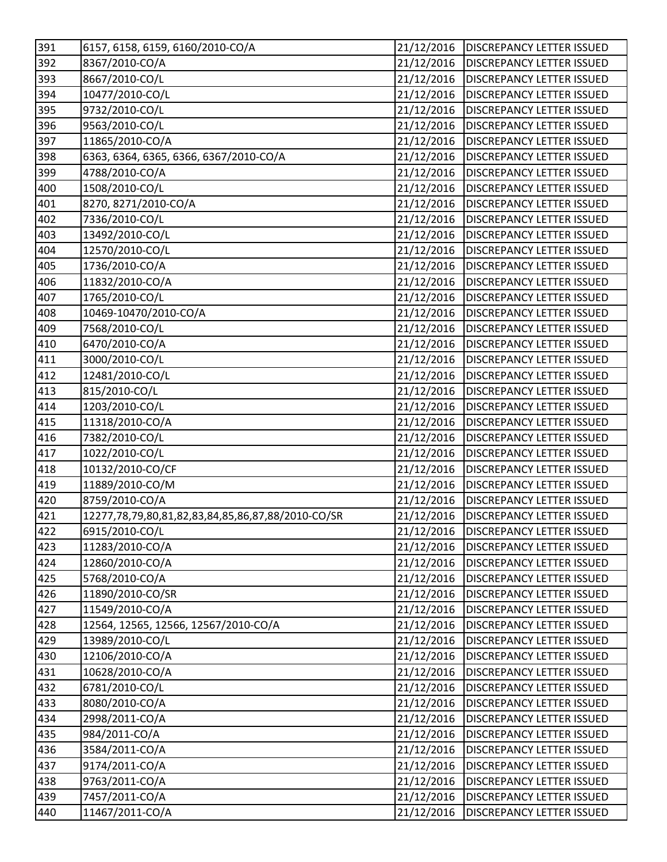| 391          | 6157, 6158, 6159, 6160/2010-CO/A                  | 21/12/2016 | <b>DISCREPANCY LETTER ISSUED</b> |
|--------------|---------------------------------------------------|------------|----------------------------------|
| 392          | 8367/2010-CO/A                                    | 21/12/2016 | <b>DISCREPANCY LETTER ISSUED</b> |
| 393          | 8667/2010-CO/L                                    | 21/12/2016 | <b>DISCREPANCY LETTER ISSUED</b> |
| 394          | 10477/2010-CO/L                                   | 21/12/2016 | DISCREPANCY LETTER ISSUED        |
| 395          | 9732/2010-CO/L                                    | 21/12/2016 | <b>DISCREPANCY LETTER ISSUED</b> |
| 396          | 9563/2010-CO/L                                    | 21/12/2016 | DISCREPANCY LETTER ISSUED        |
| 397          | 11865/2010-CO/A                                   | 21/12/2016 | <b>DISCREPANCY LETTER ISSUED</b> |
| 398          | 6363, 6364, 6365, 6366, 6367/2010-CO/A            | 21/12/2016 | <b>DISCREPANCY LETTER ISSUED</b> |
| 399          | 4788/2010-CO/A                                    | 21/12/2016 | DISCREPANCY LETTER ISSUED        |
| 400          | 1508/2010-CO/L                                    | 21/12/2016 | <b>DISCREPANCY LETTER ISSUED</b> |
| 401          | 8270, 8271/2010-CO/A                              | 21/12/2016 | <b>DISCREPANCY LETTER ISSUED</b> |
| 402          | 7336/2010-CO/L                                    | 21/12/2016 | <b>DISCREPANCY LETTER ISSUED</b> |
| 403          | 13492/2010-CO/L                                   | 21/12/2016 | <b>DISCREPANCY LETTER ISSUED</b> |
| 404          | 12570/2010-CO/L                                   | 21/12/2016 | <b>DISCREPANCY LETTER ISSUED</b> |
| 405          | 1736/2010-CO/A                                    | 21/12/2016 | <b>DISCREPANCY LETTER ISSUED</b> |
| 406          | 11832/2010-CO/A                                   | 21/12/2016 | <b>DISCREPANCY LETTER ISSUED</b> |
| 407          | 1765/2010-CO/L                                    | 21/12/2016 | <b>DISCREPANCY LETTER ISSUED</b> |
| 408          | 10469-10470/2010-CO/A                             | 21/12/2016 | <b>DISCREPANCY LETTER ISSUED</b> |
| 409          | 7568/2010-CO/L                                    | 21/12/2016 | DISCREPANCY LETTER ISSUED        |
| 410          | 6470/2010-CO/A                                    | 21/12/2016 | DISCREPANCY LETTER ISSUED        |
| $\sqrt{411}$ | 3000/2010-CO/L                                    | 21/12/2016 | <b>DISCREPANCY LETTER ISSUED</b> |
| 412          | 12481/2010-CO/L                                   | 21/12/2016 | <b>DISCREPANCY LETTER ISSUED</b> |
| 413          | 815/2010-CO/L                                     | 21/12/2016 | <b>DISCREPANCY LETTER ISSUED</b> |
| 414          | 1203/2010-CO/L                                    | 21/12/2016 | DISCREPANCY LETTER ISSUED        |
| 415          | 11318/2010-CO/A                                   | 21/12/2016 | <b>DISCREPANCY LETTER ISSUED</b> |
| 416          | 7382/2010-CO/L                                    | 21/12/2016 | <b>DISCREPANCY LETTER ISSUED</b> |
| 417          | 1022/2010-CO/L                                    | 21/12/2016 | DISCREPANCY LETTER ISSUED        |
| 418          | 10132/2010-CO/CF                                  | 21/12/2016 | <b>DISCREPANCY LETTER ISSUED</b> |
| 419          | 11889/2010-CO/M                                   | 21/12/2016 | DISCREPANCY LETTER ISSUED        |
| 420          | 8759/2010-CO/A                                    | 21/12/2016 | <b>DISCREPANCY LETTER ISSUED</b> |
| 421          | 12277,78,79,80,81,82,83,84,85,86,87,88/2010-CO/SR | 21/12/2016 | <b>DISCREPANCY LETTER ISSUED</b> |
| 422          | 6915/2010-CO/L                                    | 21/12/2016 | <b>DISCREPANCY LETTER ISSUED</b> |
| 423          | 11283/2010-CO/A                                   | 21/12/2016 | <b>DISCREPANCY LETTER ISSUED</b> |
| 424          | 12860/2010-CO/A                                   | 21/12/2016 | DISCREPANCY LETTER ISSUED        |
| 425          | 5768/2010-CO/A                                    | 21/12/2016 | <b>DISCREPANCY LETTER ISSUED</b> |
| 426          | 11890/2010-CO/SR                                  | 21/12/2016 | DISCREPANCY LETTER ISSUED        |
| 427          | 11549/2010-CO/A                                   | 21/12/2016 | DISCREPANCY LETTER ISSUED        |
| 428          | 12564, 12565, 12566, 12567/2010-CO/A              | 21/12/2016 | DISCREPANCY LETTER ISSUED        |
| 429          | 13989/2010-CO/L                                   | 21/12/2016 | DISCREPANCY LETTER ISSUED        |
| 430          | 12106/2010-CO/A                                   | 21/12/2016 | <b>DISCREPANCY LETTER ISSUED</b> |
| 431          | 10628/2010-CO/A                                   | 21/12/2016 | <b>DISCREPANCY LETTER ISSUED</b> |
| 432          | 6781/2010-CO/L                                    | 21/12/2016 | DISCREPANCY LETTER ISSUED        |
| 433          | 8080/2010-CO/A                                    | 21/12/2016 | DISCREPANCY LETTER ISSUED        |
| 434          | 2998/2011-CO/A                                    | 21/12/2016 | DISCREPANCY LETTER ISSUED        |
| 435          | 984/2011-CO/A                                     | 21/12/2016 | DISCREPANCY LETTER ISSUED        |
| 436          | 3584/2011-CO/A                                    | 21/12/2016 | <b>DISCREPANCY LETTER ISSUED</b> |
| 437          | 9174/2011-CO/A                                    | 21/12/2016 | DISCREPANCY LETTER ISSUED        |
| 438          | 9763/2011-CO/A                                    | 21/12/2016 | <b>DISCREPANCY LETTER ISSUED</b> |
| 439          | 7457/2011-CO/A                                    | 21/12/2016 | DISCREPANCY LETTER ISSUED        |
| 440          | 11467/2011-CO/A                                   | 21/12/2016 | DISCREPANCY LETTER ISSUED        |
|              |                                                   |            |                                  |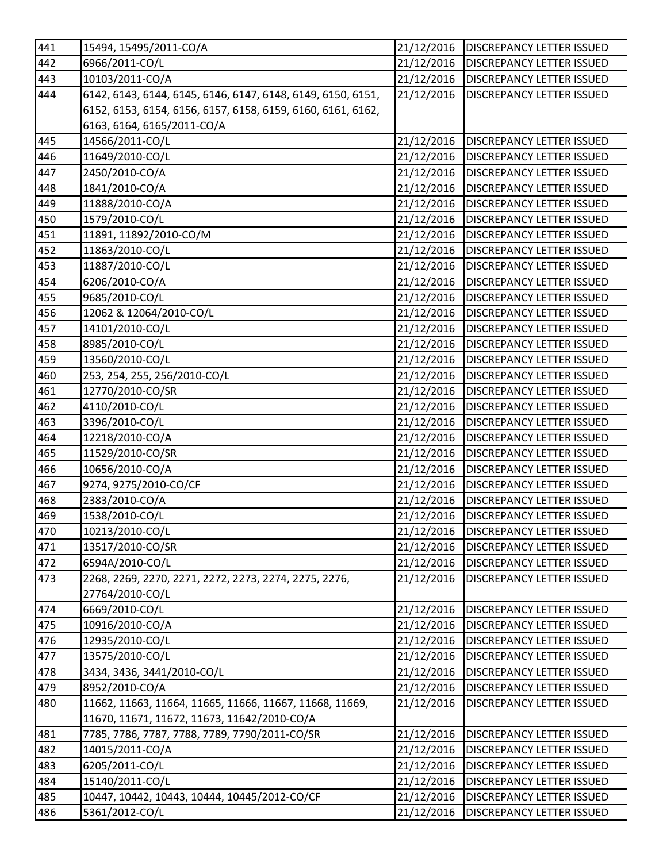| 441 | 15494, 15495/2011-CO/A                                      | 21/12/2016 | <b>DISCREPANCY LETTER ISSUED</b>  |
|-----|-------------------------------------------------------------|------------|-----------------------------------|
| 442 | 6966/2011-CO/L                                              | 21/12/2016 | <b>DISCREPANCY LETTER ISSUED</b>  |
| 443 | 10103/2011-CO/A                                             | 21/12/2016 | <b>DISCREPANCY LETTER ISSUED</b>  |
| 444 | 6142, 6143, 6144, 6145, 6146, 6147, 6148, 6149, 6150, 6151, | 21/12/2016 | <b>DISCREPANCY LETTER ISSUED</b>  |
|     | 6152, 6153, 6154, 6156, 6157, 6158, 6159, 6160, 6161, 6162, |            |                                   |
|     | 6163, 6164, 6165/2011-CO/A                                  |            |                                   |
| 445 | 14566/2011-CO/L                                             | 21/12/2016 | <b>DISCREPANCY LETTER ISSUED</b>  |
| 446 | 11649/2010-CO/L                                             | 21/12/2016 | <b>DISCREPANCY LETTER ISSUED</b>  |
| 447 | 2450/2010-CO/A                                              | 21/12/2016 | <b>DISCREPANCY LETTER ISSUED</b>  |
| 448 | 1841/2010-CO/A                                              | 21/12/2016 | <b>DISCREPANCY LETTER ISSUED</b>  |
| 449 | 11888/2010-CO/A                                             | 21/12/2016 | <b>DISCREPANCY LETTER ISSUED</b>  |
| 450 | 1579/2010-CO/L                                              | 21/12/2016 | <b>DISCREPANCY LETTER ISSUED</b>  |
| 451 | 11891, 11892/2010-CO/M                                      | 21/12/2016 | <b>DISCREPANCY LETTER ISSUED</b>  |
| 452 | 11863/2010-CO/L                                             | 21/12/2016 | <b>DISCREPANCY LETTER ISSUED</b>  |
| 453 | 11887/2010-CO/L                                             | 21/12/2016 | <b>DISCREPANCY LETTER ISSUED</b>  |
| 454 | 6206/2010-CO/A                                              | 21/12/2016 | <b>DISCREPANCY LETTER ISSUED</b>  |
| 455 | 9685/2010-CO/L                                              | 21/12/2016 | <b>DISCREPANCY LETTER ISSUED</b>  |
| 456 | 12062 & 12064/2010-CO/L                                     | 21/12/2016 | <b>DISCREPANCY LETTER ISSUED</b>  |
| 457 | 14101/2010-CO/L                                             | 21/12/2016 | <b>DISCREPANCY LETTER ISSUED</b>  |
| 458 | 8985/2010-CO/L                                              | 21/12/2016 | <b>DISCREPANCY LETTER ISSUED</b>  |
| 459 | 13560/2010-CO/L                                             | 21/12/2016 | <b>DISCREPANCY LETTER ISSUED</b>  |
| 460 | 253, 254, 255, 256/2010-CO/L                                | 21/12/2016 | <b>DISCREPANCY LETTER ISSUED</b>  |
| 461 | 12770/2010-CO/SR                                            | 21/12/2016 | <b>DISCREPANCY LETTER ISSUED</b>  |
| 462 | 4110/2010-CO/L                                              | 21/12/2016 | <b>DISCREPANCY LETTER ISSUED</b>  |
| 463 | 3396/2010-CO/L                                              | 21/12/2016 | <b>DISCREPANCY LETTER ISSUED</b>  |
| 464 | 12218/2010-CO/A                                             | 21/12/2016 | <b>DISCREPANCY LETTER ISSUED</b>  |
| 465 | 11529/2010-CO/SR                                            | 21/12/2016 | <b>DISCREPANCY LETTER ISSUED</b>  |
| 466 | 10656/2010-CO/A                                             | 21/12/2016 | <b>DISCREPANCY LETTER ISSUED</b>  |
| 467 | 9274, 9275/2010-CO/CF                                       | 21/12/2016 | <b>DISCREPANCY LETTER ISSUED</b>  |
| 468 | 2383/2010-CO/A                                              | 21/12/2016 | <b>DISCREPANCY LETTER ISSUED</b>  |
| 469 | 1538/2010-CO/L                                              | 21/12/2016 | <b>DISCREPANCY LETTER ISSUED</b>  |
| 470 | 10213/2010-CO/L                                             | 21/12/2016 | <b>IDISCREPANCY LETTER ISSUED</b> |
| 471 | 13517/2010-CO/SR                                            | 21/12/2016 | <b>DISCREPANCY LETTER ISSUED</b>  |
| 472 | 6594A/2010-CO/L                                             | 21/12/2016 | DISCREPANCY LETTER ISSUED         |
| 473 | 2268, 2269, 2270, 2271, 2272, 2273, 2274, 2275, 2276,       | 21/12/2016 | DISCREPANCY LETTER ISSUED         |
|     | 27764/2010-CO/L                                             |            |                                   |
| 474 | 6669/2010-CO/L                                              | 21/12/2016 | <b>DISCREPANCY LETTER ISSUED</b>  |
| 475 | 10916/2010-CO/A                                             | 21/12/2016 | <b>DISCREPANCY LETTER ISSUED</b>  |
| 476 | 12935/2010-CO/L                                             | 21/12/2016 | DISCREPANCY LETTER ISSUED         |
| 477 | 13575/2010-CO/L                                             | 21/12/2016 | <b>DISCREPANCY LETTER ISSUED</b>  |
| 478 | 3434, 3436, 3441/2010-CO/L                                  | 21/12/2016 | DISCREPANCY LETTER ISSUED         |
| 479 | 8952/2010-CO/A                                              | 21/12/2016 | DISCREPANCY LETTER ISSUED         |
| 480 | 11662, 11663, 11664, 11665, 11666, 11667, 11668, 11669,     | 21/12/2016 | DISCREPANCY LETTER ISSUED         |
|     | 11670, 11671, 11672, 11673, 11642/2010-CO/A                 |            |                                   |
| 481 | 7785, 7786, 7787, 7788, 7789, 7790/2011-CO/SR               | 21/12/2016 | DISCREPANCY LETTER ISSUED         |
| 482 | 14015/2011-CO/A                                             | 21/12/2016 | DISCREPANCY LETTER ISSUED         |
| 483 | 6205/2011-CO/L                                              | 21/12/2016 | DISCREPANCY LETTER ISSUED         |
| 484 | 15140/2011-CO/L                                             | 21/12/2016 | DISCREPANCY LETTER ISSUED         |
| 485 | 10447, 10442, 10443, 10444, 10445/2012-CO/CF                | 21/12/2016 | DISCREPANCY LETTER ISSUED         |
| 486 | 5361/2012-CO/L                                              | 21/12/2016 | DISCREPANCY LETTER ISSUED         |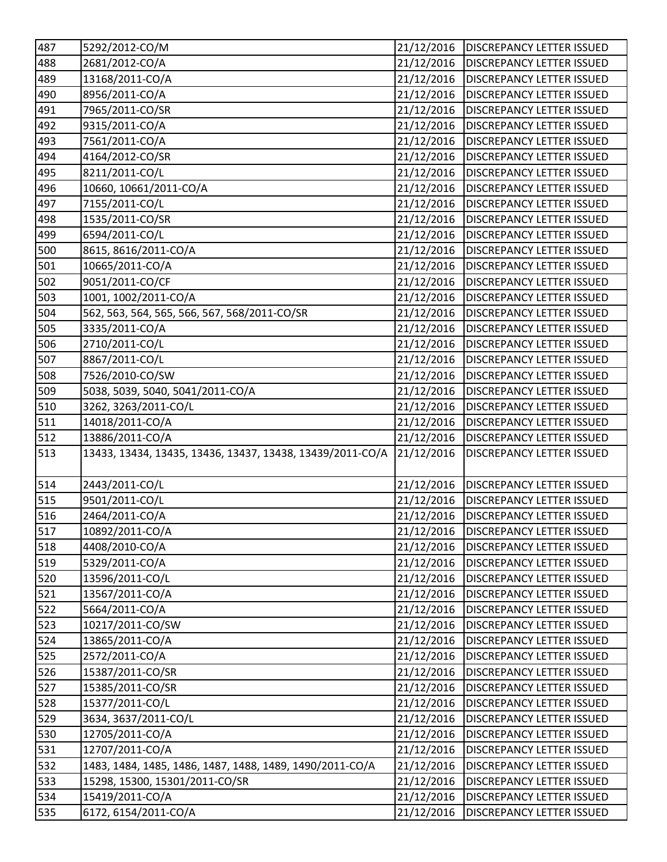| 488<br>2681/2012-CO/A<br>21/12/2016<br><b>DISCREPANCY LETTER ISSUED</b><br>489<br>13168/2011-CO/A<br>21/12/2016<br><b>DISCREPANCY LETTER ISSUED</b><br>490<br>8956/2011-CO/A<br>21/12/2016<br><b>DISCREPANCY LETTER ISSUED</b><br>491<br>21/12/2016<br>7965/2011-CO/SR<br><b>DISCREPANCY LETTER ISSUED</b><br>21/12/2016<br>492<br>9315/2011-CO/A<br><b>DISCREPANCY LETTER ISSUED</b><br>493<br>7561/2011-CO/A<br>21/12/2016<br><b>DISCREPANCY LETTER ISSUED</b><br>494<br>4164/2012-CO/SR<br>21/12/2016<br><b>DISCREPANCY LETTER ISSUED</b><br>495<br>8211/2011-CO/L<br>21/12/2016<br><b>DISCREPANCY LETTER ISSUED</b><br>10660, 10661/2011-CO/A<br>21/12/2016<br>496<br><b>DISCREPANCY LETTER ISSUED</b><br>497<br>7155/2011-CO/L<br>21/12/2016<br><b>DISCREPANCY LETTER ISSUED</b><br>498<br>1535/2011-CO/SR<br>21/12/2016<br><b>DISCREPANCY LETTER ISSUED</b><br>499<br>6594/2011-CO/L<br>21/12/2016<br><b>DISCREPANCY LETTER ISSUED</b><br>500<br>8615, 8616/2011-CO/A<br>21/12/2016<br><b>DISCREPANCY LETTER ISSUED</b><br>501<br>10665/2011-CO/A<br>21/12/2016<br><b>DISCREPANCY LETTER ISSUED</b><br>502<br>9051/2011-CO/CF<br>21/12/2016<br><b>DISCREPANCY LETTER ISSUED</b><br>503<br>1001, 1002/2011-CO/A<br>21/12/2016<br><b>DISCREPANCY LETTER ISSUED</b><br>504<br>562, 563, 564, 565, 566, 567, 568/2011-CO/SR<br>21/12/2016<br><b>DISCREPANCY LETTER ISSUED</b><br>505<br>3335/2011-CO/A<br>21/12/2016<br><b>DISCREPANCY LETTER ISSUED</b><br>506<br>2710/2011-CO/L<br>21/12/2016<br><b>DISCREPANCY LETTER ISSUED</b><br>21/12/2016<br>507<br>8867/2011-CO/L<br><b>DISCREPANCY LETTER ISSUED</b><br>508<br>7526/2010-CO/SW<br>21/12/2016<br><b>DISCREPANCY LETTER ISSUED</b><br>509<br>5038, 5039, 5040, 5041/2011-CO/A<br>21/12/2016<br><b>DISCREPANCY LETTER ISSUED</b><br>510<br>3262, 3263/2011-CO/L<br>21/12/2016<br><b>DISCREPANCY LETTER ISSUED</b><br>511<br>14018/2011-CO/A<br>21/12/2016<br><b>DISCREPANCY LETTER ISSUED</b><br>512<br>13886/2011-CO/A<br>21/12/2016<br><b>DISCREPANCY LETTER ISSUED</b><br>513<br>21/12/2016<br>13433, 13434, 13435, 13436, 13437, 13438, 13439/2011-CO/A<br><b>DISCREPANCY LETTER ISSUED</b><br>514<br>21/12/2016<br>2443/2011-CO/L<br><b>DISCREPANCY LETTER ISSUED</b><br>515<br>21/12/2016<br>9501/2011-CO/L<br><b>DISCREPANCY LETTER ISSUED</b><br>516<br>2464/2011-CO/A<br>21/12/2016<br><b>DISCREPANCY LETTER ISSUED</b><br>517<br>10892/2011-CO/A<br>21/12/2016   DISCREPANCY LETTER ISSUED<br>518<br>21/12/2016<br>4408/2010-CO/A<br><b>DISCREPANCY LETTER ISSUED</b><br>519<br>5329/2011-CO/A<br>21/12/2016<br><b>DISCREPANCY LETTER ISSUED</b><br>13596/2011-CO/L<br>520<br>21/12/2016<br><b>DISCREPANCY LETTER ISSUED</b><br>521<br>13567/2011-CO/A<br>21/12/2016<br><b>DISCREPANCY LETTER ISSUED</b><br>522<br>5664/2011-CO/A<br>21/12/2016<br><b>DISCREPANCY LETTER ISSUED</b><br>523<br>21/12/2016<br>10217/2011-CO/SW<br><b>DISCREPANCY LETTER ISSUED</b><br>21/12/2016<br>524<br>13865/2011-CO/A<br><b>DISCREPANCY LETTER ISSUED</b><br>525<br>2572/2011-CO/A<br>21/12/2016<br>DISCREPANCY LETTER ISSUED<br>526<br>15387/2011-CO/SR<br>21/12/2016<br><b>DISCREPANCY LETTER ISSUED</b><br>527<br>21/12/2016<br>15385/2011-CO/SR<br><b>DISCREPANCY LETTER ISSUED</b><br>528<br>15377/2011-CO/L<br>21/12/2016<br><b>DISCREPANCY LETTER ISSUED</b><br>529<br>3634, 3637/2011-CO/L<br>21/12/2016<br><b>DISCREPANCY LETTER ISSUED</b> | 487 | 5292/2012-CO/M | 21/12/2016 | <b>DISCREPANCY LETTER ISSUED</b> |
|------------------------------------------------------------------------------------------------------------------------------------------------------------------------------------------------------------------------------------------------------------------------------------------------------------------------------------------------------------------------------------------------------------------------------------------------------------------------------------------------------------------------------------------------------------------------------------------------------------------------------------------------------------------------------------------------------------------------------------------------------------------------------------------------------------------------------------------------------------------------------------------------------------------------------------------------------------------------------------------------------------------------------------------------------------------------------------------------------------------------------------------------------------------------------------------------------------------------------------------------------------------------------------------------------------------------------------------------------------------------------------------------------------------------------------------------------------------------------------------------------------------------------------------------------------------------------------------------------------------------------------------------------------------------------------------------------------------------------------------------------------------------------------------------------------------------------------------------------------------------------------------------------------------------------------------------------------------------------------------------------------------------------------------------------------------------------------------------------------------------------------------------------------------------------------------------------------------------------------------------------------------------------------------------------------------------------------------------------------------------------------------------------------------------------------------------------------------------------------------------------------------------------------------------------------------------------------------------------------------------------------------------------------------------------------------------------------------------------------------------------------------------------------------------------------------------------------------------------------------------------------------------------------------------------------------------------------------------------------------------------------------------------------------------------------------------------------------------------------------------------------------------------------------------------------------------------------------------------------------------------------------------------------------------------------------------------------------------------------------------------------------------------------|-----|----------------|------------|----------------------------------|
|                                                                                                                                                                                                                                                                                                                                                                                                                                                                                                                                                                                                                                                                                                                                                                                                                                                                                                                                                                                                                                                                                                                                                                                                                                                                                                                                                                                                                                                                                                                                                                                                                                                                                                                                                                                                                                                                                                                                                                                                                                                                                                                                                                                                                                                                                                                                                                                                                                                                                                                                                                                                                                                                                                                                                                                                                                                                                                                                                                                                                                                                                                                                                                                                                                                                                                                                                                                                            |     |                |            |                                  |
|                                                                                                                                                                                                                                                                                                                                                                                                                                                                                                                                                                                                                                                                                                                                                                                                                                                                                                                                                                                                                                                                                                                                                                                                                                                                                                                                                                                                                                                                                                                                                                                                                                                                                                                                                                                                                                                                                                                                                                                                                                                                                                                                                                                                                                                                                                                                                                                                                                                                                                                                                                                                                                                                                                                                                                                                                                                                                                                                                                                                                                                                                                                                                                                                                                                                                                                                                                                                            |     |                |            |                                  |
|                                                                                                                                                                                                                                                                                                                                                                                                                                                                                                                                                                                                                                                                                                                                                                                                                                                                                                                                                                                                                                                                                                                                                                                                                                                                                                                                                                                                                                                                                                                                                                                                                                                                                                                                                                                                                                                                                                                                                                                                                                                                                                                                                                                                                                                                                                                                                                                                                                                                                                                                                                                                                                                                                                                                                                                                                                                                                                                                                                                                                                                                                                                                                                                                                                                                                                                                                                                                            |     |                |            |                                  |
|                                                                                                                                                                                                                                                                                                                                                                                                                                                                                                                                                                                                                                                                                                                                                                                                                                                                                                                                                                                                                                                                                                                                                                                                                                                                                                                                                                                                                                                                                                                                                                                                                                                                                                                                                                                                                                                                                                                                                                                                                                                                                                                                                                                                                                                                                                                                                                                                                                                                                                                                                                                                                                                                                                                                                                                                                                                                                                                                                                                                                                                                                                                                                                                                                                                                                                                                                                                                            |     |                |            |                                  |
|                                                                                                                                                                                                                                                                                                                                                                                                                                                                                                                                                                                                                                                                                                                                                                                                                                                                                                                                                                                                                                                                                                                                                                                                                                                                                                                                                                                                                                                                                                                                                                                                                                                                                                                                                                                                                                                                                                                                                                                                                                                                                                                                                                                                                                                                                                                                                                                                                                                                                                                                                                                                                                                                                                                                                                                                                                                                                                                                                                                                                                                                                                                                                                                                                                                                                                                                                                                                            |     |                |            |                                  |
|                                                                                                                                                                                                                                                                                                                                                                                                                                                                                                                                                                                                                                                                                                                                                                                                                                                                                                                                                                                                                                                                                                                                                                                                                                                                                                                                                                                                                                                                                                                                                                                                                                                                                                                                                                                                                                                                                                                                                                                                                                                                                                                                                                                                                                                                                                                                                                                                                                                                                                                                                                                                                                                                                                                                                                                                                                                                                                                                                                                                                                                                                                                                                                                                                                                                                                                                                                                                            |     |                |            |                                  |
|                                                                                                                                                                                                                                                                                                                                                                                                                                                                                                                                                                                                                                                                                                                                                                                                                                                                                                                                                                                                                                                                                                                                                                                                                                                                                                                                                                                                                                                                                                                                                                                                                                                                                                                                                                                                                                                                                                                                                                                                                                                                                                                                                                                                                                                                                                                                                                                                                                                                                                                                                                                                                                                                                                                                                                                                                                                                                                                                                                                                                                                                                                                                                                                                                                                                                                                                                                                                            |     |                |            |                                  |
|                                                                                                                                                                                                                                                                                                                                                                                                                                                                                                                                                                                                                                                                                                                                                                                                                                                                                                                                                                                                                                                                                                                                                                                                                                                                                                                                                                                                                                                                                                                                                                                                                                                                                                                                                                                                                                                                                                                                                                                                                                                                                                                                                                                                                                                                                                                                                                                                                                                                                                                                                                                                                                                                                                                                                                                                                                                                                                                                                                                                                                                                                                                                                                                                                                                                                                                                                                                                            |     |                |            |                                  |
|                                                                                                                                                                                                                                                                                                                                                                                                                                                                                                                                                                                                                                                                                                                                                                                                                                                                                                                                                                                                                                                                                                                                                                                                                                                                                                                                                                                                                                                                                                                                                                                                                                                                                                                                                                                                                                                                                                                                                                                                                                                                                                                                                                                                                                                                                                                                                                                                                                                                                                                                                                                                                                                                                                                                                                                                                                                                                                                                                                                                                                                                                                                                                                                                                                                                                                                                                                                                            |     |                |            |                                  |
|                                                                                                                                                                                                                                                                                                                                                                                                                                                                                                                                                                                                                                                                                                                                                                                                                                                                                                                                                                                                                                                                                                                                                                                                                                                                                                                                                                                                                                                                                                                                                                                                                                                                                                                                                                                                                                                                                                                                                                                                                                                                                                                                                                                                                                                                                                                                                                                                                                                                                                                                                                                                                                                                                                                                                                                                                                                                                                                                                                                                                                                                                                                                                                                                                                                                                                                                                                                                            |     |                |            |                                  |
|                                                                                                                                                                                                                                                                                                                                                                                                                                                                                                                                                                                                                                                                                                                                                                                                                                                                                                                                                                                                                                                                                                                                                                                                                                                                                                                                                                                                                                                                                                                                                                                                                                                                                                                                                                                                                                                                                                                                                                                                                                                                                                                                                                                                                                                                                                                                                                                                                                                                                                                                                                                                                                                                                                                                                                                                                                                                                                                                                                                                                                                                                                                                                                                                                                                                                                                                                                                                            |     |                |            |                                  |
|                                                                                                                                                                                                                                                                                                                                                                                                                                                                                                                                                                                                                                                                                                                                                                                                                                                                                                                                                                                                                                                                                                                                                                                                                                                                                                                                                                                                                                                                                                                                                                                                                                                                                                                                                                                                                                                                                                                                                                                                                                                                                                                                                                                                                                                                                                                                                                                                                                                                                                                                                                                                                                                                                                                                                                                                                                                                                                                                                                                                                                                                                                                                                                                                                                                                                                                                                                                                            |     |                |            |                                  |
|                                                                                                                                                                                                                                                                                                                                                                                                                                                                                                                                                                                                                                                                                                                                                                                                                                                                                                                                                                                                                                                                                                                                                                                                                                                                                                                                                                                                                                                                                                                                                                                                                                                                                                                                                                                                                                                                                                                                                                                                                                                                                                                                                                                                                                                                                                                                                                                                                                                                                                                                                                                                                                                                                                                                                                                                                                                                                                                                                                                                                                                                                                                                                                                                                                                                                                                                                                                                            |     |                |            |                                  |
|                                                                                                                                                                                                                                                                                                                                                                                                                                                                                                                                                                                                                                                                                                                                                                                                                                                                                                                                                                                                                                                                                                                                                                                                                                                                                                                                                                                                                                                                                                                                                                                                                                                                                                                                                                                                                                                                                                                                                                                                                                                                                                                                                                                                                                                                                                                                                                                                                                                                                                                                                                                                                                                                                                                                                                                                                                                                                                                                                                                                                                                                                                                                                                                                                                                                                                                                                                                                            |     |                |            |                                  |
|                                                                                                                                                                                                                                                                                                                                                                                                                                                                                                                                                                                                                                                                                                                                                                                                                                                                                                                                                                                                                                                                                                                                                                                                                                                                                                                                                                                                                                                                                                                                                                                                                                                                                                                                                                                                                                                                                                                                                                                                                                                                                                                                                                                                                                                                                                                                                                                                                                                                                                                                                                                                                                                                                                                                                                                                                                                                                                                                                                                                                                                                                                                                                                                                                                                                                                                                                                                                            |     |                |            |                                  |
|                                                                                                                                                                                                                                                                                                                                                                                                                                                                                                                                                                                                                                                                                                                                                                                                                                                                                                                                                                                                                                                                                                                                                                                                                                                                                                                                                                                                                                                                                                                                                                                                                                                                                                                                                                                                                                                                                                                                                                                                                                                                                                                                                                                                                                                                                                                                                                                                                                                                                                                                                                                                                                                                                                                                                                                                                                                                                                                                                                                                                                                                                                                                                                                                                                                                                                                                                                                                            |     |                |            |                                  |
|                                                                                                                                                                                                                                                                                                                                                                                                                                                                                                                                                                                                                                                                                                                                                                                                                                                                                                                                                                                                                                                                                                                                                                                                                                                                                                                                                                                                                                                                                                                                                                                                                                                                                                                                                                                                                                                                                                                                                                                                                                                                                                                                                                                                                                                                                                                                                                                                                                                                                                                                                                                                                                                                                                                                                                                                                                                                                                                                                                                                                                                                                                                                                                                                                                                                                                                                                                                                            |     |                |            |                                  |
|                                                                                                                                                                                                                                                                                                                                                                                                                                                                                                                                                                                                                                                                                                                                                                                                                                                                                                                                                                                                                                                                                                                                                                                                                                                                                                                                                                                                                                                                                                                                                                                                                                                                                                                                                                                                                                                                                                                                                                                                                                                                                                                                                                                                                                                                                                                                                                                                                                                                                                                                                                                                                                                                                                                                                                                                                                                                                                                                                                                                                                                                                                                                                                                                                                                                                                                                                                                                            |     |                |            |                                  |
|                                                                                                                                                                                                                                                                                                                                                                                                                                                                                                                                                                                                                                                                                                                                                                                                                                                                                                                                                                                                                                                                                                                                                                                                                                                                                                                                                                                                                                                                                                                                                                                                                                                                                                                                                                                                                                                                                                                                                                                                                                                                                                                                                                                                                                                                                                                                                                                                                                                                                                                                                                                                                                                                                                                                                                                                                                                                                                                                                                                                                                                                                                                                                                                                                                                                                                                                                                                                            |     |                |            |                                  |
|                                                                                                                                                                                                                                                                                                                                                                                                                                                                                                                                                                                                                                                                                                                                                                                                                                                                                                                                                                                                                                                                                                                                                                                                                                                                                                                                                                                                                                                                                                                                                                                                                                                                                                                                                                                                                                                                                                                                                                                                                                                                                                                                                                                                                                                                                                                                                                                                                                                                                                                                                                                                                                                                                                                                                                                                                                                                                                                                                                                                                                                                                                                                                                                                                                                                                                                                                                                                            |     |                |            |                                  |
|                                                                                                                                                                                                                                                                                                                                                                                                                                                                                                                                                                                                                                                                                                                                                                                                                                                                                                                                                                                                                                                                                                                                                                                                                                                                                                                                                                                                                                                                                                                                                                                                                                                                                                                                                                                                                                                                                                                                                                                                                                                                                                                                                                                                                                                                                                                                                                                                                                                                                                                                                                                                                                                                                                                                                                                                                                                                                                                                                                                                                                                                                                                                                                                                                                                                                                                                                                                                            |     |                |            |                                  |
|                                                                                                                                                                                                                                                                                                                                                                                                                                                                                                                                                                                                                                                                                                                                                                                                                                                                                                                                                                                                                                                                                                                                                                                                                                                                                                                                                                                                                                                                                                                                                                                                                                                                                                                                                                                                                                                                                                                                                                                                                                                                                                                                                                                                                                                                                                                                                                                                                                                                                                                                                                                                                                                                                                                                                                                                                                                                                                                                                                                                                                                                                                                                                                                                                                                                                                                                                                                                            |     |                |            |                                  |
|                                                                                                                                                                                                                                                                                                                                                                                                                                                                                                                                                                                                                                                                                                                                                                                                                                                                                                                                                                                                                                                                                                                                                                                                                                                                                                                                                                                                                                                                                                                                                                                                                                                                                                                                                                                                                                                                                                                                                                                                                                                                                                                                                                                                                                                                                                                                                                                                                                                                                                                                                                                                                                                                                                                                                                                                                                                                                                                                                                                                                                                                                                                                                                                                                                                                                                                                                                                                            |     |                |            |                                  |
|                                                                                                                                                                                                                                                                                                                                                                                                                                                                                                                                                                                                                                                                                                                                                                                                                                                                                                                                                                                                                                                                                                                                                                                                                                                                                                                                                                                                                                                                                                                                                                                                                                                                                                                                                                                                                                                                                                                                                                                                                                                                                                                                                                                                                                                                                                                                                                                                                                                                                                                                                                                                                                                                                                                                                                                                                                                                                                                                                                                                                                                                                                                                                                                                                                                                                                                                                                                                            |     |                |            |                                  |
|                                                                                                                                                                                                                                                                                                                                                                                                                                                                                                                                                                                                                                                                                                                                                                                                                                                                                                                                                                                                                                                                                                                                                                                                                                                                                                                                                                                                                                                                                                                                                                                                                                                                                                                                                                                                                                                                                                                                                                                                                                                                                                                                                                                                                                                                                                                                                                                                                                                                                                                                                                                                                                                                                                                                                                                                                                                                                                                                                                                                                                                                                                                                                                                                                                                                                                                                                                                                            |     |                |            |                                  |
|                                                                                                                                                                                                                                                                                                                                                                                                                                                                                                                                                                                                                                                                                                                                                                                                                                                                                                                                                                                                                                                                                                                                                                                                                                                                                                                                                                                                                                                                                                                                                                                                                                                                                                                                                                                                                                                                                                                                                                                                                                                                                                                                                                                                                                                                                                                                                                                                                                                                                                                                                                                                                                                                                                                                                                                                                                                                                                                                                                                                                                                                                                                                                                                                                                                                                                                                                                                                            |     |                |            |                                  |
|                                                                                                                                                                                                                                                                                                                                                                                                                                                                                                                                                                                                                                                                                                                                                                                                                                                                                                                                                                                                                                                                                                                                                                                                                                                                                                                                                                                                                                                                                                                                                                                                                                                                                                                                                                                                                                                                                                                                                                                                                                                                                                                                                                                                                                                                                                                                                                                                                                                                                                                                                                                                                                                                                                                                                                                                                                                                                                                                                                                                                                                                                                                                                                                                                                                                                                                                                                                                            |     |                |            |                                  |
|                                                                                                                                                                                                                                                                                                                                                                                                                                                                                                                                                                                                                                                                                                                                                                                                                                                                                                                                                                                                                                                                                                                                                                                                                                                                                                                                                                                                                                                                                                                                                                                                                                                                                                                                                                                                                                                                                                                                                                                                                                                                                                                                                                                                                                                                                                                                                                                                                                                                                                                                                                                                                                                                                                                                                                                                                                                                                                                                                                                                                                                                                                                                                                                                                                                                                                                                                                                                            |     |                |            |                                  |
|                                                                                                                                                                                                                                                                                                                                                                                                                                                                                                                                                                                                                                                                                                                                                                                                                                                                                                                                                                                                                                                                                                                                                                                                                                                                                                                                                                                                                                                                                                                                                                                                                                                                                                                                                                                                                                                                                                                                                                                                                                                                                                                                                                                                                                                                                                                                                                                                                                                                                                                                                                                                                                                                                                                                                                                                                                                                                                                                                                                                                                                                                                                                                                                                                                                                                                                                                                                                            |     |                |            |                                  |
|                                                                                                                                                                                                                                                                                                                                                                                                                                                                                                                                                                                                                                                                                                                                                                                                                                                                                                                                                                                                                                                                                                                                                                                                                                                                                                                                                                                                                                                                                                                                                                                                                                                                                                                                                                                                                                                                                                                                                                                                                                                                                                                                                                                                                                                                                                                                                                                                                                                                                                                                                                                                                                                                                                                                                                                                                                                                                                                                                                                                                                                                                                                                                                                                                                                                                                                                                                                                            |     |                |            |                                  |
|                                                                                                                                                                                                                                                                                                                                                                                                                                                                                                                                                                                                                                                                                                                                                                                                                                                                                                                                                                                                                                                                                                                                                                                                                                                                                                                                                                                                                                                                                                                                                                                                                                                                                                                                                                                                                                                                                                                                                                                                                                                                                                                                                                                                                                                                                                                                                                                                                                                                                                                                                                                                                                                                                                                                                                                                                                                                                                                                                                                                                                                                                                                                                                                                                                                                                                                                                                                                            |     |                |            |                                  |
|                                                                                                                                                                                                                                                                                                                                                                                                                                                                                                                                                                                                                                                                                                                                                                                                                                                                                                                                                                                                                                                                                                                                                                                                                                                                                                                                                                                                                                                                                                                                                                                                                                                                                                                                                                                                                                                                                                                                                                                                                                                                                                                                                                                                                                                                                                                                                                                                                                                                                                                                                                                                                                                                                                                                                                                                                                                                                                                                                                                                                                                                                                                                                                                                                                                                                                                                                                                                            |     |                |            |                                  |
|                                                                                                                                                                                                                                                                                                                                                                                                                                                                                                                                                                                                                                                                                                                                                                                                                                                                                                                                                                                                                                                                                                                                                                                                                                                                                                                                                                                                                                                                                                                                                                                                                                                                                                                                                                                                                                                                                                                                                                                                                                                                                                                                                                                                                                                                                                                                                                                                                                                                                                                                                                                                                                                                                                                                                                                                                                                                                                                                                                                                                                                                                                                                                                                                                                                                                                                                                                                                            |     |                |            |                                  |
|                                                                                                                                                                                                                                                                                                                                                                                                                                                                                                                                                                                                                                                                                                                                                                                                                                                                                                                                                                                                                                                                                                                                                                                                                                                                                                                                                                                                                                                                                                                                                                                                                                                                                                                                                                                                                                                                                                                                                                                                                                                                                                                                                                                                                                                                                                                                                                                                                                                                                                                                                                                                                                                                                                                                                                                                                                                                                                                                                                                                                                                                                                                                                                                                                                                                                                                                                                                                            |     |                |            |                                  |
|                                                                                                                                                                                                                                                                                                                                                                                                                                                                                                                                                                                                                                                                                                                                                                                                                                                                                                                                                                                                                                                                                                                                                                                                                                                                                                                                                                                                                                                                                                                                                                                                                                                                                                                                                                                                                                                                                                                                                                                                                                                                                                                                                                                                                                                                                                                                                                                                                                                                                                                                                                                                                                                                                                                                                                                                                                                                                                                                                                                                                                                                                                                                                                                                                                                                                                                                                                                                            |     |                |            |                                  |
|                                                                                                                                                                                                                                                                                                                                                                                                                                                                                                                                                                                                                                                                                                                                                                                                                                                                                                                                                                                                                                                                                                                                                                                                                                                                                                                                                                                                                                                                                                                                                                                                                                                                                                                                                                                                                                                                                                                                                                                                                                                                                                                                                                                                                                                                                                                                                                                                                                                                                                                                                                                                                                                                                                                                                                                                                                                                                                                                                                                                                                                                                                                                                                                                                                                                                                                                                                                                            |     |                |            |                                  |
|                                                                                                                                                                                                                                                                                                                                                                                                                                                                                                                                                                                                                                                                                                                                                                                                                                                                                                                                                                                                                                                                                                                                                                                                                                                                                                                                                                                                                                                                                                                                                                                                                                                                                                                                                                                                                                                                                                                                                                                                                                                                                                                                                                                                                                                                                                                                                                                                                                                                                                                                                                                                                                                                                                                                                                                                                                                                                                                                                                                                                                                                                                                                                                                                                                                                                                                                                                                                            |     |                |            |                                  |
|                                                                                                                                                                                                                                                                                                                                                                                                                                                                                                                                                                                                                                                                                                                                                                                                                                                                                                                                                                                                                                                                                                                                                                                                                                                                                                                                                                                                                                                                                                                                                                                                                                                                                                                                                                                                                                                                                                                                                                                                                                                                                                                                                                                                                                                                                                                                                                                                                                                                                                                                                                                                                                                                                                                                                                                                                                                                                                                                                                                                                                                                                                                                                                                                                                                                                                                                                                                                            |     |                |            |                                  |
|                                                                                                                                                                                                                                                                                                                                                                                                                                                                                                                                                                                                                                                                                                                                                                                                                                                                                                                                                                                                                                                                                                                                                                                                                                                                                                                                                                                                                                                                                                                                                                                                                                                                                                                                                                                                                                                                                                                                                                                                                                                                                                                                                                                                                                                                                                                                                                                                                                                                                                                                                                                                                                                                                                                                                                                                                                                                                                                                                                                                                                                                                                                                                                                                                                                                                                                                                                                                            |     |                |            |                                  |
|                                                                                                                                                                                                                                                                                                                                                                                                                                                                                                                                                                                                                                                                                                                                                                                                                                                                                                                                                                                                                                                                                                                                                                                                                                                                                                                                                                                                                                                                                                                                                                                                                                                                                                                                                                                                                                                                                                                                                                                                                                                                                                                                                                                                                                                                                                                                                                                                                                                                                                                                                                                                                                                                                                                                                                                                                                                                                                                                                                                                                                                                                                                                                                                                                                                                                                                                                                                                            |     |                |            |                                  |
|                                                                                                                                                                                                                                                                                                                                                                                                                                                                                                                                                                                                                                                                                                                                                                                                                                                                                                                                                                                                                                                                                                                                                                                                                                                                                                                                                                                                                                                                                                                                                                                                                                                                                                                                                                                                                                                                                                                                                                                                                                                                                                                                                                                                                                                                                                                                                                                                                                                                                                                                                                                                                                                                                                                                                                                                                                                                                                                                                                                                                                                                                                                                                                                                                                                                                                                                                                                                            |     |                |            |                                  |
|                                                                                                                                                                                                                                                                                                                                                                                                                                                                                                                                                                                                                                                                                                                                                                                                                                                                                                                                                                                                                                                                                                                                                                                                                                                                                                                                                                                                                                                                                                                                                                                                                                                                                                                                                                                                                                                                                                                                                                                                                                                                                                                                                                                                                                                                                                                                                                                                                                                                                                                                                                                                                                                                                                                                                                                                                                                                                                                                                                                                                                                                                                                                                                                                                                                                                                                                                                                                            |     |                |            |                                  |
|                                                                                                                                                                                                                                                                                                                                                                                                                                                                                                                                                                                                                                                                                                                                                                                                                                                                                                                                                                                                                                                                                                                                                                                                                                                                                                                                                                                                                                                                                                                                                                                                                                                                                                                                                                                                                                                                                                                                                                                                                                                                                                                                                                                                                                                                                                                                                                                                                                                                                                                                                                                                                                                                                                                                                                                                                                                                                                                                                                                                                                                                                                                                                                                                                                                                                                                                                                                                            |     |                |            |                                  |
| 530<br>12705/2011-CO/A<br>21/12/2016<br><b>DISCREPANCY LETTER ISSUED</b>                                                                                                                                                                                                                                                                                                                                                                                                                                                                                                                                                                                                                                                                                                                                                                                                                                                                                                                                                                                                                                                                                                                                                                                                                                                                                                                                                                                                                                                                                                                                                                                                                                                                                                                                                                                                                                                                                                                                                                                                                                                                                                                                                                                                                                                                                                                                                                                                                                                                                                                                                                                                                                                                                                                                                                                                                                                                                                                                                                                                                                                                                                                                                                                                                                                                                                                                   |     |                |            |                                  |
| 531<br>12707/2011-CO/A<br>21/12/2016<br><b>DISCREPANCY LETTER ISSUED</b>                                                                                                                                                                                                                                                                                                                                                                                                                                                                                                                                                                                                                                                                                                                                                                                                                                                                                                                                                                                                                                                                                                                                                                                                                                                                                                                                                                                                                                                                                                                                                                                                                                                                                                                                                                                                                                                                                                                                                                                                                                                                                                                                                                                                                                                                                                                                                                                                                                                                                                                                                                                                                                                                                                                                                                                                                                                                                                                                                                                                                                                                                                                                                                                                                                                                                                                                   |     |                |            |                                  |
| 532<br>1483, 1484, 1485, 1486, 1487, 1488, 1489, 1490/2011-CO/A<br>21/12/2016<br><b>DISCREPANCY LETTER ISSUED</b>                                                                                                                                                                                                                                                                                                                                                                                                                                                                                                                                                                                                                                                                                                                                                                                                                                                                                                                                                                                                                                                                                                                                                                                                                                                                                                                                                                                                                                                                                                                                                                                                                                                                                                                                                                                                                                                                                                                                                                                                                                                                                                                                                                                                                                                                                                                                                                                                                                                                                                                                                                                                                                                                                                                                                                                                                                                                                                                                                                                                                                                                                                                                                                                                                                                                                          |     |                |            |                                  |
| 15298, 15300, 15301/2011-CO/SR<br>21/12/2016<br>533<br><b>DISCREPANCY LETTER ISSUED</b>                                                                                                                                                                                                                                                                                                                                                                                                                                                                                                                                                                                                                                                                                                                                                                                                                                                                                                                                                                                                                                                                                                                                                                                                                                                                                                                                                                                                                                                                                                                                                                                                                                                                                                                                                                                                                                                                                                                                                                                                                                                                                                                                                                                                                                                                                                                                                                                                                                                                                                                                                                                                                                                                                                                                                                                                                                                                                                                                                                                                                                                                                                                                                                                                                                                                                                                    |     |                |            |                                  |
| 534<br>15419/2011-CO/A<br>21/12/2016<br>DISCREPANCY LETTER ISSUED                                                                                                                                                                                                                                                                                                                                                                                                                                                                                                                                                                                                                                                                                                                                                                                                                                                                                                                                                                                                                                                                                                                                                                                                                                                                                                                                                                                                                                                                                                                                                                                                                                                                                                                                                                                                                                                                                                                                                                                                                                                                                                                                                                                                                                                                                                                                                                                                                                                                                                                                                                                                                                                                                                                                                                                                                                                                                                                                                                                                                                                                                                                                                                                                                                                                                                                                          |     |                |            |                                  |
| 535<br>6172, 6154/2011-CO/A<br>21/12/2016<br>DISCREPANCY LETTER ISSUED                                                                                                                                                                                                                                                                                                                                                                                                                                                                                                                                                                                                                                                                                                                                                                                                                                                                                                                                                                                                                                                                                                                                                                                                                                                                                                                                                                                                                                                                                                                                                                                                                                                                                                                                                                                                                                                                                                                                                                                                                                                                                                                                                                                                                                                                                                                                                                                                                                                                                                                                                                                                                                                                                                                                                                                                                                                                                                                                                                                                                                                                                                                                                                                                                                                                                                                                     |     |                |            |                                  |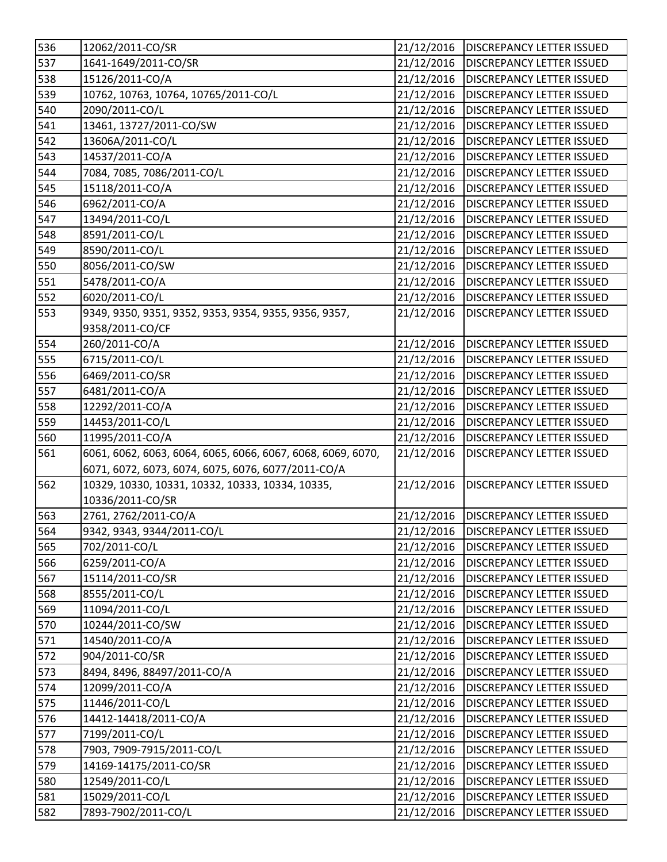| 536        | 12062/2011-CO/SR                                            | 21/12/2016               | <b>DISCREPANCY LETTER ISSUED</b>       |
|------------|-------------------------------------------------------------|--------------------------|----------------------------------------|
| 537        | 1641-1649/2011-CO/SR                                        | 21/12/2016               | <b>DISCREPANCY LETTER ISSUED</b>       |
| 538        | 15126/2011-CO/A                                             | 21/12/2016               | <b>DISCREPANCY LETTER ISSUED</b>       |
| 539        | 10762, 10763, 10764, 10765/2011-CO/L                        | 21/12/2016               | <b>DISCREPANCY LETTER ISSUED</b>       |
| 540        | 2090/2011-CO/L                                              | 21/12/2016               | <b>DISCREPANCY LETTER ISSUED</b>       |
| 541        | 13461, 13727/2011-CO/SW                                     | 21/12/2016               | DISCREPANCY LETTER ISSUED              |
| 542        | 13606A/2011-CO/L                                            | 21/12/2016               | <b>DISCREPANCY LETTER ISSUED</b>       |
| 543        | 14537/2011-CO/A                                             | 21/12/2016               | <b>DISCREPANCY LETTER ISSUED</b>       |
| 544        | 7084, 7085, 7086/2011-CO/L                                  | 21/12/2016               | <b>DISCREPANCY LETTER ISSUED</b>       |
| 545        | 15118/2011-CO/A                                             | 21/12/2016               | <b>DISCREPANCY LETTER ISSUED</b>       |
| 546        | 6962/2011-CO/A                                              | 21/12/2016               | <b>DISCREPANCY LETTER ISSUED</b>       |
| 547        | 13494/2011-CO/L                                             | 21/12/2016               | <b>DISCREPANCY LETTER ISSUED</b>       |
| 548        | 8591/2011-CO/L                                              | 21/12/2016               | <b>DISCREPANCY LETTER ISSUED</b>       |
| 549        | 8590/2011-CO/L                                              | 21/12/2016               | <b>DISCREPANCY LETTER ISSUED</b>       |
| 550        | 8056/2011-CO/SW                                             | 21/12/2016               | <b>DISCREPANCY LETTER ISSUED</b>       |
| 551        | 5478/2011-CO/A                                              | 21/12/2016               | <b>DISCREPANCY LETTER ISSUED</b>       |
| 552        | 6020/2011-CO/L                                              | 21/12/2016               | <b>DISCREPANCY LETTER ISSUED</b>       |
| 553        | 9349, 9350, 9351, 9352, 9353, 9354, 9355, 9356, 9357,       | 21/12/2016               | <b>DISCREPANCY LETTER ISSUED</b>       |
|            | 9358/2011-CO/CF                                             |                          |                                        |
| 554        | 260/2011-CO/A                                               | 21/12/2016               | <b>DISCREPANCY LETTER ISSUED</b>       |
| 555        | 6715/2011-CO/L                                              | 21/12/2016               | <b>DISCREPANCY LETTER ISSUED</b>       |
| 556        | 6469/2011-CO/SR                                             | 21/12/2016               | <b>DISCREPANCY LETTER ISSUED</b>       |
| 557        | 6481/2011-CO/A                                              | 21/12/2016               | <b>DISCREPANCY LETTER ISSUED</b>       |
| 558        | 12292/2011-CO/A                                             | 21/12/2016               | DISCREPANCY LETTER ISSUED              |
| 559        | 14453/2011-CO/L                                             | 21/12/2016               | <b>DISCREPANCY LETTER ISSUED</b>       |
| 560        | 11995/2011-CO/A                                             | 21/12/2016               | <b>DISCREPANCY LETTER ISSUED</b>       |
| 561        | 6061, 6062, 6063, 6064, 6065, 6066, 6067, 6068, 6069, 6070, | 21/12/2016               | DISCREPANCY LETTER ISSUED              |
|            | 6071, 6072, 6073, 6074, 6075, 6076, 6077/2011-CO/A          |                          |                                        |
| 562        | 10329, 10330, 10331, 10332, 10333, 10334, 10335,            | 21/12/2016               | <b>DISCREPANCY LETTER ISSUED</b>       |
|            | 10336/2011-CO/SR                                            |                          |                                        |
| 563        | 2761, 2762/2011-CO/A                                        | 21/12/2016               | <b>DISCREPANCY LETTER ISSUED</b>       |
| 564        | 9342, 9343, 9344/2011-CO/L                                  |                          | 21/12/2016   DISCREPANCY LETTER ISSUED |
| 565        | 702/2011-CO/L                                               | 21/12/2016               | <b>DISCREPANCY LETTER ISSUED</b>       |
| 566        | 6259/2011-CO/A                                              | 21/12/2016               | <b>DISCREPANCY LETTER ISSUED</b>       |
| 567        | 15114/2011-CO/SR                                            | 21/12/2016               | DISCREPANCY LETTER ISSUED              |
| 568        | 8555/2011-CO/L                                              | 21/12/2016               | <b>DISCREPANCY LETTER ISSUED</b>       |
| 569        | 11094/2011-CO/L                                             | 21/12/2016               | DISCREPANCY LETTER ISSUED              |
| 570        | 10244/2011-CO/SW                                            | 21/12/2016               | DISCREPANCY LETTER ISSUED              |
| 571        |                                                             |                          |                                        |
|            |                                                             | 21/12/2016               | DISCREPANCY LETTER ISSUED              |
| 572        | 14540/2011-CO/A<br>904/2011-CO/SR                           | 21/12/2016               | DISCREPANCY LETTER ISSUED              |
| 573        | 8494, 8496, 88497/2011-CO/A                                 | 21/12/2016               | <b>DISCREPANCY LETTER ISSUED</b>       |
|            | 12099/2011-CO/A                                             |                          | DISCREPANCY LETTER ISSUED              |
| 574<br>575 | 11446/2011-CO/L                                             | 21/12/2016<br>21/12/2016 | DISCREPANCY LETTER ISSUED              |
|            | 14412-14418/2011-CO/A                                       | 21/12/2016               | DISCREPANCY LETTER ISSUED              |
| 576<br>577 | 7199/2011-CO/L                                              | 21/12/2016               | DISCREPANCY LETTER ISSUED              |
| 578        | 7903, 7909-7915/2011-CO/L                                   | 21/12/2016               | DISCREPANCY LETTER ISSUED              |
| 579        | 14169-14175/2011-CO/SR                                      | 21/12/2016               | DISCREPANCY LETTER ISSUED              |
| 580        | 12549/2011-CO/L                                             | 21/12/2016               | DISCREPANCY LETTER ISSUED              |
| 581        | 15029/2011-CO/L                                             | 21/12/2016               | DISCREPANCY LETTER ISSUED              |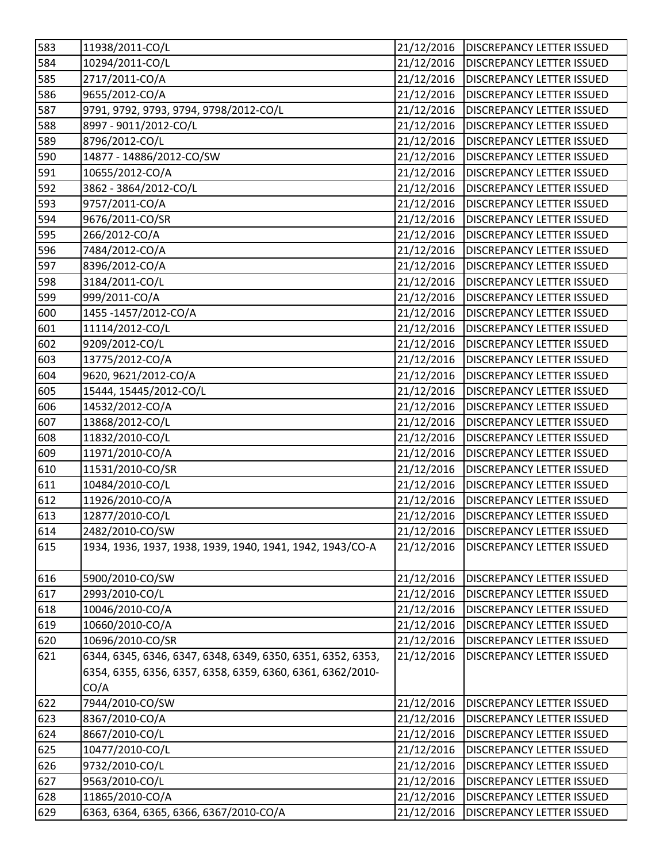| 583 | 11938/2011-CO/L                                             | 21/12/2016 | <b>DISCREPANCY LETTER ISSUED</b> |
|-----|-------------------------------------------------------------|------------|----------------------------------|
| 584 | 10294/2011-CO/L                                             | 21/12/2016 | <b>DISCREPANCY LETTER ISSUED</b> |
| 585 | 2717/2011-CO/A                                              | 21/12/2016 | <b>DISCREPANCY LETTER ISSUED</b> |
| 586 | 9655/2012-CO/A                                              | 21/12/2016 | <b>DISCREPANCY LETTER ISSUED</b> |
| 587 | 9791, 9792, 9793, 9794, 9798/2012-CO/L                      | 21/12/2016 | <b>DISCREPANCY LETTER ISSUED</b> |
| 588 | 8997 - 9011/2012-CO/L                                       | 21/12/2016 | <b>DISCREPANCY LETTER ISSUED</b> |
| 589 | 8796/2012-CO/L                                              | 21/12/2016 | <b>DISCREPANCY LETTER ISSUED</b> |
| 590 | 14877 - 14886/2012-CO/SW                                    | 21/12/2016 | <b>DISCREPANCY LETTER ISSUED</b> |
| 591 | 10655/2012-CO/A                                             | 21/12/2016 | <b>DISCREPANCY LETTER ISSUED</b> |
| 592 | 3862 - 3864/2012-CO/L                                       | 21/12/2016 | <b>DISCREPANCY LETTER ISSUED</b> |
| 593 | 9757/2011-CO/A                                              | 21/12/2016 | <b>DISCREPANCY LETTER ISSUED</b> |
| 594 | 9676/2011-CO/SR                                             | 21/12/2016 | <b>DISCREPANCY LETTER ISSUED</b> |
| 595 | 266/2012-CO/A                                               | 21/12/2016 | <b>DISCREPANCY LETTER ISSUED</b> |
| 596 | 7484/2012-CO/A                                              | 21/12/2016 | <b>DISCREPANCY LETTER ISSUED</b> |
| 597 | 8396/2012-CO/A                                              | 21/12/2016 | <b>DISCREPANCY LETTER ISSUED</b> |
| 598 | 3184/2011-CO/L                                              | 21/12/2016 | <b>DISCREPANCY LETTER ISSUED</b> |
| 599 | 999/2011-CO/A                                               | 21/12/2016 | <b>DISCREPANCY LETTER ISSUED</b> |
| 600 | 1455-1457/2012-CO/A                                         | 21/12/2016 | <b>DISCREPANCY LETTER ISSUED</b> |
| 601 | 11114/2012-CO/L                                             | 21/12/2016 | <b>DISCREPANCY LETTER ISSUED</b> |
| 602 | 9209/2012-CO/L                                              | 21/12/2016 | <b>DISCREPANCY LETTER ISSUED</b> |
| 603 | 13775/2012-CO/A                                             | 21/12/2016 | <b>DISCREPANCY LETTER ISSUED</b> |
| 604 | 9620, 9621/2012-CO/A                                        | 21/12/2016 | <b>DISCREPANCY LETTER ISSUED</b> |
| 605 | 15444, 15445/2012-CO/L                                      | 21/12/2016 | <b>DISCREPANCY LETTER ISSUED</b> |
| 606 | 14532/2012-CO/A                                             | 21/12/2016 | <b>DISCREPANCY LETTER ISSUED</b> |
| 607 | 13868/2012-CO/L                                             | 21/12/2016 | <b>DISCREPANCY LETTER ISSUED</b> |
| 608 | 11832/2010-CO/L                                             | 21/12/2016 | <b>DISCREPANCY LETTER ISSUED</b> |
| 609 | 11971/2010-CO/A                                             | 21/12/2016 | <b>DISCREPANCY LETTER ISSUED</b> |
| 610 | 11531/2010-CO/SR                                            | 21/12/2016 | <b>DISCREPANCY LETTER ISSUED</b> |
| 611 | 10484/2010-CO/L                                             | 21/12/2016 | <b>DISCREPANCY LETTER ISSUED</b> |
| 612 | 11926/2010-CO/A                                             | 21/12/2016 | <b>DISCREPANCY LETTER ISSUED</b> |
| 613 | 12877/2010-CO/L                                             | 21/12/2016 | <b>DISCREPANCY LETTER ISSUED</b> |
| 614 | 2482/2010-CO/SW                                             | 21/12/2016 | <b>DISCREPANCY LETTER ISSUED</b> |
| 615 | 1934, 1936, 1937, 1938, 1939, 1940, 1941, 1942, 1943/CO-A   | 21/12/2016 | <b>DISCREPANCY LETTER ISSUED</b> |
| 616 | 5900/2010-CO/SW                                             | 21/12/2016 | <b>DISCREPANCY LETTER ISSUED</b> |
| 617 | 2993/2010-CO/L                                              | 21/12/2016 | DISCREPANCY LETTER ISSUED        |
| 618 | 10046/2010-CO/A                                             | 21/12/2016 | DISCREPANCY LETTER ISSUED        |
| 619 | 10660/2010-CO/A                                             | 21/12/2016 | <b>DISCREPANCY LETTER ISSUED</b> |
| 620 | 10696/2010-CO/SR                                            | 21/12/2016 | <b>DISCREPANCY LETTER ISSUED</b> |
| 621 | 6344, 6345, 6346, 6347, 6348, 6349, 6350, 6351, 6352, 6353, | 21/12/2016 | <b>DISCREPANCY LETTER ISSUED</b> |
|     | 6354, 6355, 6356, 6357, 6358, 6359, 6360, 6361, 6362/2010-  |            |                                  |
|     | CO/A                                                        |            |                                  |
| 622 | 7944/2010-CO/SW                                             | 21/12/2016 | <b>DISCREPANCY LETTER ISSUED</b> |
| 623 | 8367/2010-CO/A                                              | 21/12/2016 | DISCREPANCY LETTER ISSUED        |
| 624 | 8667/2010-CO/L                                              | 21/12/2016 | <b>DISCREPANCY LETTER ISSUED</b> |
| 625 | 10477/2010-CO/L                                             | 21/12/2016 | <b>DISCREPANCY LETTER ISSUED</b> |
| 626 | 9732/2010-CO/L                                              | 21/12/2016 | DISCREPANCY LETTER ISSUED        |
| 627 | 9563/2010-CO/L                                              | 21/12/2016 | <b>DISCREPANCY LETTER ISSUED</b> |
| 628 | 11865/2010-CO/A                                             | 21/12/2016 | DISCREPANCY LETTER ISSUED        |
| 629 | 6363, 6364, 6365, 6366, 6367/2010-CO/A                      | 21/12/2016 | DISCREPANCY LETTER ISSUED        |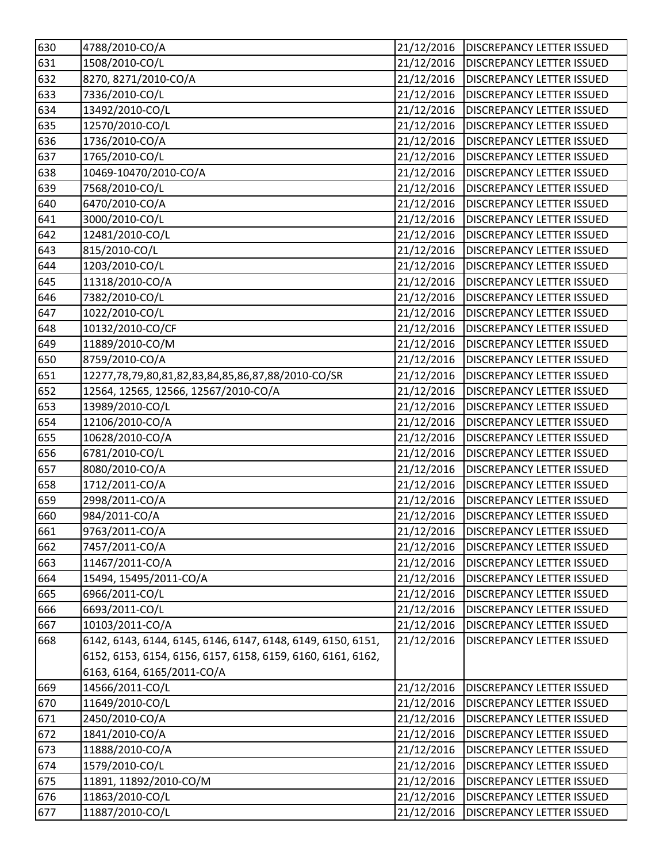| 630               | 4788/2010-CO/A                                              | 21/12/2016              | <b>DISCREPANCY LETTER ISSUED</b> |
|-------------------|-------------------------------------------------------------|-------------------------|----------------------------------|
| 631               | 1508/2010-CO/L                                              | 21/12/2016              | <b>DISCREPANCY LETTER ISSUED</b> |
| 632               | 8270, 8271/2010-CO/A                                        | 21/12/2016              | <b>DISCREPANCY LETTER ISSUED</b> |
| 633               | 7336/2010-CO/L                                              | 21/12/2016              | <b>DISCREPANCY LETTER ISSUED</b> |
| 634               | 13492/2010-CO/L                                             | 21/12/2016              | <b>DISCREPANCY LETTER ISSUED</b> |
| 635               | 12570/2010-CO/L                                             | 21/12/2016              | <b>DISCREPANCY LETTER ISSUED</b> |
| 636               | 1736/2010-CO/A                                              | 21/12/2016              | <b>DISCREPANCY LETTER ISSUED</b> |
| 637               | 1765/2010-CO/L                                              | 21/12/2016              | <b>DISCREPANCY LETTER ISSUED</b> |
| 638               | 10469-10470/2010-CO/A                                       | 21/12/2016              | <b>DISCREPANCY LETTER ISSUED</b> |
| 639               | 7568/2010-CO/L                                              | 21/12/2016              | <b>DISCREPANCY LETTER ISSUED</b> |
| 640               | 6470/2010-CO/A                                              | 21/12/2016              | <b>DISCREPANCY LETTER ISSUED</b> |
| 641               | 3000/2010-CO/L                                              | 21/12/2016              | <b>DISCREPANCY LETTER ISSUED</b> |
| 642               | 12481/2010-CO/L                                             | 21/12/2016              | <b>DISCREPANCY LETTER ISSUED</b> |
| 643               | 815/2010-CO/L                                               | 21/12/2016              | <b>DISCREPANCY LETTER ISSUED</b> |
| 644               | 1203/2010-CO/L                                              | 21/12/2016              | <b>DISCREPANCY LETTER ISSUED</b> |
| $\overline{6}$ 45 | 11318/2010-CO/A                                             | 21/12/2016              | <b>DISCREPANCY LETTER ISSUED</b> |
| 646               | 7382/2010-CO/L                                              | 21/12/2016              | <b>DISCREPANCY LETTER ISSUED</b> |
| 647               | 1022/2010-CO/L                                              | 21/12/2016              | <b>DISCREPANCY LETTER ISSUED</b> |
| 648               | 10132/2010-CO/CF                                            | 21/12/2016              | <b>DISCREPANCY LETTER ISSUED</b> |
| 649               | 11889/2010-CO/M                                             | 21/12/2016              | <b>DISCREPANCY LETTER ISSUED</b> |
| $\overline{6}50$  | 8759/2010-CO/A                                              | 21/12/2016              | <b>DISCREPANCY LETTER ISSUED</b> |
| 651               | 12277,78,79,80,81,82,83,84,85,86,87,88/2010-CO/SR           | 21/12/2016              | <b>DISCREPANCY LETTER ISSUED</b> |
| 652               | 12564, 12565, 12566, 12567/2010-CO/A                        | 21/12/2016              | <b>DISCREPANCY LETTER ISSUED</b> |
| 653               | 13989/2010-CO/L                                             | 21/12/2016              | <b>DISCREPANCY LETTER ISSUED</b> |
| 654               | 12106/2010-CO/A                                             | 21/12/2016              | <b>DISCREPANCY LETTER ISSUED</b> |
| 655               | 10628/2010-CO/A                                             | 21/12/2016              | <b>DISCREPANCY LETTER ISSUED</b> |
| 656               | 6781/2010-CO/L                                              | 21/12/2016              | <b>DISCREPANCY LETTER ISSUED</b> |
| 657               | 8080/2010-CO/A                                              | 21/12/2016              | <b>DISCREPANCY LETTER ISSUED</b> |
| 658               | 1712/2011-CO/A                                              | 21/12/2016              | <b>DISCREPANCY LETTER ISSUED</b> |
| 659               | 2998/2011-CO/A                                              | 21/12/2016              | <b>DISCREPANCY LETTER ISSUED</b> |
| 660               | 984/2011-CO/A                                               | 21/12/2016              | <b>DISCREPANCY LETTER ISSUED</b> |
| 661               | 9763/2011-CO/A                                              | $\overline{21/12/2016}$ | <b>DISCREPANCY LETTER ISSUED</b> |
| 662               | 7457/2011-CO/A                                              | 21/12/2016              | <b>DISCREPANCY LETTER ISSUED</b> |
| 663               | 11467/2011-CO/A                                             | 21/12/2016              | <b>DISCREPANCY LETTER ISSUED</b> |
| 664               | 15494, 15495/2011-CO/A                                      | 21/12/2016              | <b>DISCREPANCY LETTER ISSUED</b> |
| 665               | 6966/2011-CO/L                                              | 21/12/2016              | <b>DISCREPANCY LETTER ISSUED</b> |
| 666               | 6693/2011-CO/L                                              | 21/12/2016              | DISCREPANCY LETTER ISSUED        |
| 667               | 10103/2011-CO/A                                             | 21/12/2016              | <b>DISCREPANCY LETTER ISSUED</b> |
| 668               | 6142, 6143, 6144, 6145, 6146, 6147, 6148, 6149, 6150, 6151, | 21/12/2016              | <b>DISCREPANCY LETTER ISSUED</b> |
|                   | 6152, 6153, 6154, 6156, 6157, 6158, 6159, 6160, 6161, 6162, |                         |                                  |
|                   | 6163, 6164, 6165/2011-CO/A                                  |                         |                                  |
| 669               | 14566/2011-CO/L                                             | 21/12/2016              | <b>DISCREPANCY LETTER ISSUED</b> |
| 670               | 11649/2010-CO/L                                             | 21/12/2016              | <b>DISCREPANCY LETTER ISSUED</b> |
| 671               | 2450/2010-CO/A                                              | 21/12/2016              | DISCREPANCY LETTER ISSUED        |
| 672               | 1841/2010-CO/A                                              | 21/12/2016              | DISCREPANCY LETTER ISSUED        |
| 673               | 11888/2010-CO/A                                             | 21/12/2016              | <b>DISCREPANCY LETTER ISSUED</b> |
| 674               | 1579/2010-CO/L                                              | 21/12/2016              | DISCREPANCY LETTER ISSUED        |
| 675               | 11891, 11892/2010-CO/M                                      | 21/12/2016              | DISCREPANCY LETTER ISSUED        |
| 676               | 11863/2010-CO/L                                             | 21/12/2016              | DISCREPANCY LETTER ISSUED        |
| 677               | 11887/2010-CO/L                                             | 21/12/2016              | DISCREPANCY LETTER ISSUED        |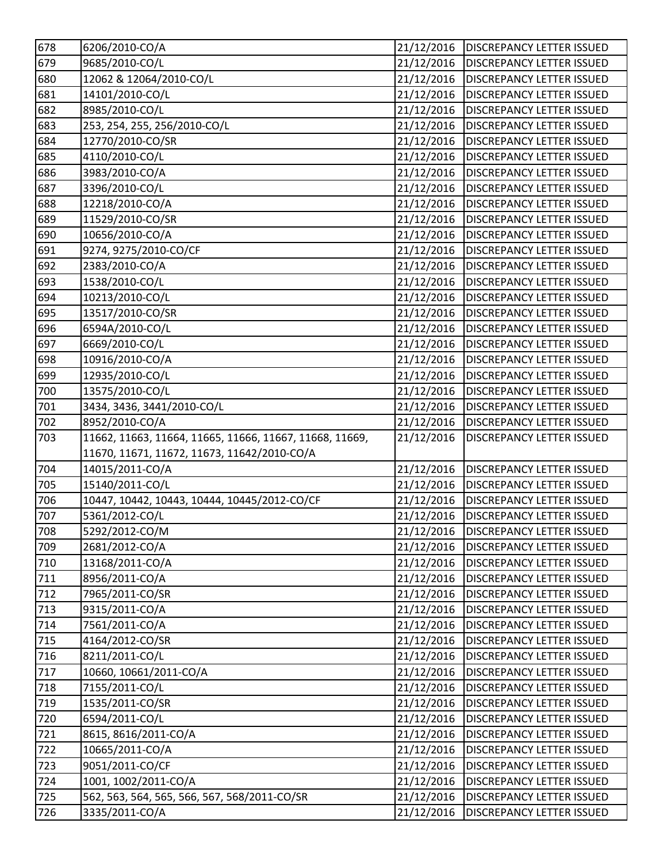| 678   | 6206/2010-CO/A                                          | 21/12/2016 | <b>DISCREPANCY LETTER ISSUED</b>       |
|-------|---------------------------------------------------------|------------|----------------------------------------|
| 679   | 9685/2010-CO/L                                          | 21/12/2016 | <b>DISCREPANCY LETTER ISSUED</b>       |
| 680   | 12062 & 12064/2010-CO/L                                 | 21/12/2016 | <b>DISCREPANCY LETTER ISSUED</b>       |
| 681   | 14101/2010-CO/L                                         | 21/12/2016 | <b>DISCREPANCY LETTER ISSUED</b>       |
| 682   | 8985/2010-CO/L                                          | 21/12/2016 | <b>DISCREPANCY LETTER ISSUED</b>       |
| 683   | 253, 254, 255, 256/2010-CO/L                            | 21/12/2016 | <b>DISCREPANCY LETTER ISSUED</b>       |
| 684   | 12770/2010-CO/SR                                        | 21/12/2016 | <b>DISCREPANCY LETTER ISSUED</b>       |
| 685   | 4110/2010-CO/L                                          | 21/12/2016 | <b>DISCREPANCY LETTER ISSUED</b>       |
| 686   | 3983/2010-CO/A                                          | 21/12/2016 | <b>DISCREPANCY LETTER ISSUED</b>       |
| 687   | 3396/2010-CO/L                                          | 21/12/2016 | <b>DISCREPANCY LETTER ISSUED</b>       |
| 688   | 12218/2010-CO/A                                         | 21/12/2016 | <b>DISCREPANCY LETTER ISSUED</b>       |
| 689   | 11529/2010-CO/SR                                        | 21/12/2016 | <b>DISCREPANCY LETTER ISSUED</b>       |
| 690   | 10656/2010-CO/A                                         | 21/12/2016 | <b>DISCREPANCY LETTER ISSUED</b>       |
| 691   | 9274, 9275/2010-CO/CF                                   | 21/12/2016 | <b>DISCREPANCY LETTER ISSUED</b>       |
| 692   | 2383/2010-CO/A                                          | 21/12/2016 | <b>DISCREPANCY LETTER ISSUED</b>       |
| 693   | 1538/2010-CO/L                                          | 21/12/2016 | <b>DISCREPANCY LETTER ISSUED</b>       |
| 694   | 10213/2010-CO/L                                         | 21/12/2016 | <b>DISCREPANCY LETTER ISSUED</b>       |
| 695   | 13517/2010-CO/SR                                        | 21/12/2016 | <b>DISCREPANCY LETTER ISSUED</b>       |
| 696   | 6594A/2010-CO/L                                         | 21/12/2016 | <b>DISCREPANCY LETTER ISSUED</b>       |
| 697   | 6669/2010-CO/L                                          | 21/12/2016 | <b>DISCREPANCY LETTER ISSUED</b>       |
| 698   | 10916/2010-CO/A                                         | 21/12/2016 | <b>DISCREPANCY LETTER ISSUED</b>       |
| 699   | 12935/2010-CO/L                                         | 21/12/2016 | <b>DISCREPANCY LETTER ISSUED</b>       |
| 700   | 13575/2010-CO/L                                         | 21/12/2016 | <b>DISCREPANCY LETTER ISSUED</b>       |
| 701   | 3434, 3436, 3441/2010-CO/L                              | 21/12/2016 | <b>DISCREPANCY LETTER ISSUED</b>       |
| 702   | 8952/2010-CO/A                                          | 21/12/2016 | <b>DISCREPANCY LETTER ISSUED</b>       |
| 703   | 11662, 11663, 11664, 11665, 11666, 11667, 11668, 11669, | 21/12/2016 | <b>DISCREPANCY LETTER ISSUED</b>       |
|       | 11670, 11671, 11672, 11673, 11642/2010-CO/A             |            |                                        |
| 704   | 14015/2011-CO/A                                         | 21/12/2016 | <b>DISCREPANCY LETTER ISSUED</b>       |
| 705   | 15140/2011-CO/L                                         | 21/12/2016 | <b>DISCREPANCY LETTER ISSUED</b>       |
| 706   | 10447, 10442, 10443, 10444, 10445/2012-CO/CF            | 21/12/2016 | <b>DISCREPANCY LETTER ISSUED</b>       |
| 707   | 5361/2012-CO/L                                          | 21/12/2016 | <b>DISCREPANCY LETTER ISSUED</b>       |
| 708   | 5292/2012-CO/M                                          |            | 21/12/2016   DISCREPANCY LETTER ISSUED |
| 709   | 2681/2012-CO/A                                          | 21/12/2016 | <b>DISCREPANCY LETTER ISSUED</b>       |
| 710   | 13168/2011-CO/A                                         | 21/12/2016 | <b>DISCREPANCY LETTER ISSUED</b>       |
| 711   | 8956/2011-CO/A                                          | 21/12/2016 | <b>DISCREPANCY LETTER ISSUED</b>       |
| 712   | 7965/2011-CO/SR                                         | 21/12/2016 | <b>DISCREPANCY LETTER ISSUED</b>       |
| 713   | 9315/2011-CO/A                                          | 21/12/2016 | <b>DISCREPANCY LETTER ISSUED</b>       |
| 714   | 7561/2011-CO/A                                          | 21/12/2016 | <b>DISCREPANCY LETTER ISSUED</b>       |
| 715   | 4164/2012-CO/SR                                         | 21/12/2016 | <b>DISCREPANCY LETTER ISSUED</b>       |
| 716   | 8211/2011-CO/L                                          | 21/12/2016 | <b>DISCREPANCY LETTER ISSUED</b>       |
| 717   | 10660, 10661/2011-CO/A                                  | 21/12/2016 | <b>DISCREPANCY LETTER ISSUED</b>       |
| 718   | 7155/2011-CO/L                                          | 21/12/2016 | DISCREPANCY LETTER ISSUED              |
| 719   | 1535/2011-CO/SR                                         | 21/12/2016 | <b>DISCREPANCY LETTER ISSUED</b>       |
| 720   | 6594/2011-CO/L                                          | 21/12/2016 | DISCREPANCY LETTER ISSUED              |
| 721   | 8615, 8616/2011-CO/A                                    | 21/12/2016 | DISCREPANCY LETTER ISSUED              |
| 722   | 10665/2011-CO/A                                         | 21/12/2016 | <b>DISCREPANCY LETTER ISSUED</b>       |
| 723   | 9051/2011-CO/CF                                         | 21/12/2016 | DISCREPANCY LETTER ISSUED              |
| 724   | 1001, 1002/2011-CO/A                                    | 21/12/2016 | <b>DISCREPANCY LETTER ISSUED</b>       |
| 725   | 562, 563, 564, 565, 566, 567, 568/2011-CO/SR            | 21/12/2016 | DISCREPANCY LETTER ISSUED              |
| $726$ | 3335/2011-CO/A                                          | 21/12/2016 | DISCREPANCY LETTER ISSUED              |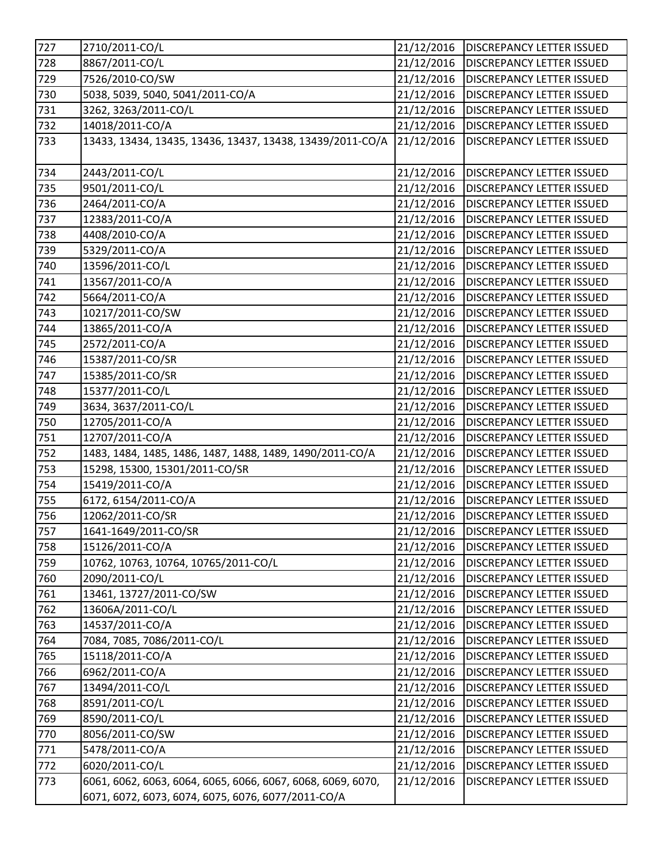| 727 | 2710/2011-CO/L                                              | 21/12/2016 | <b>DISCREPANCY LETTER ISSUED</b>  |
|-----|-------------------------------------------------------------|------------|-----------------------------------|
| 728 | 8867/2011-CO/L                                              | 21/12/2016 | <b>DISCREPANCY LETTER ISSUED</b>  |
| 729 | 7526/2010-CO/SW                                             | 21/12/2016 | <b>DISCREPANCY LETTER ISSUED</b>  |
| 730 | 5038, 5039, 5040, 5041/2011-CO/A                            | 21/12/2016 | <b>DISCREPANCY LETTER ISSUED</b>  |
| 731 | 3262, 3263/2011-CO/L                                        | 21/12/2016 | <b>DISCREPANCY LETTER ISSUED</b>  |
| 732 | 14018/2011-CO/A                                             | 21/12/2016 | <b>DISCREPANCY LETTER ISSUED</b>  |
| 733 | 13433, 13434, 13435, 13436, 13437, 13438, 13439/2011-CO/A   | 21/12/2016 | DISCREPANCY LETTER ISSUED         |
|     |                                                             |            |                                   |
| 734 | 2443/2011-CO/L                                              | 21/12/2016 | <b>DISCREPANCY LETTER ISSUED</b>  |
| 735 | 9501/2011-CO/L                                              | 21/12/2016 | <b>DISCREPANCY LETTER ISSUED</b>  |
| 736 | 2464/2011-CO/A                                              | 21/12/2016 | <b>DISCREPANCY LETTER ISSUED</b>  |
| 737 | 12383/2011-CO/A                                             | 21/12/2016 | <b>DISCREPANCY LETTER ISSUED</b>  |
| 738 | 4408/2010-CO/A                                              | 21/12/2016 | <b>DISCREPANCY LETTER ISSUED</b>  |
| 739 | 5329/2011-CO/A                                              | 21/12/2016 | <b>DISCREPANCY LETTER ISSUED</b>  |
| 740 | 13596/2011-CO/L                                             | 21/12/2016 | <b>DISCREPANCY LETTER ISSUED</b>  |
| 741 | 13567/2011-CO/A                                             | 21/12/2016 | <b>DISCREPANCY LETTER ISSUED</b>  |
| 742 | 5664/2011-CO/A                                              | 21/12/2016 | <b>DISCREPANCY LETTER ISSUED</b>  |
| 743 | 10217/2011-CO/SW                                            | 21/12/2016 | <b>DISCREPANCY LETTER ISSUED</b>  |
| 744 | 13865/2011-CO/A                                             | 21/12/2016 | <b>DISCREPANCY LETTER ISSUED</b>  |
| 745 | 2572/2011-CO/A                                              | 21/12/2016 | <b>DISCREPANCY LETTER ISSUED</b>  |
| 746 | 15387/2011-CO/SR                                            | 21/12/2016 | <b>DISCREPANCY LETTER ISSUED</b>  |
| 747 | 15385/2011-CO/SR                                            | 21/12/2016 | <b>DISCREPANCY LETTER ISSUED</b>  |
| 748 | 15377/2011-CO/L                                             | 21/12/2016 | <b>DISCREPANCY LETTER ISSUED</b>  |
| 749 | 3634, 3637/2011-CO/L                                        | 21/12/2016 | <b>DISCREPANCY LETTER ISSUED</b>  |
| 750 | 12705/2011-CO/A                                             | 21/12/2016 | <b>DISCREPANCY LETTER ISSUED</b>  |
| 751 | 12707/2011-CO/A                                             | 21/12/2016 | <b>DISCREPANCY LETTER ISSUED</b>  |
| 752 | 1483, 1484, 1485, 1486, 1487, 1488, 1489, 1490/2011-CO/A    | 21/12/2016 | <b>DISCREPANCY LETTER ISSUED</b>  |
| 753 | 15298, 15300, 15301/2011-CO/SR                              | 21/12/2016 | <b>DISCREPANCY LETTER ISSUED</b>  |
| 754 | 15419/2011-CO/A                                             | 21/12/2016 | <b>DISCREPANCY LETTER ISSUED</b>  |
| 755 | 6172, 6154/2011-CO/A                                        | 21/12/2016 | <b>DISCREPANCY LETTER ISSUED</b>  |
| 756 | 12062/2011-CO/SR                                            | 21/12/2016 | <b>DISCREPANCY LETTER ISSUED</b>  |
| 757 | 1641-1649/2011-CO/SR                                        | 21/12/2016 | <b>IDISCREPANCY LETTER ISSUED</b> |
| 758 | 15126/2011-CO/A                                             | 21/12/2016 | <b>DISCREPANCY LETTER ISSUED</b>  |
| 759 | 10762, 10763, 10764, 10765/2011-CO/L                        | 21/12/2016 | DISCREPANCY LETTER ISSUED         |
| 760 | 2090/2011-CO/L                                              | 21/12/2016 | <b>DISCREPANCY LETTER ISSUED</b>  |
| 761 | 13461, 13727/2011-CO/SW                                     | 21/12/2016 | DISCREPANCY LETTER ISSUED         |
| 762 | 13606A/2011-CO/L                                            | 21/12/2016 | <b>DISCREPANCY LETTER ISSUED</b>  |
| 763 | 14537/2011-CO/A                                             | 21/12/2016 | DISCREPANCY LETTER ISSUED         |
| 764 | 7084, 7085, 7086/2011-CO/L                                  | 21/12/2016 | DISCREPANCY LETTER ISSUED         |
| 765 | 15118/2011-CO/A                                             | 21/12/2016 | <b>DISCREPANCY LETTER ISSUED</b>  |
| 766 | 6962/2011-CO/A                                              | 21/12/2016 | DISCREPANCY LETTER ISSUED         |
| 767 | 13494/2011-CO/L                                             | 21/12/2016 | DISCREPANCY LETTER ISSUED         |
| 768 | 8591/2011-CO/L                                              | 21/12/2016 | DISCREPANCY LETTER ISSUED         |
| 769 | 8590/2011-CO/L                                              | 21/12/2016 | DISCREPANCY LETTER ISSUED         |
| 770 | 8056/2011-CO/SW                                             | 21/12/2016 | DISCREPANCY LETTER ISSUED         |
| 771 | 5478/2011-CO/A                                              | 21/12/2016 | DISCREPANCY LETTER ISSUED         |
| 772 | 6020/2011-CO/L                                              | 21/12/2016 | DISCREPANCY LETTER ISSUED         |
| 773 | 6061, 6062, 6063, 6064, 6065, 6066, 6067, 6068, 6069, 6070, | 21/12/2016 | DISCREPANCY LETTER ISSUED         |
|     | 6071, 6072, 6073, 6074, 6075, 6076, 6077/2011-CO/A          |            |                                   |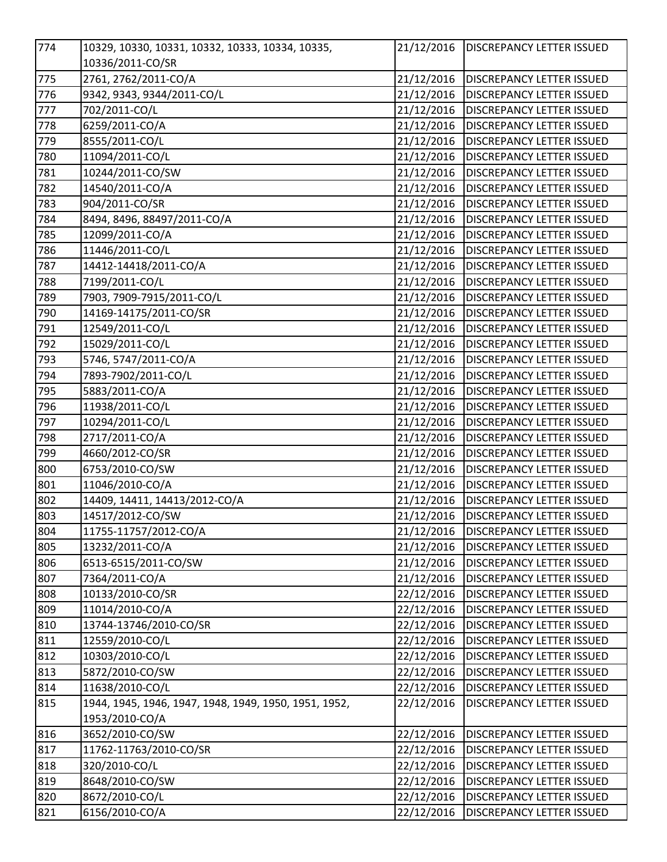| 774              | 10329, 10330, 10331, 10332, 10333, 10334, 10335,      | 21/12/2016 | <b>DISCREPANCY LETTER ISSUED</b> |
|------------------|-------------------------------------------------------|------------|----------------------------------|
|                  | 10336/2011-CO/SR                                      |            |                                  |
| 775              | 2761, 2762/2011-CO/A                                  | 21/12/2016 | <b>DISCREPANCY LETTER ISSUED</b> |
| 776              | 9342, 9343, 9344/2011-CO/L                            | 21/12/2016 | <b>DISCREPANCY LETTER ISSUED</b> |
| $\overline{7}77$ | 702/2011-CO/L                                         | 21/12/2016 | <b>DISCREPANCY LETTER ISSUED</b> |
| 778              | 6259/2011-CO/A                                        | 21/12/2016 | <b>DISCREPANCY LETTER ISSUED</b> |
| $\overline{779}$ | 8555/2011-CO/L                                        | 21/12/2016 | <b>DISCREPANCY LETTER ISSUED</b> |
| 780              | 11094/2011-CO/L                                       | 21/12/2016 | DISCREPANCY LETTER ISSUED        |
| 781              | 10244/2011-CO/SW                                      | 21/12/2016 | DISCREPANCY LETTER ISSUED        |
| 782              | 14540/2011-CO/A                                       | 21/12/2016 | <b>DISCREPANCY LETTER ISSUED</b> |
| 783              | 904/2011-CO/SR                                        | 21/12/2016 | DISCREPANCY LETTER ISSUED        |
| 784              | 8494, 8496, 88497/2011-CO/A                           | 21/12/2016 | <b>DISCREPANCY LETTER ISSUED</b> |
| 785              | 12099/2011-CO/A                                       | 21/12/2016 | DISCREPANCY LETTER ISSUED        |
| 786              | 11446/2011-CO/L                                       | 21/12/2016 | <b>DISCREPANCY LETTER ISSUED</b> |
| 787              | 14412-14418/2011-CO/A                                 | 21/12/2016 | <b>DISCREPANCY LETTER ISSUED</b> |
| 788              | 7199/2011-CO/L                                        | 21/12/2016 | <b>DISCREPANCY LETTER ISSUED</b> |
| 789              | 7903, 7909-7915/2011-CO/L                             | 21/12/2016 | <b>DISCREPANCY LETTER ISSUED</b> |
| 790              | 14169-14175/2011-CO/SR                                | 21/12/2016 | <b>DISCREPANCY LETTER ISSUED</b> |
| 791              | 12549/2011-CO/L                                       | 21/12/2016 | <b>DISCREPANCY LETTER ISSUED</b> |
| 792              | 15029/2011-CO/L                                       | 21/12/2016 | <b>DISCREPANCY LETTER ISSUED</b> |
| 793              | 5746, 5747/2011-CO/A                                  | 21/12/2016 | <b>DISCREPANCY LETTER ISSUED</b> |
| 794              | 7893-7902/2011-CO/L                                   | 21/12/2016 | <b>DISCREPANCY LETTER ISSUED</b> |
| 795              | 5883/2011-CO/A                                        | 21/12/2016 | <b>DISCREPANCY LETTER ISSUED</b> |
| 796              | 11938/2011-CO/L                                       | 21/12/2016 | DISCREPANCY LETTER ISSUED        |
| 797              | 10294/2011-CO/L                                       | 21/12/2016 | <b>DISCREPANCY LETTER ISSUED</b> |
| 798              | 2717/2011-CO/A                                        | 21/12/2016 | DISCREPANCY LETTER ISSUED        |
| 799              | 4660/2012-CO/SR                                       | 21/12/2016 | DISCREPANCY LETTER ISSUED        |
| 800              | 6753/2010-CO/SW                                       | 21/12/2016 | <b>DISCREPANCY LETTER ISSUED</b> |
| 801              | 11046/2010-CO/A                                       | 21/12/2016 | DISCREPANCY LETTER ISSUED        |
| 802              | 14409, 14411, 14413/2012-CO/A                         | 21/12/2016 | <b>DISCREPANCY LETTER ISSUED</b> |
| 803              | 14517/2012-CO/SW                                      | 21/12/2016 | DISCREPANCY LETTER ISSUED        |
| 804              | 11755-11757/2012-CO/A                                 | 21/12/2016 | <b>DISCREPANCY LETTER ISSUED</b> |
| 805              | 13232/2011-CO/A                                       | 21/12/2016 | DISCREPANCY LETTER ISSUED        |
| 806              | 6513-6515/2011-CO/SW                                  | 21/12/2016 | <b>DISCREPANCY LETTER ISSUED</b> |
| 807              | 7364/2011-CO/A                                        | 21/12/2016 | <b>DISCREPANCY LETTER ISSUED</b> |
| 808              | 10133/2010-CO/SR                                      | 22/12/2016 | DISCREPANCY LETTER ISSUED        |
| 809              | 11014/2010-CO/A                                       | 22/12/2016 | DISCREPANCY LETTER ISSUED        |
| 810              | 13744-13746/2010-CO/SR                                | 22/12/2016 | DISCREPANCY LETTER ISSUED        |
| 811              | 12559/2010-CO/L                                       | 22/12/2016 | DISCREPANCY LETTER ISSUED        |
| 812              | 10303/2010-CO/L                                       | 22/12/2016 | DISCREPANCY LETTER ISSUED        |
| 813              | 5872/2010-CO/SW                                       | 22/12/2016 | DISCREPANCY LETTER ISSUED        |
| 814              | 11638/2010-CO/L                                       | 22/12/2016 | DISCREPANCY LETTER ISSUED        |
| 815              | 1944, 1945, 1946, 1947, 1948, 1949, 1950, 1951, 1952, | 22/12/2016 | DISCREPANCY LETTER ISSUED        |
|                  | 1953/2010-CO/A                                        |            |                                  |
| 816              | 3652/2010-CO/SW                                       | 22/12/2016 | DISCREPANCY LETTER ISSUED        |
| 817              | 11762-11763/2010-CO/SR                                | 22/12/2016 | DISCREPANCY LETTER ISSUED        |
| 818              | 320/2010-CO/L                                         | 22/12/2016 | DISCREPANCY LETTER ISSUED        |
| 819              | 8648/2010-CO/SW                                       | 22/12/2016 | DISCREPANCY LETTER ISSUED        |
| 820              | 8672/2010-CO/L                                        | 22/12/2016 | DISCREPANCY LETTER ISSUED        |
| 821              | 6156/2010-CO/A                                        | 22/12/2016 | DISCREPANCY LETTER ISSUED        |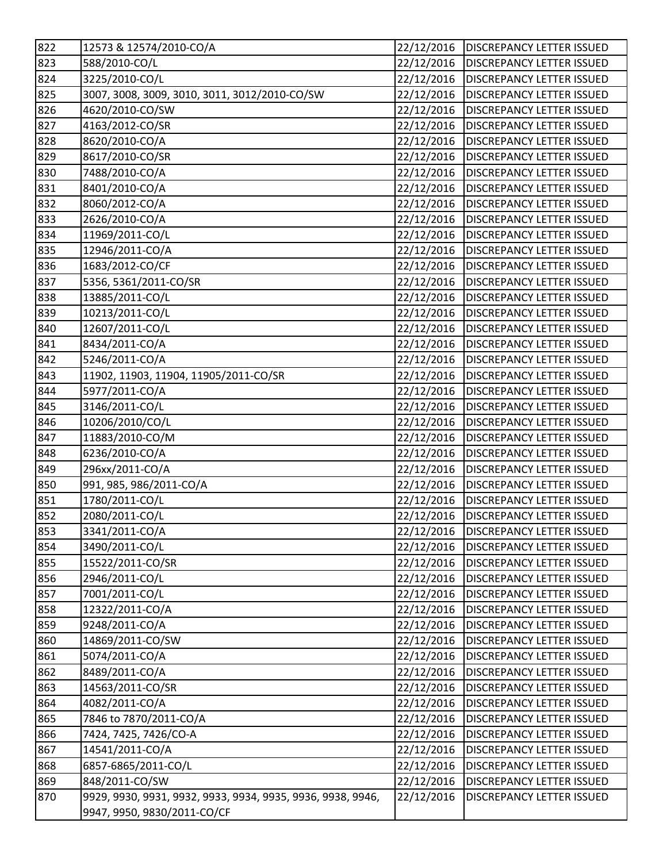| 822 | 12573 & 12574/2010-CO/A                                     | 22/12/2016 | <b>DISCREPANCY LETTER ISSUED</b>  |
|-----|-------------------------------------------------------------|------------|-----------------------------------|
| 823 | 588/2010-CO/L                                               | 22/12/2016 | <b>DISCREPANCY LETTER ISSUED</b>  |
| 824 | 3225/2010-CO/L                                              | 22/12/2016 | <b>DISCREPANCY LETTER ISSUED</b>  |
| 825 | 3007, 3008, 3009, 3010, 3011, 3012/2010-CO/SW               | 22/12/2016 | <b>DISCREPANCY LETTER ISSUED</b>  |
| 826 | 4620/2010-CO/SW                                             | 22/12/2016 | <b>DISCREPANCY LETTER ISSUED</b>  |
| 827 | 4163/2012-CO/SR                                             | 22/12/2016 | DISCREPANCY LETTER ISSUED         |
| 828 | 8620/2010-CO/A                                              | 22/12/2016 | <b>DISCREPANCY LETTER ISSUED</b>  |
| 829 | 8617/2010-CO/SR                                             | 22/12/2016 | <b>DISCREPANCY LETTER ISSUED</b>  |
| 830 | 7488/2010-CO/A                                              | 22/12/2016 | DISCREPANCY LETTER ISSUED         |
| 831 | 8401/2010-CO/A                                              | 22/12/2016 | <b>DISCREPANCY LETTER ISSUED</b>  |
| 832 | 8060/2012-CO/A                                              | 22/12/2016 | DISCREPANCY LETTER ISSUED         |
| 833 | 2626/2010-CO/A                                              | 22/12/2016 | <b>DISCREPANCY LETTER ISSUED</b>  |
| 834 | 11969/2011-CO/L                                             | 22/12/2016 | <b>DISCREPANCY LETTER ISSUED</b>  |
| 835 | 12946/2011-CO/A                                             | 22/12/2016 | DISCREPANCY LETTER ISSUED         |
| 836 | 1683/2012-CO/CF                                             | 22/12/2016 | <b>DISCREPANCY LETTER ISSUED</b>  |
| 837 | 5356, 5361/2011-CO/SR                                       | 22/12/2016 | DISCREPANCY LETTER ISSUED         |
| 838 | 13885/2011-CO/L                                             | 22/12/2016 | <b>DISCREPANCY LETTER ISSUED</b>  |
| 839 | 10213/2011-CO/L                                             | 22/12/2016 | <b>DISCREPANCY LETTER ISSUED</b>  |
| 840 | 12607/2011-CO/L                                             | 22/12/2016 | <b>DISCREPANCY LETTER ISSUED</b>  |
| 841 | 8434/2011-CO/A                                              | 22/12/2016 | <b>DISCREPANCY LETTER ISSUED</b>  |
| 842 | 5246/2011-CO/A                                              | 22/12/2016 | <b>DISCREPANCY LETTER ISSUED</b>  |
| 843 | 11902, 11903, 11904, 11905/2011-CO/SR                       | 22/12/2016 | <b>DISCREPANCY LETTER ISSUED</b>  |
| 844 | 5977/2011-CO/A                                              | 22/12/2016 | DISCREPANCY LETTER ISSUED         |
| 845 | 3146/2011-CO/L                                              | 22/12/2016 | DISCREPANCY LETTER ISSUED         |
| 846 | 10206/2010/CO/L                                             | 22/12/2016 | DISCREPANCY LETTER ISSUED         |
| 847 | 11883/2010-CO/M                                             | 22/12/2016 | <b>DISCREPANCY LETTER ISSUED</b>  |
| 848 | 6236/2010-CO/A                                              | 22/12/2016 | <b>DISCREPANCY LETTER ISSUED</b>  |
| 849 | 296xx/2011-CO/A                                             | 22/12/2016 | <b>DISCREPANCY LETTER ISSUED</b>  |
| 850 | 991, 985, 986/2011-CO/A                                     | 22/12/2016 | DISCREPANCY LETTER ISSUED         |
| 851 | 1780/2011-CO/L                                              | 22/12/2016 | <b>DISCREPANCY LETTER ISSUED</b>  |
| 852 | 2080/2011-CO/L                                              | 22/12/2016 | <b>DISCREPANCY LETTER ISSUED</b>  |
| 853 | 3341/2011-CO/A                                              | 22/12/2016 | <b>IDISCREPANCY LETTER ISSUED</b> |
| 854 | 3490/2011-CO/L                                              | 22/12/2016 | <b>DISCREPANCY LETTER ISSUED</b>  |
| 855 | 15522/2011-CO/SR                                            | 22/12/2016 | DISCREPANCY LETTER ISSUED         |
| 856 | 2946/2011-CO/L                                              | 22/12/2016 | <b>DISCREPANCY LETTER ISSUED</b>  |
| 857 | 7001/2011-CO/L                                              | 22/12/2016 | DISCREPANCY LETTER ISSUED         |
| 858 | 12322/2011-CO/A                                             | 22/12/2016 | DISCREPANCY LETTER ISSUED         |
| 859 | 9248/2011-CO/A                                              | 22/12/2016 | DISCREPANCY LETTER ISSUED         |
| 860 | 14869/2011-CO/SW                                            | 22/12/2016 | <b>DISCREPANCY LETTER ISSUED</b>  |
| 861 | 5074/2011-CO/A                                              | 22/12/2016 | <b>DISCREPANCY LETTER ISSUED</b>  |
| 862 | 8489/2011-CO/A                                              | 22/12/2016 | DISCREPANCY LETTER ISSUED         |
| 863 | 14563/2011-CO/SR                                            | 22/12/2016 | DISCREPANCY LETTER ISSUED         |
| 864 | 4082/2011-CO/A                                              | 22/12/2016 | DISCREPANCY LETTER ISSUED         |
| 865 | 7846 to 7870/2011-CO/A                                      | 22/12/2016 | DISCREPANCY LETTER ISSUED         |
| 866 | 7424, 7425, 7426/CO-A                                       | 22/12/2016 | DISCREPANCY LETTER ISSUED         |
| 867 | 14541/2011-CO/A                                             | 22/12/2016 | DISCREPANCY LETTER ISSUED         |
| 868 | 6857-6865/2011-CO/L                                         | 22/12/2016 | DISCREPANCY LETTER ISSUED         |
| 869 | 848/2011-CO/SW                                              | 22/12/2016 | <b>DISCREPANCY LETTER ISSUED</b>  |
| 870 | 9929, 9930, 9931, 9932, 9933, 9934, 9935, 9936, 9938, 9946, | 22/12/2016 | DISCREPANCY LETTER ISSUED         |
|     | 9947, 9950, 9830/2011-CO/CF                                 |            |                                   |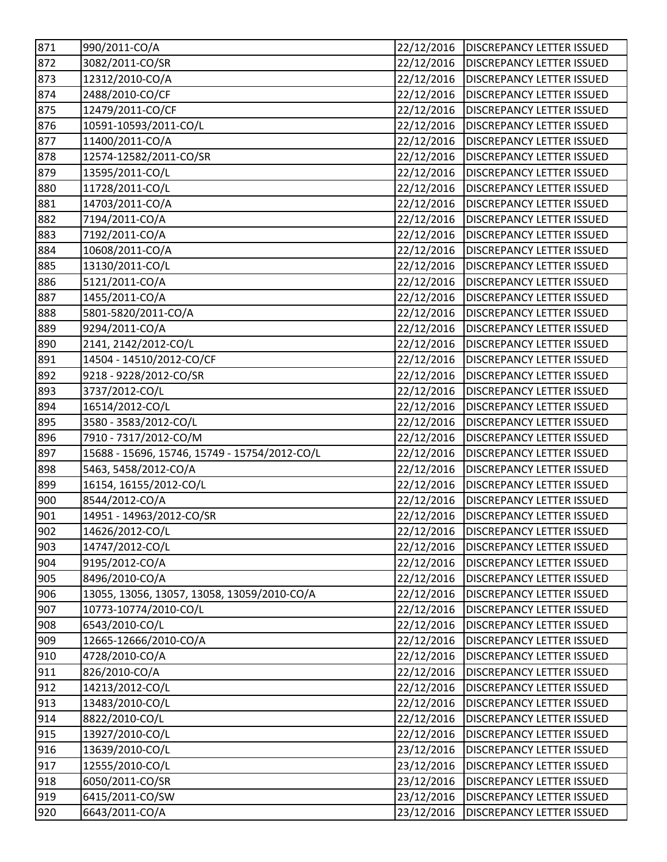| 871              | 990/2011-CO/A                                 | 22/12/2016 | <b>DISCREPANCY LETTER ISSUED</b> |
|------------------|-----------------------------------------------|------------|----------------------------------|
| 872              | 3082/2011-CO/SR                               | 22/12/2016 | <b>DISCREPANCY LETTER ISSUED</b> |
| 873              | 12312/2010-CO/A                               | 22/12/2016 | <b>DISCREPANCY LETTER ISSUED</b> |
| 874              | 2488/2010-CO/CF                               | 22/12/2016 | <b>DISCREPANCY LETTER ISSUED</b> |
| $\overline{87}$  | 12479/2011-CO/CF                              | 22/12/2016 | <b>DISCREPANCY LETTER ISSUED</b> |
| 876              | 10591-10593/2011-CO/L                         | 22/12/2016 | <b>DISCREPANCY LETTER ISSUED</b> |
| 877              | 11400/2011-CO/A                               | 22/12/2016 | <b>DISCREPANCY LETTER ISSUED</b> |
| 878              | 12574-12582/2011-CO/SR                        | 22/12/2016 | <b>DISCREPANCY LETTER ISSUED</b> |
| 879              | 13595/2011-CO/L                               | 22/12/2016 | <b>DISCREPANCY LETTER ISSUED</b> |
| 880              | 11728/2011-CO/L                               | 22/12/2016 | <b>DISCREPANCY LETTER ISSUED</b> |
| 881              | 14703/2011-CO/A                               | 22/12/2016 | <b>DISCREPANCY LETTER ISSUED</b> |
| 882              | 7194/2011-CO/A                                | 22/12/2016 | <b>DISCREPANCY LETTER ISSUED</b> |
| 883              | 7192/2011-CO/A                                | 22/12/2016 | <b>DISCREPANCY LETTER ISSUED</b> |
| 884              | 10608/2011-CO/A                               | 22/12/2016 | <b>DISCREPANCY LETTER ISSUED</b> |
| 885              | 13130/2011-CO/L                               | 22/12/2016 | <b>DISCREPANCY LETTER ISSUED</b> |
| 886              | 5121/2011-CO/A                                | 22/12/2016 | <b>DISCREPANCY LETTER ISSUED</b> |
| 887              | 1455/2011-CO/A                                | 22/12/2016 | <b>DISCREPANCY LETTER ISSUED</b> |
| 888              | 5801-5820/2011-CO/A                           | 22/12/2016 | <b>DISCREPANCY LETTER ISSUED</b> |
| 889              | 9294/2011-CO/A                                | 22/12/2016 | <b>DISCREPANCY LETTER ISSUED</b> |
| 890              | 2141, 2142/2012-CO/L                          | 22/12/2016 | <b>DISCREPANCY LETTER ISSUED</b> |
| $\overline{891}$ | 14504 - 14510/2012-CO/CF                      | 22/12/2016 | <b>DISCREPANCY LETTER ISSUED</b> |
| 892              | 9218 - 9228/2012-CO/SR                        | 22/12/2016 | <b>DISCREPANCY LETTER ISSUED</b> |
| 893              | 3737/2012-CO/L                                | 22/12/2016 | <b>DISCREPANCY LETTER ISSUED</b> |
| 894              | 16514/2012-CO/L                               | 22/12/2016 | <b>DISCREPANCY LETTER ISSUED</b> |
| 895              | 3580 - 3583/2012-CO/L                         | 22/12/2016 | <b>DISCREPANCY LETTER ISSUED</b> |
| 896              | 7910 - 7317/2012-CO/M                         | 22/12/2016 | <b>DISCREPANCY LETTER ISSUED</b> |
| 897              | 15688 - 15696, 15746, 15749 - 15754/2012-CO/L | 22/12/2016 | <b>DISCREPANCY LETTER ISSUED</b> |
| 898              | 5463, 5458/2012-CO/A                          | 22/12/2016 | <b>DISCREPANCY LETTER ISSUED</b> |
|                  |                                               |            |                                  |
| 899              | 16154, 16155/2012-CO/L                        | 22/12/2016 | <b>DISCREPANCY LETTER ISSUED</b> |
| 900              | 8544/2012-CO/A                                | 22/12/2016 | <b>DISCREPANCY LETTER ISSUED</b> |
| 901              | 14951 - 14963/2012-CO/SR                      | 22/12/2016 | <b>DISCREPANCY LETTER ISSUED</b> |
| 902              | 14626/2012-CO/L                               | 22/12/2016 | <b>DISCREPANCY LETTER ISSUED</b> |
| 903              | 14747/2012-CO/L                               | 22/12/2016 | <b>DISCREPANCY LETTER ISSUED</b> |
| 904              | 9195/2012-CO/A                                | 22/12/2016 | <b>DISCREPANCY LETTER ISSUED</b> |
| 905              | 8496/2010-CO/A                                | 22/12/2016 | <b>DISCREPANCY LETTER ISSUED</b> |
| 906              | 13055, 13056, 13057, 13058, 13059/2010-CO/A   | 22/12/2016 | <b>DISCREPANCY LETTER ISSUED</b> |
| 907              | 10773-10774/2010-CO/L                         | 22/12/2016 | <b>DISCREPANCY LETTER ISSUED</b> |
| 908              | 6543/2010-CO/L                                | 22/12/2016 | <b>DISCREPANCY LETTER ISSUED</b> |
| 909              | 12665-12666/2010-CO/A                         | 22/12/2016 | <b>DISCREPANCY LETTER ISSUED</b> |
| 910              | 4728/2010-CO/A                                | 22/12/2016 | <b>DISCREPANCY LETTER ISSUED</b> |
| 911              | 826/2010-CO/A                                 | 22/12/2016 | <b>DISCREPANCY LETTER ISSUED</b> |
| 912              | 14213/2012-CO/L                               | 22/12/2016 | <b>DISCREPANCY LETTER ISSUED</b> |
| 913              | 13483/2010-CO/L                               | 22/12/2016 | DISCREPANCY LETTER ISSUED        |
| 914              | 8822/2010-CO/L                                | 22/12/2016 | DISCREPANCY LETTER ISSUED        |
| 915              | 13927/2010-CO/L                               | 22/12/2016 | <b>DISCREPANCY LETTER ISSUED</b> |
| 916              | 13639/2010-CO/L                               | 23/12/2016 | <b>DISCREPANCY LETTER ISSUED</b> |
| 917              | 12555/2010-CO/L                               | 23/12/2016 | <b>DISCREPANCY LETTER ISSUED</b> |
| 918              | 6050/2011-CO/SR                               | 23/12/2016 | <b>DISCREPANCY LETTER ISSUED</b> |
| 919              | 6415/2011-CO/SW<br>6643/2011-CO/A             | 23/12/2016 | <b>DISCREPANCY LETTER ISSUED</b> |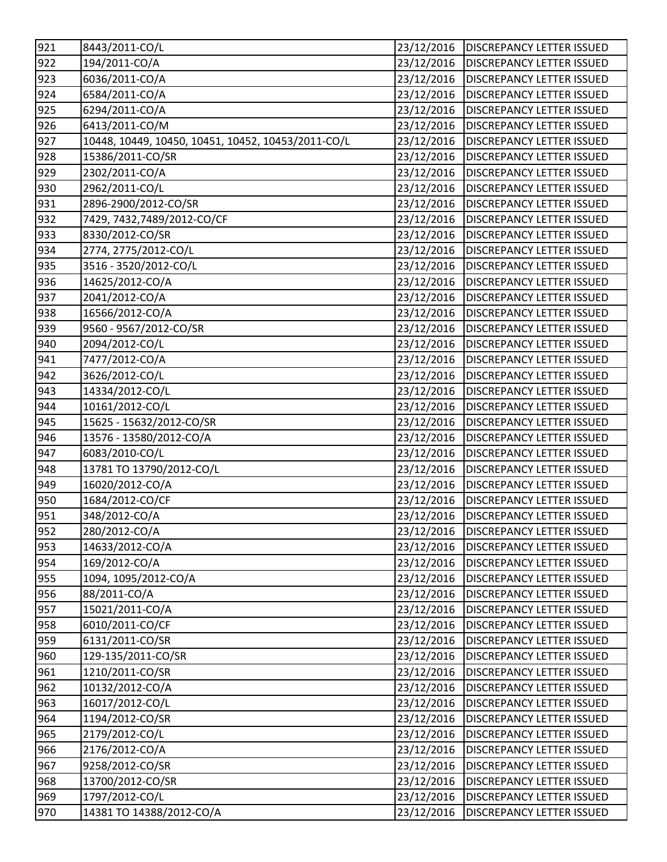| 921 | 8443/2011-CO/L                                     | 23/12/2016 | <b>DISCREPANCY LETTER ISSUED</b>       |
|-----|----------------------------------------------------|------------|----------------------------------------|
| 922 | 194/2011-CO/A                                      | 23/12/2016 | <b>DISCREPANCY LETTER ISSUED</b>       |
| 923 | 6036/2011-CO/A                                     | 23/12/2016 | <b>DISCREPANCY LETTER ISSUED</b>       |
| 924 | 6584/2011-CO/A                                     | 23/12/2016 | <b>DISCREPANCY LETTER ISSUED</b>       |
| 925 | 6294/2011-CO/A                                     | 23/12/2016 | <b>DISCREPANCY LETTER ISSUED</b>       |
| 926 | 6413/2011-CO/M                                     | 23/12/2016 | <b>DISCREPANCY LETTER ISSUED</b>       |
| 927 | 10448, 10449, 10450, 10451, 10452, 10453/2011-CO/L | 23/12/2016 | <b>DISCREPANCY LETTER ISSUED</b>       |
| 928 | 15386/2011-CO/SR                                   | 23/12/2016 | <b>DISCREPANCY LETTER ISSUED</b>       |
| 929 | 2302/2011-CO/A                                     | 23/12/2016 | <b>DISCREPANCY LETTER ISSUED</b>       |
| 930 | 2962/2011-CO/L                                     | 23/12/2016 | <b>DISCREPANCY LETTER ISSUED</b>       |
| 931 | 2896-2900/2012-CO/SR                               | 23/12/2016 | <b>DISCREPANCY LETTER ISSUED</b>       |
| 932 | 7429, 7432, 7489/2012-CO/CF                        | 23/12/2016 | <b>DISCREPANCY LETTER ISSUED</b>       |
| 933 | 8330/2012-CO/SR                                    | 23/12/2016 | <b>DISCREPANCY LETTER ISSUED</b>       |
| 934 | 2774, 2775/2012-CO/L                               | 23/12/2016 | <b>DISCREPANCY LETTER ISSUED</b>       |
| 935 | 3516 - 3520/2012-CO/L                              | 23/12/2016 | <b>DISCREPANCY LETTER ISSUED</b>       |
| 936 | 14625/2012-CO/A                                    | 23/12/2016 | <b>DISCREPANCY LETTER ISSUED</b>       |
| 937 | 2041/2012-CO/A                                     | 23/12/2016 | <b>DISCREPANCY LETTER ISSUED</b>       |
| 938 | 16566/2012-CO/A                                    | 23/12/2016 | <b>DISCREPANCY LETTER ISSUED</b>       |
| 939 | 9560 - 9567/2012-CO/SR                             | 23/12/2016 | <b>DISCREPANCY LETTER ISSUED</b>       |
| 940 | 2094/2012-CO/L                                     | 23/12/2016 | <b>DISCREPANCY LETTER ISSUED</b>       |
| 941 | 7477/2012-CO/A                                     | 23/12/2016 | <b>DISCREPANCY LETTER ISSUED</b>       |
| 942 | 3626/2012-CO/L                                     | 23/12/2016 | <b>DISCREPANCY LETTER ISSUED</b>       |
| 943 | 14334/2012-CO/L                                    | 23/12/2016 | <b>DISCREPANCY LETTER ISSUED</b>       |
| 944 | 10161/2012-CO/L                                    | 23/12/2016 | <b>DISCREPANCY LETTER ISSUED</b>       |
| 945 | 15625 - 15632/2012-CO/SR                           | 23/12/2016 | <b>DISCREPANCY LETTER ISSUED</b>       |
| 946 | 13576 - 13580/2012-CO/A                            | 23/12/2016 | <b>DISCREPANCY LETTER ISSUED</b>       |
| 947 | 6083/2010-CO/L                                     | 23/12/2016 | <b>DISCREPANCY LETTER ISSUED</b>       |
| 948 | 13781 TO 13790/2012-CO/L                           | 23/12/2016 | <b>DISCREPANCY LETTER ISSUED</b>       |
| 949 | 16020/2012-CO/A                                    | 23/12/2016 | <b>DISCREPANCY LETTER ISSUED</b>       |
| 950 | 1684/2012-CO/CF                                    | 23/12/2016 | <b>DISCREPANCY LETTER ISSUED</b>       |
| 951 | 348/2012-CO/A                                      | 23/12/2016 | <b>DISCREPANCY LETTER ISSUED</b>       |
| 952 | 280/2012-CO/A                                      |            | 23/12/2016   DISCREPANCY LETTER ISSUED |
| 953 | 14633/2012-CO/A                                    | 23/12/2016 | <b>DISCREPANCY LETTER ISSUED</b>       |
| 954 | 169/2012-CO/A                                      | 23/12/2016 | <b>DISCREPANCY LETTER ISSUED</b>       |
| 955 | 1094, 1095/2012-CO/A                               | 23/12/2016 | <b>DISCREPANCY LETTER ISSUED</b>       |
| 956 | 88/2011-CO/A                                       | 23/12/2016 | <b>DISCREPANCY LETTER ISSUED</b>       |
| 957 | 15021/2011-CO/A                                    | 23/12/2016 | <b>DISCREPANCY LETTER ISSUED</b>       |
| 958 | 6010/2011-CO/CF                                    | 23/12/2016 | <b>DISCREPANCY LETTER ISSUED</b>       |
| 959 | 6131/2011-CO/SR                                    | 23/12/2016 | DISCREPANCY LETTER ISSUED              |
| 960 | 129-135/2011-CO/SR                                 | 23/12/2016 | <b>DISCREPANCY LETTER ISSUED</b>       |
| 961 | 1210/2011-CO/SR                                    | 23/12/2016 | <b>DISCREPANCY LETTER ISSUED</b>       |
| 962 | 10132/2012-CO/A                                    | 23/12/2016 | <b>DISCREPANCY LETTER ISSUED</b>       |
| 963 | 16017/2012-CO/L                                    | 23/12/2016 | <b>DISCREPANCY LETTER ISSUED</b>       |
| 964 | 1194/2012-CO/SR                                    | 23/12/2016 | <b>DISCREPANCY LETTER ISSUED</b>       |
| 965 | 2179/2012-CO/L                                     | 23/12/2016 | <b>DISCREPANCY LETTER ISSUED</b>       |
| 966 | 2176/2012-CO/A                                     | 23/12/2016 | <b>DISCREPANCY LETTER ISSUED</b>       |
| 967 | 9258/2012-CO/SR                                    | 23/12/2016 | DISCREPANCY LETTER ISSUED              |
| 968 | 13700/2012-CO/SR                                   | 23/12/2016 | <b>DISCREPANCY LETTER ISSUED</b>       |
| 969 | 1797/2012-CO/L                                     | 23/12/2016 | <b>DISCREPANCY LETTER ISSUED</b>       |
| 970 | 14381 TO 14388/2012-CO/A                           | 23/12/2016 | DISCREPANCY LETTER ISSUED              |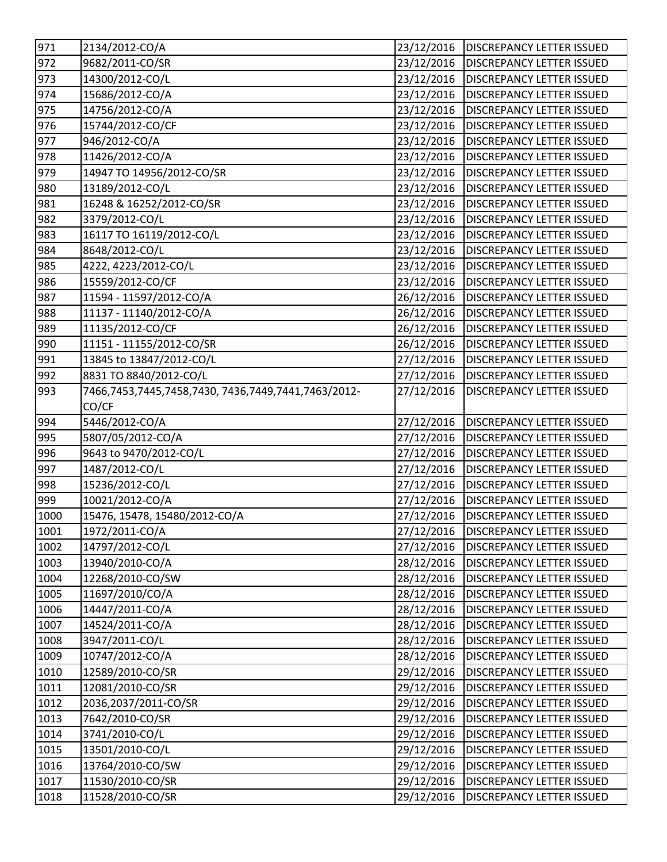| 971  | 2134/2012-CO/A                                      | 23/12/2016 | <b>DISCREPANCY LETTER ISSUED</b>       |
|------|-----------------------------------------------------|------------|----------------------------------------|
| 972  | 9682/2011-CO/SR                                     | 23/12/2016 | <b>DISCREPANCY LETTER ISSUED</b>       |
| 973  | 14300/2012-CO/L                                     | 23/12/2016 | <b>DISCREPANCY LETTER ISSUED</b>       |
| 974  | 15686/2012-CO/A                                     | 23/12/2016 | <b>DISCREPANCY LETTER ISSUED</b>       |
| 975  | 14756/2012-CO/A                                     | 23/12/2016 | <b>DISCREPANCY LETTER ISSUED</b>       |
| 976  | 15744/2012-CO/CF                                    | 23/12/2016 | DISCREPANCY LETTER ISSUED              |
| 977  | 946/2012-CO/A                                       | 23/12/2016 | <b>DISCREPANCY LETTER ISSUED</b>       |
| 978  | 11426/2012-CO/A                                     | 23/12/2016 | <b>DISCREPANCY LETTER ISSUED</b>       |
| 979  | 14947 TO 14956/2012-CO/SR                           | 23/12/2016 | <b>DISCREPANCY LETTER ISSUED</b>       |
| 980  | 13189/2012-CO/L                                     | 23/12/2016 | <b>DISCREPANCY LETTER ISSUED</b>       |
| 981  | 16248 & 16252/2012-CO/SR                            | 23/12/2016 | <b>DISCREPANCY LETTER ISSUED</b>       |
| 982  | 3379/2012-CO/L                                      | 23/12/2016 | <b>DISCREPANCY LETTER ISSUED</b>       |
| 983  | 16117 TO 16119/2012-CO/L                            | 23/12/2016 | <b>DISCREPANCY LETTER ISSUED</b>       |
| 984  | 8648/2012-CO/L                                      | 23/12/2016 | <b>DISCREPANCY LETTER ISSUED</b>       |
| 985  | 4222, 4223/2012-CO/L                                | 23/12/2016 | <b>DISCREPANCY LETTER ISSUED</b>       |
| 986  | 15559/2012-CO/CF                                    | 23/12/2016 | <b>DISCREPANCY LETTER ISSUED</b>       |
| 987  | 11594 - 11597/2012-CO/A                             | 26/12/2016 | <b>DISCREPANCY LETTER ISSUED</b>       |
| 988  | 11137 - 11140/2012-CO/A                             | 26/12/2016 | <b>DISCREPANCY LETTER ISSUED</b>       |
| 989  | 11135/2012-CO/CF                                    | 26/12/2016 | <b>DISCREPANCY LETTER ISSUED</b>       |
| 990  | 11151 - 11155/2012-CO/SR                            | 26/12/2016 | <b>DISCREPANCY LETTER ISSUED</b>       |
| 991  | 13845 to 13847/2012-CO/L                            | 27/12/2016 | <b>DISCREPANCY LETTER ISSUED</b>       |
| 992  | 8831 TO 8840/2012-CO/L                              | 27/12/2016 | <b>DISCREPANCY LETTER ISSUED</b>       |
| 993  | 7466,7453,7445,7458,7430, 7436,7449,7441,7463/2012- | 27/12/2016 | <b>DISCREPANCY LETTER ISSUED</b>       |
|      | CO/CF                                               |            |                                        |
| 994  | 5446/2012-CO/A                                      | 27/12/2016 | <b>DISCREPANCY LETTER ISSUED</b>       |
| 995  | 5807/05/2012-CO/A                                   | 27/12/2016 | <b>DISCREPANCY LETTER ISSUED</b>       |
| 996  | 9643 to 9470/2012-CO/L                              | 27/12/2016 | <b>DISCREPANCY LETTER ISSUED</b>       |
| 997  | 1487/2012-CO/L                                      | 27/12/2016 | <b>DISCREPANCY LETTER ISSUED</b>       |
| 998  | 15236/2012-CO/L                                     | 27/12/2016 | <b>DISCREPANCY LETTER ISSUED</b>       |
| 999  | 10021/2012-CO/A                                     | 27/12/2016 | <b>DISCREPANCY LETTER ISSUED</b>       |
| 1000 | 15476, 15478, 15480/2012-CO/A                       | 27/12/2016 | <b>DISCREPANCY LETTER ISSUED</b>       |
| 1001 | 1972/2011-CO/A                                      |            | 27/12/2016   DISCREPANCY LETTER ISSUED |
| 1002 | 14797/2012-CO/L                                     | 27/12/2016 | <b>DISCREPANCY LETTER ISSUED</b>       |
| 1003 | 13940/2010-CO/A                                     | 28/12/2016 | <b>DISCREPANCY LETTER ISSUED</b>       |
| 1004 | 12268/2010-CO/SW                                    | 28/12/2016 | DISCREPANCY LETTER ISSUED              |
| 1005 | 11697/2010/CO/A                                     | 28/12/2016 | <b>DISCREPANCY LETTER ISSUED</b>       |
| 1006 | 14447/2011-CO/A                                     | 28/12/2016 | DISCREPANCY LETTER ISSUED              |
| 1007 | 14524/2011-CO/A                                     | 28/12/2016 | DISCREPANCY LETTER ISSUED              |
| 1008 | 3947/2011-CO/L                                      | 28/12/2016 | <b>DISCREPANCY LETTER ISSUED</b>       |
| 1009 | 10747/2012-CO/A                                     | 28/12/2016 | DISCREPANCY LETTER ISSUED              |
| 1010 | 12589/2010-CO/SR                                    | 29/12/2016 | <b>DISCREPANCY LETTER ISSUED</b>       |
| 1011 | 12081/2010-CO/SR                                    | 29/12/2016 | DISCREPANCY LETTER ISSUED              |
| 1012 | 2036,2037/2011-CO/SR                                | 29/12/2016 | DISCREPANCY LETTER ISSUED              |
| 1013 | 7642/2010-CO/SR                                     | 29/12/2016 | DISCREPANCY LETTER ISSUED              |
| 1014 | 3741/2010-CO/L                                      | 29/12/2016 | <b>DISCREPANCY LETTER ISSUED</b>       |
| 1015 | 13501/2010-CO/L                                     | 29/12/2016 | DISCREPANCY LETTER ISSUED              |
| 1016 | 13764/2010-CO/SW                                    | 29/12/2016 | DISCREPANCY LETTER ISSUED              |
| 1017 | 11530/2010-CO/SR                                    | 29/12/2016 | DISCREPANCY LETTER ISSUED              |
| 1018 | 11528/2010-CO/SR                                    | 29/12/2016 | DISCREPANCY LETTER ISSUED              |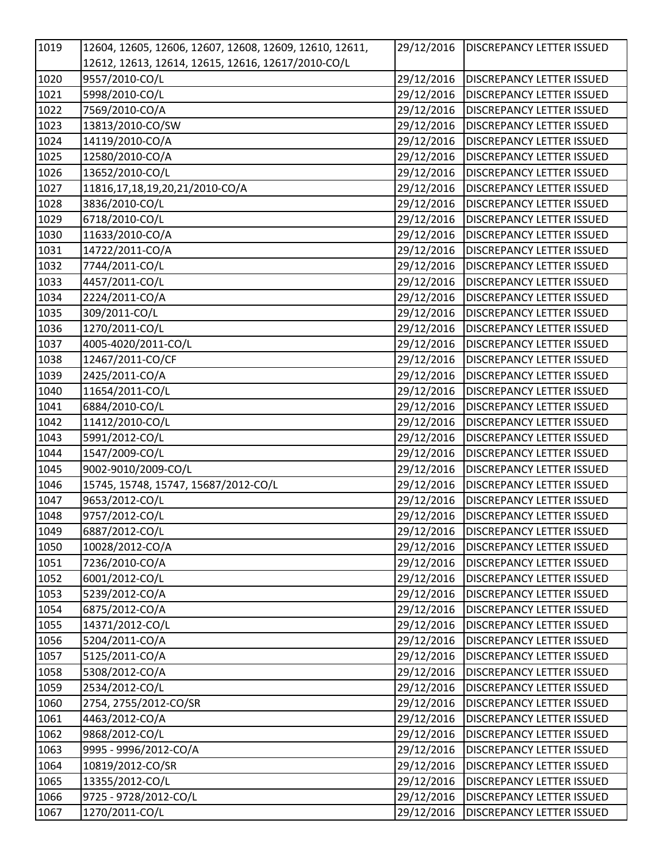| 1019 | 12604, 12605, 12606, 12607, 12608, 12609, 12610, 12611, | 29/12/2016 | <b>DISCREPANCY LETTER ISSUED</b> |
|------|---------------------------------------------------------|------------|----------------------------------|
|      | 12612, 12613, 12614, 12615, 12616, 12617/2010-CO/L      |            |                                  |
| 1020 | 9557/2010-CO/L                                          | 29/12/2016 | <b>DISCREPANCY LETTER ISSUED</b> |
| 1021 | 5998/2010-CO/L                                          | 29/12/2016 | <b>DISCREPANCY LETTER ISSUED</b> |
| 1022 | 7569/2010-CO/A                                          | 29/12/2016 | <b>DISCREPANCY LETTER ISSUED</b> |
| 1023 | 13813/2010-CO/SW                                        | 29/12/2016 | <b>DISCREPANCY LETTER ISSUED</b> |
| 1024 | 14119/2010-CO/A                                         | 29/12/2016 | <b>DISCREPANCY LETTER ISSUED</b> |
| 1025 | 12580/2010-CO/A                                         | 29/12/2016 | DISCREPANCY LETTER ISSUED        |
| 1026 | 13652/2010-CO/L                                         | 29/12/2016 | <b>DISCREPANCY LETTER ISSUED</b> |
| 1027 | 11816,17,18,19,20,21/2010-CO/A                          | 29/12/2016 | <b>DISCREPANCY LETTER ISSUED</b> |
| 1028 | 3836/2010-CO/L                                          | 29/12/2016 | <b>DISCREPANCY LETTER ISSUED</b> |
| 1029 | 6718/2010-CO/L                                          | 29/12/2016 | <b>DISCREPANCY LETTER ISSUED</b> |
| 1030 | 11633/2010-CO/A                                         | 29/12/2016 | <b>DISCREPANCY LETTER ISSUED</b> |
| 1031 | 14722/2011-CO/A                                         | 29/12/2016 | <b>DISCREPANCY LETTER ISSUED</b> |
| 1032 | 7744/2011-CO/L                                          | 29/12/2016 | <b>DISCREPANCY LETTER ISSUED</b> |
| 1033 | 4457/2011-CO/L                                          | 29/12/2016 | <b>DISCREPANCY LETTER ISSUED</b> |
| 1034 | 2224/2011-CO/A                                          | 29/12/2016 | <b>DISCREPANCY LETTER ISSUED</b> |
| 1035 | 309/2011-CO/L                                           | 29/12/2016 | <b>DISCREPANCY LETTER ISSUED</b> |
| 1036 | 1270/2011-CO/L                                          | 29/12/2016 | <b>DISCREPANCY LETTER ISSUED</b> |
| 1037 | 4005-4020/2011-CO/L                                     | 29/12/2016 | <b>DISCREPANCY LETTER ISSUED</b> |
| 1038 | 12467/2011-CO/CF                                        | 29/12/2016 | <b>DISCREPANCY LETTER ISSUED</b> |
| 1039 | 2425/2011-CO/A                                          | 29/12/2016 | <b>DISCREPANCY LETTER ISSUED</b> |
| 1040 | 11654/2011-CO/L                                         | 29/12/2016 | <b>DISCREPANCY LETTER ISSUED</b> |
| 1041 | 6884/2010-CO/L                                          | 29/12/2016 | DISCREPANCY LETTER ISSUED        |
| 1042 | 11412/2010-CO/L                                         | 29/12/2016 | <b>DISCREPANCY LETTER ISSUED</b> |
| 1043 | 5991/2012-CO/L                                          | 29/12/2016 | DISCREPANCY LETTER ISSUED        |
| 1044 | 1547/2009-CO/L                                          | 29/12/2016 | <b>DISCREPANCY LETTER ISSUED</b> |
| 1045 | 9002-9010/2009-CO/L                                     | 29/12/2016 | <b>DISCREPANCY LETTER ISSUED</b> |
| 1046 | 15745, 15748, 15747, 15687/2012-CO/L                    | 29/12/2016 | DISCREPANCY LETTER ISSUED        |
| 1047 | 9653/2012-CO/L                                          | 29/12/2016 | <b>DISCREPANCY LETTER ISSUED</b> |
| 1048 | 9757/2012-CO/L                                          | 29/12/2016 | DISCREPANCY LETTER ISSUED        |
| 1049 | 6887/2012-CO/L                                          | 29/12/2016 | <b>DISCREPANCY LETTER ISSUED</b> |
| 1050 | 10028/2012-CO/A                                         | 29/12/2016 | <b>DISCREPANCY LETTER ISSUED</b> |
| 1051 | 7236/2010-CO/A                                          | 29/12/2016 | <b>DISCREPANCY LETTER ISSUED</b> |
| 1052 | 6001/2012-CO/L                                          | 29/12/2016 | <b>DISCREPANCY LETTER ISSUED</b> |
| 1053 | 5239/2012-CO/A                                          | 29/12/2016 | DISCREPANCY LETTER ISSUED        |
| 1054 | 6875/2012-CO/A                                          | 29/12/2016 | <b>DISCREPANCY LETTER ISSUED</b> |
| 1055 | 14371/2012-CO/L                                         | 29/12/2016 | DISCREPANCY LETTER ISSUED        |
| 1056 | 5204/2011-CO/A                                          | 29/12/2016 | <b>DISCREPANCY LETTER ISSUED</b> |
| 1057 | 5125/2011-CO/A                                          | 29/12/2016 | DISCREPANCY LETTER ISSUED        |
| 1058 | 5308/2012-CO/A                                          | 29/12/2016 | DISCREPANCY LETTER ISSUED        |
| 1059 | 2534/2012-CO/L                                          | 29/12/2016 | DISCREPANCY LETTER ISSUED        |
| 1060 | 2754, 2755/2012-CO/SR                                   | 29/12/2016 | <b>DISCREPANCY LETTER ISSUED</b> |
| 1061 | 4463/2012-CO/A                                          | 29/12/2016 | DISCREPANCY LETTER ISSUED        |
| 1062 | 9868/2012-CO/L                                          | 29/12/2016 | DISCREPANCY LETTER ISSUED        |
| 1063 | 9995 - 9996/2012-CO/A                                   | 29/12/2016 | DISCREPANCY LETTER ISSUED        |
| 1064 | 10819/2012-CO/SR                                        | 29/12/2016 | DISCREPANCY LETTER ISSUED        |
| 1065 | 13355/2012-CO/L                                         | 29/12/2016 | <b>DISCREPANCY LETTER ISSUED</b> |
| 1066 | 9725 - 9728/2012-CO/L                                   | 29/12/2016 | DISCREPANCY LETTER ISSUED        |
| 1067 | 1270/2011-CO/L                                          | 29/12/2016 | DISCREPANCY LETTER ISSUED        |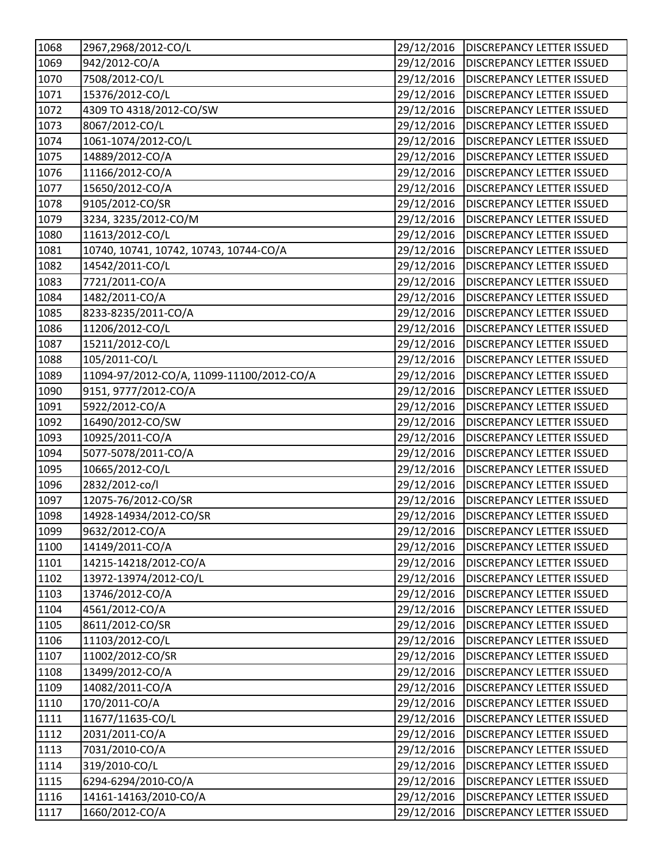| 1068             | 2967,2968/2012-CO/L                       | 29/12/2016 | <b>DISCREPANCY LETTER ISSUED</b>       |
|------------------|-------------------------------------------|------------|----------------------------------------|
| 1069             | 942/2012-CO/A                             | 29/12/2016 | <b>DISCREPANCY LETTER ISSUED</b>       |
| 1070             | 7508/2012-CO/L                            | 29/12/2016 | <b>DISCREPANCY LETTER ISSUED</b>       |
| 1071             | 15376/2012-CO/L                           | 29/12/2016 | <b>DISCREPANCY LETTER ISSUED</b>       |
| 1072             | 4309 TO 4318/2012-CO/SW                   | 29/12/2016 | <b>DISCREPANCY LETTER ISSUED</b>       |
| 1073             | 8067/2012-CO/L                            | 29/12/2016 | <b>DISCREPANCY LETTER ISSUED</b>       |
| 1074             | 1061-1074/2012-CO/L                       | 29/12/2016 | <b>DISCREPANCY LETTER ISSUED</b>       |
| 1075             | 14889/2012-CO/A                           | 29/12/2016 | <b>DISCREPANCY LETTER ISSUED</b>       |
| 1076             | 11166/2012-CO/A                           | 29/12/2016 | <b>DISCREPANCY LETTER ISSUED</b>       |
| 1077             | 15650/2012-CO/A                           | 29/12/2016 | <b>DISCREPANCY LETTER ISSUED</b>       |
| 1078             | 9105/2012-CO/SR                           | 29/12/2016 | <b>DISCREPANCY LETTER ISSUED</b>       |
| 1079             | 3234, 3235/2012-CO/M                      | 29/12/2016 | <b>DISCREPANCY LETTER ISSUED</b>       |
| 1080             | 11613/2012-CO/L                           | 29/12/2016 | <b>DISCREPANCY LETTER ISSUED</b>       |
| 1081             | 10740, 10741, 10742, 10743, 10744-CO/A    | 29/12/2016 | <b>DISCREPANCY LETTER ISSUED</b>       |
| 1082             | 14542/2011-CO/L                           | 29/12/2016 | <b>DISCREPANCY LETTER ISSUED</b>       |
| 1083             | 7721/2011-CO/A                            | 29/12/2016 | <b>DISCREPANCY LETTER ISSUED</b>       |
| 1084             | 1482/2011-CO/A                            | 29/12/2016 | <b>DISCREPANCY LETTER ISSUED</b>       |
| 1085             | 8233-8235/2011-CO/A                       | 29/12/2016 | <b>DISCREPANCY LETTER ISSUED</b>       |
| 1086             | 11206/2012-CO/L                           | 29/12/2016 | <b>DISCREPANCY LETTER ISSUED</b>       |
| 1087             | 15211/2012-CO/L                           | 29/12/2016 | <b>DISCREPANCY LETTER ISSUED</b>       |
| 1088             | 105/2011-CO/L                             | 29/12/2016 | <b>DISCREPANCY LETTER ISSUED</b>       |
| 1089             | 11094-97/2012-CO/A, 11099-11100/2012-CO/A | 29/12/2016 | <b>DISCREPANCY LETTER ISSUED</b>       |
| 1090             | 9151, 9777/2012-CO/A                      | 29/12/2016 | <b>DISCREPANCY LETTER ISSUED</b>       |
| 1091             | 5922/2012-CO/A                            | 29/12/2016 | <b>DISCREPANCY LETTER ISSUED</b>       |
| 1092             | 16490/2012-CO/SW                          | 29/12/2016 | <b>DISCREPANCY LETTER ISSUED</b>       |
| 1093             | 10925/2011-CO/A                           | 29/12/2016 | <b>DISCREPANCY LETTER ISSUED</b>       |
| 1094             | 5077-5078/2011-CO/A                       | 29/12/2016 | <b>DISCREPANCY LETTER ISSUED</b>       |
| 1095             | 10665/2012-CO/L                           | 29/12/2016 | <b>DISCREPANCY LETTER ISSUED</b>       |
| 1096             | 2832/2012-co/l                            | 29/12/2016 | <b>DISCREPANCY LETTER ISSUED</b>       |
| 1097             | 12075-76/2012-CO/SR                       | 29/12/2016 | <b>DISCREPANCY LETTER ISSUED</b>       |
| 1098             | 14928-14934/2012-CO/SR                    | 29/12/2016 | <b>DISCREPANCY LETTER ISSUED</b>       |
| 1099             | 9632/2012-CO/A                            |            | 29/12/2016   DISCREPANCY LETTER ISSUED |
| 1100             | 14149/2011-CO/A                           | 29/12/2016 | <b>DISCREPANCY LETTER ISSUED</b>       |
| 1101             | 14215-14218/2012-CO/A                     | 29/12/2016 | <b>DISCREPANCY LETTER ISSUED</b>       |
| 1102             | 13972-13974/2012-CO/L                     | 29/12/2016 | <b>DISCREPANCY LETTER ISSUED</b>       |
| 1103             | 13746/2012-CO/A                           | 29/12/2016 | <b>DISCREPANCY LETTER ISSUED</b>       |
| 1104             | 4561/2012-CO/A                            | 29/12/2016 | <b>DISCREPANCY LETTER ISSUED</b>       |
| 1105             | 8611/2012-CO/SR                           | 29/12/2016 | <b>DISCREPANCY LETTER ISSUED</b>       |
| 1106             | 11103/2012-CO/L                           | 29/12/2016 | <b>DISCREPANCY LETTER ISSUED</b>       |
| 1107             | 11002/2012-CO/SR                          | 29/12/2016 | <b>DISCREPANCY LETTER ISSUED</b>       |
| 1108             | 13499/2012-CO/A                           | 29/12/2016 | <b>DISCREPANCY LETTER ISSUED</b>       |
| $\frac{1109}{2}$ | 14082/2011-CO/A                           | 29/12/2016 | <b>DISCREPANCY LETTER ISSUED</b>       |
| 1110             | 170/2011-CO/A                             | 29/12/2016 | <b>DISCREPANCY LETTER ISSUED</b>       |
| 1111             | 11677/11635-CO/L                          | 29/12/2016 | <b>DISCREPANCY LETTER ISSUED</b>       |
| 1112             | 2031/2011-CO/A                            | 29/12/2016 | <b>DISCREPANCY LETTER ISSUED</b>       |
| 1113             | 7031/2010-CO/A                            | 29/12/2016 | <b>DISCREPANCY LETTER ISSUED</b>       |
| 1114             | 319/2010-CO/L                             | 29/12/2016 | DISCREPANCY LETTER ISSUED              |
| 1115             | 6294-6294/2010-CO/A                       | 29/12/2016 | <b>DISCREPANCY LETTER ISSUED</b>       |
| 1116             | 14161-14163/2010-CO/A                     | 29/12/2016 | <b>DISCREPANCY LETTER ISSUED</b>       |
| 1117             | 1660/2012-CO/A                            | 29/12/2016 | DISCREPANCY LETTER ISSUED              |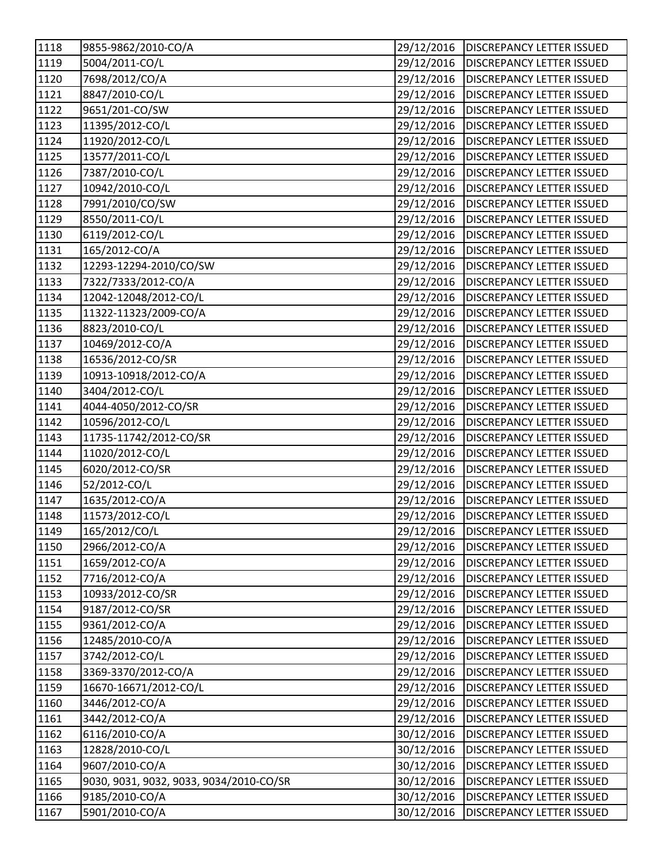| 1118              | 9855-9862/2010-CO/A                     | 29/12/2016 | <b>DISCREPANCY LETTER ISSUED</b> |
|-------------------|-----------------------------------------|------------|----------------------------------|
| 1119              | 5004/2011-CO/L                          | 29/12/2016 | <b>DISCREPANCY LETTER ISSUED</b> |
| 1120              | 7698/2012/CO/A                          | 29/12/2016 | <b>DISCREPANCY LETTER ISSUED</b> |
| 1121              | 8847/2010-CO/L                          | 29/12/2016 | <b>DISCREPANCY LETTER ISSUED</b> |
| 1122              | 9651/201-CO/SW                          | 29/12/2016 | <b>DISCREPANCY LETTER ISSUED</b> |
| 1123              | 11395/2012-CO/L                         | 29/12/2016 | <b>DISCREPANCY LETTER ISSUED</b> |
| 1124              | 11920/2012-CO/L                         | 29/12/2016 | <b>DISCREPANCY LETTER ISSUED</b> |
| 1125              | 13577/2011-CO/L                         | 29/12/2016 | <b>DISCREPANCY LETTER ISSUED</b> |
| 1126              | 7387/2010-CO/L                          | 29/12/2016 | <b>DISCREPANCY LETTER ISSUED</b> |
| 1127              | 10942/2010-CO/L                         | 29/12/2016 | <b>DISCREPANCY LETTER ISSUED</b> |
| 1128              | 7991/2010/CO/SW                         | 29/12/2016 | <b>DISCREPANCY LETTER ISSUED</b> |
| 1129              | 8550/2011-CO/L                          | 29/12/2016 | <b>DISCREPANCY LETTER ISSUED</b> |
| 1130              | 6119/2012-CO/L                          | 29/12/2016 | <b>DISCREPANCY LETTER ISSUED</b> |
| 1131              | 165/2012-CO/A                           | 29/12/2016 | <b>DISCREPANCY LETTER ISSUED</b> |
| 1132              | 12293-12294-2010/CO/SW                  | 29/12/2016 | <b>DISCREPANCY LETTER ISSUED</b> |
| $\frac{1}{1}$ 133 | 7322/7333/2012-CO/A                     | 29/12/2016 | <b>DISCREPANCY LETTER ISSUED</b> |
| 1134              | 12042-12048/2012-CO/L                   | 29/12/2016 | <b>DISCREPANCY LETTER ISSUED</b> |
| 1135              | 11322-11323/2009-CO/A                   | 29/12/2016 | <b>DISCREPANCY LETTER ISSUED</b> |
| 1136              | 8823/2010-CO/L                          | 29/12/2016 | <b>DISCREPANCY LETTER ISSUED</b> |
| 1137              | 10469/2012-CO/A                         | 29/12/2016 | <b>DISCREPANCY LETTER ISSUED</b> |
| $\overline{1138}$ | 16536/2012-CO/SR                        | 29/12/2016 | <b>DISCREPANCY LETTER ISSUED</b> |
| 1139              | 10913-10918/2012-CO/A                   | 29/12/2016 | <b>DISCREPANCY LETTER ISSUED</b> |
| 1140              | 3404/2012-CO/L                          | 29/12/2016 | <b>DISCREPANCY LETTER ISSUED</b> |
| $\frac{1141}{1}$  | 4044-4050/2012-CO/SR                    | 29/12/2016 | <b>DISCREPANCY LETTER ISSUED</b> |
| 1142              | 10596/2012-CO/L                         | 29/12/2016 | <b>DISCREPANCY LETTER ISSUED</b> |
| 1143              | 11735-11742/2012-CO/SR                  | 29/12/2016 | <b>DISCREPANCY LETTER ISSUED</b> |
| 1144              | 11020/2012-CO/L                         | 29/12/2016 | <b>DISCREPANCY LETTER ISSUED</b> |
| 1145              | 6020/2012-CO/SR                         | 29/12/2016 | <b>DISCREPANCY LETTER ISSUED</b> |
| 1146              | 52/2012-CO/L                            | 29/12/2016 | <b>DISCREPANCY LETTER ISSUED</b> |
| 1147              | 1635/2012-CO/A                          | 29/12/2016 | <b>DISCREPANCY LETTER ISSUED</b> |
| 1148              | 11573/2012-CO/L                         | 29/12/2016 | <b>DISCREPANCY LETTER ISSUED</b> |
| 1149              | 165/2012/CO/L                           | 29/12/2016 | <b>DISCREPANCY LETTER ISSUED</b> |
| 1150              | 2966/2012-CO/A                          | 29/12/2016 | <b>DISCREPANCY LETTER ISSUED</b> |
| 1151              | 1659/2012-CO/A                          | 29/12/2016 | <b>DISCREPANCY LETTER ISSUED</b> |
| 1152              | 7716/2012-CO/A                          | 29/12/2016 | <b>DISCREPANCY LETTER ISSUED</b> |
| 1153              | 10933/2012-CO/SR                        | 29/12/2016 | <b>DISCREPANCY LETTER ISSUED</b> |
| 1154              | 9187/2012-CO/SR                         | 29/12/2016 | DISCREPANCY LETTER ISSUED        |
| 1155              | 9361/2012-CO/A                          | 29/12/2016 | <b>DISCREPANCY LETTER ISSUED</b> |
| 1156              | 12485/2010-CO/A                         | 29/12/2016 | DISCREPANCY LETTER ISSUED        |
| 1157              | 3742/2012-CO/L                          | 29/12/2016 | <b>DISCREPANCY LETTER ISSUED</b> |
| 1158              | 3369-3370/2012-CO/A                     | 29/12/2016 | <b>DISCREPANCY LETTER ISSUED</b> |
| 1159              | 16670-16671/2012-CO/L                   | 29/12/2016 | <b>DISCREPANCY LETTER ISSUED</b> |
| 1160              | 3446/2012-CO/A                          | 29/12/2016 | DISCREPANCY LETTER ISSUED        |
| 1161              | 3442/2012-CO/A                          | 29/12/2016 | <b>DISCREPANCY LETTER ISSUED</b> |
| 1162              | 6116/2010-CO/A                          | 30/12/2016 | DISCREPANCY LETTER ISSUED        |
| 1163              | 12828/2010-CO/L                         | 30/12/2016 | <b>DISCREPANCY LETTER ISSUED</b> |
| 1164              | 9607/2010-CO/A                          | 30/12/2016 | DISCREPANCY LETTER ISSUED        |
| 1165              | 9030, 9031, 9032, 9033, 9034/2010-CO/SR | 30/12/2016 | <b>DISCREPANCY LETTER ISSUED</b> |
| 1166              | 9185/2010-CO/A                          | 30/12/2016 | DISCREPANCY LETTER ISSUED        |
| 1167              | 5901/2010-CO/A                          | 30/12/2016 | DISCREPANCY LETTER ISSUED        |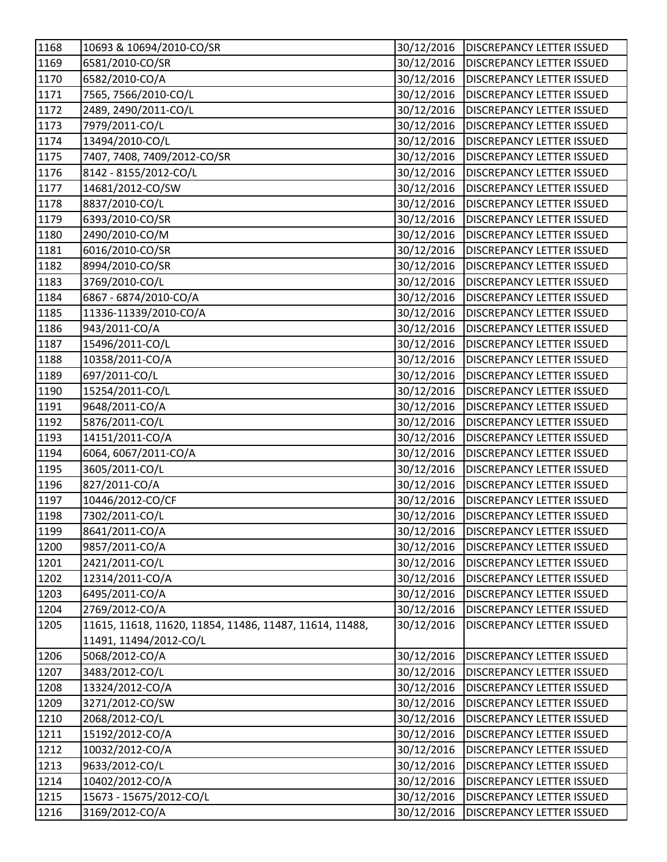| 1168              | 10693 & 10694/2010-CO/SR                                | 30/12/2016 | <b>DISCREPANCY LETTER ISSUED</b> |
|-------------------|---------------------------------------------------------|------------|----------------------------------|
| 1169              | 6581/2010-CO/SR                                         | 30/12/2016 | <b>DISCREPANCY LETTER ISSUED</b> |
| 1170              | 6582/2010-CO/A                                          | 30/12/2016 | <b>DISCREPANCY LETTER ISSUED</b> |
| 1171              | 7565, 7566/2010-CO/L                                    | 30/12/2016 | <b>DISCREPANCY LETTER ISSUED</b> |
| 1172              | 2489, 2490/2011-CO/L                                    | 30/12/2016 | <b>DISCREPANCY LETTER ISSUED</b> |
| 1173              | 7979/2011-CO/L                                          | 30/12/2016 | <b>DISCREPANCY LETTER ISSUED</b> |
| 1174              | 13494/2010-CO/L                                         | 30/12/2016 | <b>DISCREPANCY LETTER ISSUED</b> |
| 1175              | 7407, 7408, 7409/2012-CO/SR                             | 30/12/2016 | <b>DISCREPANCY LETTER ISSUED</b> |
| 1176              | 8142 - 8155/2012-CO/L                                   | 30/12/2016 | <b>DISCREPANCY LETTER ISSUED</b> |
| 1177              | 14681/2012-CO/SW                                        | 30/12/2016 | <b>DISCREPANCY LETTER ISSUED</b> |
| 1178              | 8837/2010-CO/L                                          | 30/12/2016 | <b>DISCREPANCY LETTER ISSUED</b> |
| 1179              | 6393/2010-CO/SR                                         | 30/12/2016 | <b>DISCREPANCY LETTER ISSUED</b> |
| 1180              | 2490/2010-CO/M                                          | 30/12/2016 | <b>DISCREPANCY LETTER ISSUED</b> |
| 1181              | 6016/2010-CO/SR                                         | 30/12/2016 | <b>DISCREPANCY LETTER ISSUED</b> |
| 1182              | 8994/2010-CO/SR                                         | 30/12/2016 | <b>DISCREPANCY LETTER ISSUED</b> |
| 1183              | 3769/2010-CO/L                                          | 30/12/2016 | <b>DISCREPANCY LETTER ISSUED</b> |
| 1184              | 6867 - 6874/2010-CO/A                                   | 30/12/2016 | <b>DISCREPANCY LETTER ISSUED</b> |
| 1185              | 11336-11339/2010-CO/A                                   | 30/12/2016 | <b>DISCREPANCY LETTER ISSUED</b> |
| 1186              | 943/2011-CO/A                                           | 30/12/2016 | <b>DISCREPANCY LETTER ISSUED</b> |
| 1187              | 15496/2011-CO/L                                         | 30/12/2016 | <b>DISCREPANCY LETTER ISSUED</b> |
| $\overline{1188}$ | 10358/2011-CO/A                                         | 30/12/2016 | <b>DISCREPANCY LETTER ISSUED</b> |
| 1189              | 697/2011-CO/L                                           | 30/12/2016 | <b>DISCREPANCY LETTER ISSUED</b> |
| 1190              | 15254/2011-CO/L                                         | 30/12/2016 | <b>DISCREPANCY LETTER ISSUED</b> |
| $\overline{1191}$ | 9648/2011-CO/A                                          | 30/12/2016 | <b>DISCREPANCY LETTER ISSUED</b> |
| 1192              | 5876/2011-CO/L                                          | 30/12/2016 | <b>DISCREPANCY LETTER ISSUED</b> |
| 1193              | 14151/2011-CO/A                                         | 30/12/2016 | <b>DISCREPANCY LETTER ISSUED</b> |
| 1194              | 6064, 6067/2011-CO/A                                    | 30/12/2016 | <b>DISCREPANCY LETTER ISSUED</b> |
| 1195              | 3605/2011-CO/L                                          | 30/12/2016 | <b>DISCREPANCY LETTER ISSUED</b> |
| 1196              | 827/2011-CO/A                                           | 30/12/2016 | <b>DISCREPANCY LETTER ISSUED</b> |
| 1197              | 10446/2012-CO/CF                                        | 30/12/2016 | <b>DISCREPANCY LETTER ISSUED</b> |
| 1198              | 7302/2011-CO/L                                          | 30/12/2016 | <b>DISCREPANCY LETTER ISSUED</b> |
| 1199              | 8641/2011-CO/A                                          | 30/12/2016 | <b>DISCREPANCY LETTER ISSUED</b> |
| 1200              | 9857/2011-CO/A                                          | 30/12/2016 | <b>DISCREPANCY LETTER ISSUED</b> |
| 1201              | 2421/2011-CO/L                                          | 30/12/2016 | <b>DISCREPANCY LETTER ISSUED</b> |
| 1202              | 12314/2011-CO/A                                         | 30/12/2016 | <b>DISCREPANCY LETTER ISSUED</b> |
| 1203              | 6495/2011-CO/A                                          | 30/12/2016 | <b>DISCREPANCY LETTER ISSUED</b> |
| 1204              | 2769/2012-CO/A                                          | 30/12/2016 | DISCREPANCY LETTER ISSUED        |
| 1205              | 11615, 11618, 11620, 11854, 11486, 11487, 11614, 11488, | 30/12/2016 | <b>DISCREPANCY LETTER ISSUED</b> |
|                   | 11491, 11494/2012-CO/L                                  |            |                                  |
| 1206              | 5068/2012-CO/A                                          | 30/12/2016 | DISCREPANCY LETTER ISSUED        |
| 1207              | 3483/2012-CO/L                                          | 30/12/2016 | <b>DISCREPANCY LETTER ISSUED</b> |
| 1208              | 13324/2012-CO/A                                         | 30/12/2016 | <b>DISCREPANCY LETTER ISSUED</b> |
| 1209              | 3271/2012-CO/SW                                         | 30/12/2016 | DISCREPANCY LETTER ISSUED        |
| 1210              | 2068/2012-CO/L                                          | 30/12/2016 | <b>DISCREPANCY LETTER ISSUED</b> |
| 1211              | 15192/2012-CO/A                                         | 30/12/2016 | <b>DISCREPANCY LETTER ISSUED</b> |
| 1212              | 10032/2012-CO/A                                         | 30/12/2016 | <b>DISCREPANCY LETTER ISSUED</b> |
| 1213              | 9633/2012-CO/L                                          | 30/12/2016 | DISCREPANCY LETTER ISSUED        |
| 1214              | 10402/2012-CO/A                                         | 30/12/2016 | <b>DISCREPANCY LETTER ISSUED</b> |
| 1215              | 15673 - 15675/2012-CO/L                                 | 30/12/2016 | DISCREPANCY LETTER ISSUED        |
| 1216              | 3169/2012-CO/A                                          | 30/12/2016 | DISCREPANCY LETTER ISSUED        |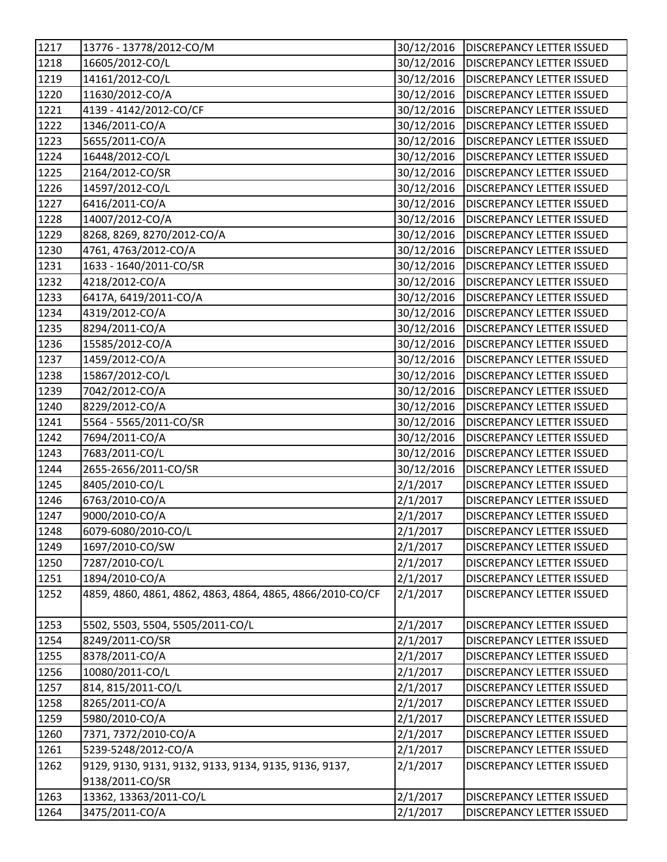| 1217               | 13776 - 13778/2012-CO/M                                   | 30/12/2016 | <b>DISCREPANCY LETTER ISSUED</b> |
|--------------------|-----------------------------------------------------------|------------|----------------------------------|
| 1218               | 16605/2012-CO/L                                           | 30/12/2016 | <b>DISCREPANCY LETTER ISSUED</b> |
| 1219               | 14161/2012-CO/L                                           | 30/12/2016 | <b>DISCREPANCY LETTER ISSUED</b> |
| 1220               | 11630/2012-CO/A                                           | 30/12/2016 | <b>DISCREPANCY LETTER ISSUED</b> |
| 1221               | 4139 - 4142/2012-CO/CF                                    | 30/12/2016 | <b>DISCREPANCY LETTER ISSUED</b> |
| $1222$             | 1346/2011-CO/A                                            | 30/12/2016 | <b>DISCREPANCY LETTER ISSUED</b> |
| 1223               | 5655/2011-CO/A                                            | 30/12/2016 | <b>DISCREPANCY LETTER ISSUED</b> |
| 1224               | 16448/2012-CO/L                                           | 30/12/2016 | <b>DISCREPANCY LETTER ISSUED</b> |
| 1225               | 2164/2012-CO/SR                                           | 30/12/2016 | <b>DISCREPANCY LETTER ISSUED</b> |
| 1226               | 14597/2012-CO/L                                           | 30/12/2016 | <b>DISCREPANCY LETTER ISSUED</b> |
| 1227               | 6416/2011-CO/A                                            | 30/12/2016 | <b>DISCREPANCY LETTER ISSUED</b> |
| 1228               | 14007/2012-CO/A                                           | 30/12/2016 | <b>DISCREPANCY LETTER ISSUED</b> |
| 1229               | 8268, 8269, 8270/2012-CO/A                                | 30/12/2016 | <b>DISCREPANCY LETTER ISSUED</b> |
| 1230               | 4761, 4763/2012-CO/A                                      | 30/12/2016 | <b>DISCREPANCY LETTER ISSUED</b> |
| 1231               | 1633 - 1640/2011-CO/SR                                    | 30/12/2016 | <b>DISCREPANCY LETTER ISSUED</b> |
| $1232$             | 4218/2012-CO/A                                            | 30/12/2016 | <b>DISCREPANCY LETTER ISSUED</b> |
| 1233               | 6417A, 6419/2011-CO/A                                     | 30/12/2016 | <b>DISCREPANCY LETTER ISSUED</b> |
| 1234               | 4319/2012-CO/A                                            | 30/12/2016 | <b>DISCREPANCY LETTER ISSUED</b> |
| 1235               | 8294/2011-CO/A                                            | 30/12/2016 | <b>DISCREPANCY LETTER ISSUED</b> |
| 1236               | 15585/2012-CO/A                                           | 30/12/2016 | <b>DISCREPANCY LETTER ISSUED</b> |
| $\overline{1}$ 237 | 1459/2012-CO/A                                            | 30/12/2016 | <b>DISCREPANCY LETTER ISSUED</b> |
| 1238               | 15867/2012-CO/L                                           | 30/12/2016 | <b>DISCREPANCY LETTER ISSUED</b> |
| 1239               | 7042/2012-CO/A                                            | 30/12/2016 | <b>DISCREPANCY LETTER ISSUED</b> |
| 1240               | 8229/2012-CO/A                                            | 30/12/2016 | <b>DISCREPANCY LETTER ISSUED</b> |
| 1241               | 5564 - 5565/2011-CO/SR                                    | 30/12/2016 | <b>DISCREPANCY LETTER ISSUED</b> |
| 1242               | 7694/2011-CO/A                                            | 30/12/2016 | <b>DISCREPANCY LETTER ISSUED</b> |
| 1243               | 7683/2011-CO/L                                            | 30/12/2016 | <b>DISCREPANCY LETTER ISSUED</b> |
| 1244               | 2655-2656/2011-CO/SR                                      | 30/12/2016 | <b>DISCREPANCY LETTER ISSUED</b> |
| 1245               | 8405/2010-CO/L                                            | 2/1/2017   | DISCREPANCY LETTER ISSUED        |
| 1246               | 6763/2010-CO/A                                            | 2/1/2017   | DISCREPANCY LETTER ISSUED        |
| 1247               | 9000/2010-CO/A                                            | 2/1/2017   | DISCREPANCY LETTER ISSUED        |
| 1248               | 6079-6080/2010-CO/L                                       | 2/1/2017   | DISCREPANCY LETTER ISSUED        |
| 1249               | 1697/2010-CO/SW                                           | 2/1/2017   | <b>DISCREPANCY LETTER ISSUED</b> |
| 1250               | 7287/2010-CO/L                                            | 2/1/2017   | DISCREPANCY LETTER ISSUED        |
| 1251               | 1894/2010-CO/A                                            | 2/1/2017   | DISCREPANCY LETTER ISSUED        |
| 1252               | 4859, 4860, 4861, 4862, 4863, 4864, 4865, 4866/2010-CO/CF | 2/1/2017   | <b>DISCREPANCY LETTER ISSUED</b> |
|                    |                                                           |            |                                  |
| 1253               | 5502, 5503, 5504, 5505/2011-CO/L                          | 2/1/2017   | <b>DISCREPANCY LETTER ISSUED</b> |
| 1254               | 8249/2011-CO/SR                                           | 2/1/2017   | <b>DISCREPANCY LETTER ISSUED</b> |
| 1255               | 8378/2011-CO/A                                            | 2/1/2017   | DISCREPANCY LETTER ISSUED        |
| 1256               | 10080/2011-CO/L                                           | 2/1/2017   | DISCREPANCY LETTER ISSUED        |
| 1257               | 814, 815/2011-CO/L                                        | 2/1/2017   | DISCREPANCY LETTER ISSUED        |
| 1258               | 8265/2011-CO/A                                            | 2/1/2017   | DISCREPANCY LETTER ISSUED        |
| 1259               | 5980/2010-CO/A                                            | 2/1/2017   | DISCREPANCY LETTER ISSUED        |
| 1260               | 7371, 7372/2010-CO/A                                      | 2/1/2017   | DISCREPANCY LETTER ISSUED        |
| 1261               | 5239-5248/2012-CO/A                                       | 2/1/2017   | DISCREPANCY LETTER ISSUED        |
| 1262               | 9129, 9130, 9131, 9132, 9133, 9134, 9135, 9136, 9137,     | 2/1/2017   | DISCREPANCY LETTER ISSUED        |
|                    | 9138/2011-CO/SR                                           |            |                                  |
| 1263               | 13362, 13363/2011-CO/L                                    | 2/1/2017   | DISCREPANCY LETTER ISSUED        |
| 1264               | 3475/2011-CO/A                                            | 2/1/2017   | DISCREPANCY LETTER ISSUED        |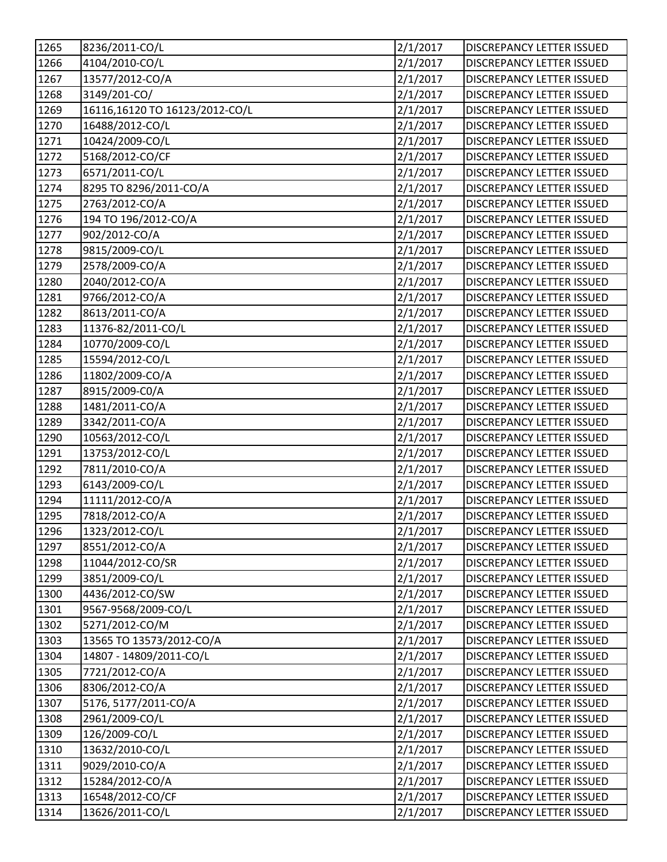| 1265 | 8236/2011-CO/L                 | 2/1/2017 | DISCREPANCY LETTER ISSUED        |
|------|--------------------------------|----------|----------------------------------|
| 1266 | 4104/2010-CO/L                 | 2/1/2017 | <b>DISCREPANCY LETTER ISSUED</b> |
| 1267 | 13577/2012-CO/A                | 2/1/2017 | <b>DISCREPANCY LETTER ISSUED</b> |
| 1268 | 3149/201-CO/                   | 2/1/2017 | DISCREPANCY LETTER ISSUED        |
| 1269 | 16116,16120 TO 16123/2012-CO/L | 2/1/2017 | DISCREPANCY LETTER ISSUED        |
| 1270 | 16488/2012-CO/L                | 2/1/2017 | DISCREPANCY LETTER ISSUED        |
| 1271 | 10424/2009-CO/L                | 2/1/2017 | DISCREPANCY LETTER ISSUED        |
| 1272 | 5168/2012-CO/CF                | 2/1/2017 | DISCREPANCY LETTER ISSUED        |
| 1273 | 6571/2011-CO/L                 | 2/1/2017 | DISCREPANCY LETTER ISSUED        |
| 1274 | 8295 TO 8296/2011-CO/A         | 2/1/2017 | <b>DISCREPANCY LETTER ISSUED</b> |
| 1275 | 2763/2012-CO/A                 | 2/1/2017 | <b>DISCREPANCY LETTER ISSUED</b> |
| 1276 | 194 TO 196/2012-CO/A           | 2/1/2017 | DISCREPANCY LETTER ISSUED        |
| 1277 | 902/2012-CO/A                  | 2/1/2017 | DISCREPANCY LETTER ISSUED        |
| 1278 | 9815/2009-CO/L                 | 2/1/2017 | <b>DISCREPANCY LETTER ISSUED</b> |
| 1279 | 2578/2009-CO/A                 | 2/1/2017 | DISCREPANCY LETTER ISSUED        |
| 1280 | 2040/2012-CO/A                 | 2/1/2017 | <b>DISCREPANCY LETTER ISSUED</b> |
| 1281 | 9766/2012-CO/A                 | 2/1/2017 | DISCREPANCY LETTER ISSUED        |
| 1282 | 8613/2011-CO/A                 | 2/1/2017 | DISCREPANCY LETTER ISSUED        |
| 1283 | 11376-82/2011-CO/L             | 2/1/2017 | DISCREPANCY LETTER ISSUED        |
| 1284 | 10770/2009-CO/L                | 2/1/2017 | <b>DISCREPANCY LETTER ISSUED</b> |
| 1285 | 15594/2012-CO/L                | 2/1/2017 | <b>DISCREPANCY LETTER ISSUED</b> |
| 1286 | 11802/2009-CO/A                | 2/1/2017 | DISCREPANCY LETTER ISSUED        |
| 1287 | 8915/2009-C0/A                 | 2/1/2017 | DISCREPANCY LETTER ISSUED        |
| 1288 | 1481/2011-CO/A                 | 2/1/2017 | DISCREPANCY LETTER ISSUED        |
| 1289 | 3342/2011-CO/A                 | 2/1/2017 | <b>DISCREPANCY LETTER ISSUED</b> |
| 1290 | 10563/2012-CO/L                | 2/1/2017 | <b>DISCREPANCY LETTER ISSUED</b> |
| 1291 | 13753/2012-CO/L                | 2/1/2017 | <b>DISCREPANCY LETTER ISSUED</b> |
| 1292 | 7811/2010-CO/A                 | 2/1/2017 | DISCREPANCY LETTER ISSUED        |
| 1293 | 6143/2009-CO/L                 | 2/1/2017 | DISCREPANCY LETTER ISSUED        |
| 1294 | 11111/2012-CO/A                | 2/1/2017 | <b>DISCREPANCY LETTER ISSUED</b> |
| 1295 | 7818/2012-CO/A                 | 2/1/2017 | <b>DISCREPANCY LETTER ISSUED</b> |
| 1296 | 1323/2012-CO/L                 | 2/1/2017 | <b>DISCREPANCY LETTER ISSUED</b> |
| 1297 | 8551/2012-CO/A                 | 2/1/2017 | <b>DISCREPANCY LETTER ISSUED</b> |
| 1298 | 11044/2012-CO/SR               | 2/1/2017 | <b>DISCREPANCY LETTER ISSUED</b> |
| 1299 | 3851/2009-CO/L                 | 2/1/2017 | <b>DISCREPANCY LETTER ISSUED</b> |
| 1300 | 4436/2012-CO/SW                | 2/1/2017 | DISCREPANCY LETTER ISSUED        |
| 1301 | 9567-9568/2009-CO/L            | 2/1/2017 | DISCREPANCY LETTER ISSUED        |
| 1302 | 5271/2012-CO/M                 | 2/1/2017 | DISCREPANCY LETTER ISSUED        |
| 1303 | 13565 TO 13573/2012-CO/A       | 2/1/2017 | <b>DISCREPANCY LETTER ISSUED</b> |
| 1304 | 14807 - 14809/2011-CO/L        | 2/1/2017 | DISCREPANCY LETTER ISSUED        |
| 1305 | 7721/2012-CO/A                 | 2/1/2017 | DISCREPANCY LETTER ISSUED        |
| 1306 | 8306/2012-CO/A                 | 2/1/2017 | DISCREPANCY LETTER ISSUED        |
| 1307 | 5176, 5177/2011-CO/A           | 2/1/2017 | <b>DISCREPANCY LETTER ISSUED</b> |
| 1308 | 2961/2009-CO/L                 | 2/1/2017 | <b>DISCREPANCY LETTER ISSUED</b> |
| 1309 | 126/2009-CO/L                  | 2/1/2017 | <b>DISCREPANCY LETTER ISSUED</b> |
| 1310 | 13632/2010-CO/L                | 2/1/2017 | DISCREPANCY LETTER ISSUED        |
| 1311 | 9029/2010-CO/A                 | 2/1/2017 | DISCREPANCY LETTER ISSUED        |
| 1312 | 15284/2012-CO/A                | 2/1/2017 | <b>DISCREPANCY LETTER ISSUED</b> |
| 1313 | 16548/2012-CO/CF               | 2/1/2017 | <b>DISCREPANCY LETTER ISSUED</b> |
| 1314 | 13626/2011-CO/L                | 2/1/2017 | DISCREPANCY LETTER ISSUED        |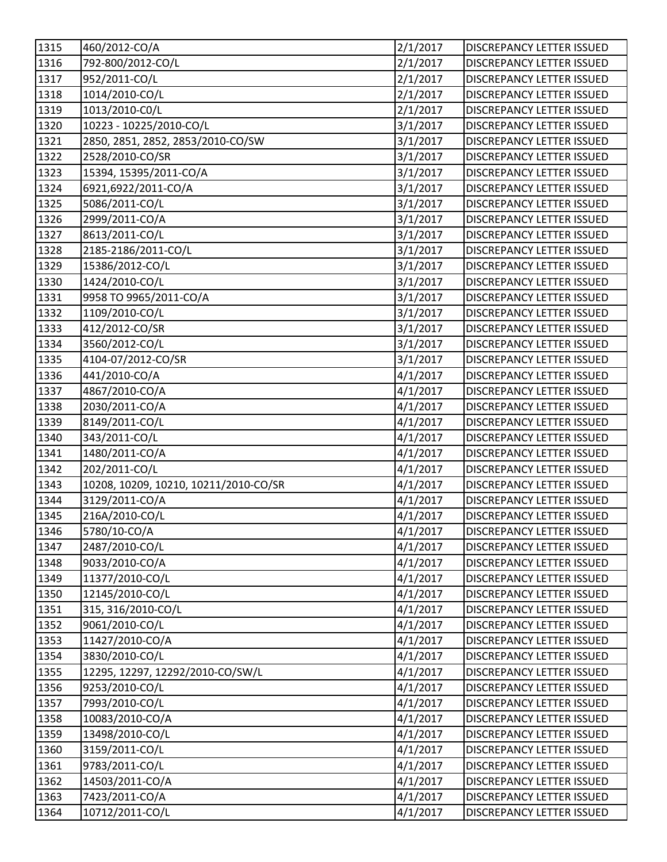| 1315 | 460/2012-CO/A                         | 2/1/2017 | <b>DISCREPANCY LETTER ISSUED</b> |
|------|---------------------------------------|----------|----------------------------------|
| 1316 | 792-800/2012-CO/L                     | 2/1/2017 | <b>DISCREPANCY LETTER ISSUED</b> |
| 1317 | 952/2011-CO/L                         | 2/1/2017 | <b>DISCREPANCY LETTER ISSUED</b> |
| 1318 | 1014/2010-CO/L                        | 2/1/2017 | DISCREPANCY LETTER ISSUED        |
| 1319 | 1013/2010-C0/L                        | 2/1/2017 | DISCREPANCY LETTER ISSUED        |
| 1320 | 10223 - 10225/2010-CO/L               | 3/1/2017 | DISCREPANCY LETTER ISSUED        |
| 1321 | 2850, 2851, 2852, 2853/2010-CO/SW     | 3/1/2017 | DISCREPANCY LETTER ISSUED        |
| 1322 | 2528/2010-CO/SR                       | 3/1/2017 | DISCREPANCY LETTER ISSUED        |
| 1323 | 15394, 15395/2011-CO/A                | 3/1/2017 | <b>DISCREPANCY LETTER ISSUED</b> |
| 1324 | 6921,6922/2011-CO/A                   | 3/1/2017 | <b>DISCREPANCY LETTER ISSUED</b> |
| 1325 | 5086/2011-CO/L                        | 3/1/2017 | <b>DISCREPANCY LETTER ISSUED</b> |
| 1326 | 2999/2011-CO/A                        | 3/1/2017 | DISCREPANCY LETTER ISSUED        |
| 1327 | 8613/2011-CO/L                        | 3/1/2017 | DISCREPANCY LETTER ISSUED        |
| 1328 | 2185-2186/2011-CO/L                   | 3/1/2017 | <b>DISCREPANCY LETTER ISSUED</b> |
| 1329 | 15386/2012-CO/L                       | 3/1/2017 | <b>DISCREPANCY LETTER ISSUED</b> |
| 1330 | 1424/2010-CO/L                        | 3/1/2017 | DISCREPANCY LETTER ISSUED        |
| 1331 | 9958 TO 9965/2011-CO/A                | 3/1/2017 | DISCREPANCY LETTER ISSUED        |
| 1332 | 1109/2010-CO/L                        | 3/1/2017 | DISCREPANCY LETTER ISSUED        |
| 1333 | 412/2012-CO/SR                        | 3/1/2017 | DISCREPANCY LETTER ISSUED        |
| 1334 | 3560/2012-CO/L                        | 3/1/2017 | <b>DISCREPANCY LETTER ISSUED</b> |
| 1335 | 4104-07/2012-CO/SR                    | 3/1/2017 | <b>DISCREPANCY LETTER ISSUED</b> |
| 1336 | 441/2010-CO/A                         | 4/1/2017 | DISCREPANCY LETTER ISSUED        |
| 1337 | 4867/2010-CO/A                        | 4/1/2017 | DISCREPANCY LETTER ISSUED        |
| 1338 | 2030/2011-CO/A                        | 4/1/2017 | DISCREPANCY LETTER ISSUED        |
| 1339 | 8149/2011-CO/L                        | 4/1/2017 | <b>DISCREPANCY LETTER ISSUED</b> |
| 1340 | 343/2011-CO/L                         | 4/1/2017 | DISCREPANCY LETTER ISSUED        |
| 1341 | 1480/2011-CO/A                        | 4/1/2017 | <b>DISCREPANCY LETTER ISSUED</b> |
| 1342 | 202/2011-CO/L                         | 4/1/2017 | DISCREPANCY LETTER ISSUED        |
| 1343 | 10208, 10209, 10210, 10211/2010-CO/SR | 4/1/2017 | DISCREPANCY LETTER ISSUED        |
| 1344 | 3129/2011-CO/A                        | 4/1/2017 | <b>DISCREPANCY LETTER ISSUED</b> |
| 1345 | 216A/2010-CO/L                        | 4/1/2017 | <b>DISCREPANCY LETTER ISSUED</b> |
| 1346 | 5780/10-CO/A                          | 4/1/2017 | DISCREPANCY LETTER ISSUED        |
| 1347 | 2487/2010-CO/L                        | 4/1/2017 | DISCREPANCY LETTER ISSUED        |
| 1348 | 9033/2010-CO/A                        | 4/1/2017 | <b>DISCREPANCY LETTER ISSUED</b> |
| 1349 | 11377/2010-CO/L                       | 4/1/2017 | <b>DISCREPANCY LETTER ISSUED</b> |
| 1350 | 12145/2010-CO/L                       | 4/1/2017 | DISCREPANCY LETTER ISSUED        |
| 1351 | 315, 316/2010-CO/L                    | 4/1/2017 | <b>DISCREPANCY LETTER ISSUED</b> |
| 1352 | 9061/2010-CO/L                        | 4/1/2017 | DISCREPANCY LETTER ISSUED        |
| 1353 | 11427/2010-CO/A                       | 4/1/2017 | <b>DISCREPANCY LETTER ISSUED</b> |
| 1354 | 3830/2010-CO/L                        | 4/1/2017 | DISCREPANCY LETTER ISSUED        |
| 1355 | 12295, 12297, 12292/2010-CO/SW/L      | 4/1/2017 | DISCREPANCY LETTER ISSUED        |
| 1356 | 9253/2010-CO/L                        | 4/1/2017 | DISCREPANCY LETTER ISSUED        |
| 1357 | 7993/2010-CO/L                        | 4/1/2017 | <b>DISCREPANCY LETTER ISSUED</b> |
| 1358 | 10083/2010-CO/A                       | 4/1/2017 | <b>DISCREPANCY LETTER ISSUED</b> |
| 1359 | 13498/2010-CO/L                       | 4/1/2017 | <b>DISCREPANCY LETTER ISSUED</b> |
| 1360 | 3159/2011-CO/L                        | 4/1/2017 | DISCREPANCY LETTER ISSUED        |
| 1361 | 9783/2011-CO/L                        | 4/1/2017 | DISCREPANCY LETTER ISSUED        |
| 1362 | 14503/2011-CO/A                       | 4/1/2017 | <b>DISCREPANCY LETTER ISSUED</b> |
| 1363 | 7423/2011-CO/A                        | 4/1/2017 | DISCREPANCY LETTER ISSUED        |
| 1364 | 10712/2011-CO/L                       | 4/1/2017 | DISCREPANCY LETTER ISSUED        |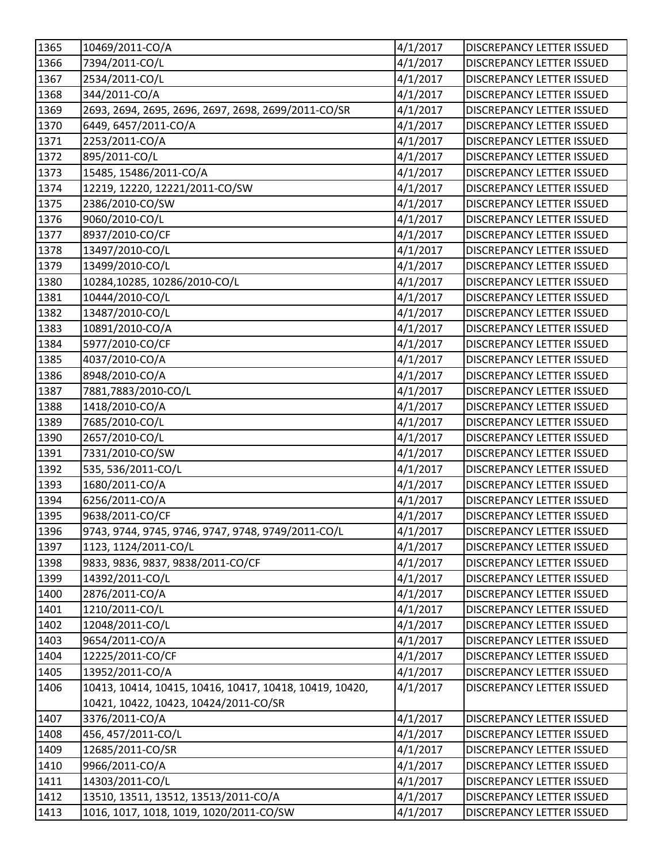| 1365   | 10469/2011-CO/A                                         | 4/1/2017 | <b>DISCREPANCY LETTER ISSUED</b> |
|--------|---------------------------------------------------------|----------|----------------------------------|
| 1366   | 7394/2011-CO/L                                          | 4/1/2017 | <b>DISCREPANCY LETTER ISSUED</b> |
| $1367$ | 2534/2011-CO/L                                          | 4/1/2017 | DISCREPANCY LETTER ISSUED        |
| 1368   | 344/2011-CO/A                                           | 4/1/2017 | DISCREPANCY LETTER ISSUED        |
| 1369   | 2693, 2694, 2695, 2696, 2697, 2698, 2699/2011-CO/SR     | 4/1/2017 | <b>DISCREPANCY LETTER ISSUED</b> |
| 1370   | 6449, 6457/2011-CO/A                                    | 4/1/2017 | <b>DISCREPANCY LETTER ISSUED</b> |
| 1371   | 2253/2011-CO/A                                          | 4/1/2017 | <b>DISCREPANCY LETTER ISSUED</b> |
| 1372   | 895/2011-CO/L                                           | 4/1/2017 | DISCREPANCY LETTER ISSUED        |
| 1373   | 15485, 15486/2011-CO/A                                  | 4/1/2017 | DISCREPANCY LETTER ISSUED        |
| 1374   | 12219, 12220, 12221/2011-CO/SW                          | 4/1/2017 | <b>DISCREPANCY LETTER ISSUED</b> |
| 1375   | 2386/2010-CO/SW                                         | 4/1/2017 | <b>DISCREPANCY LETTER ISSUED</b> |
| 1376   | 9060/2010-CO/L                                          | 4/1/2017 | DISCREPANCY LETTER ISSUED        |
| 1377   | 8937/2010-CO/CF                                         | 4/1/2017 | DISCREPANCY LETTER ISSUED        |
| 1378   | 13497/2010-CO/L                                         | 4/1/2017 | DISCREPANCY LETTER ISSUED        |
| 1379   | 13499/2010-CO/L                                         | 4/1/2017 | <b>DISCREPANCY LETTER ISSUED</b> |
| 1380   | 10284,10285, 10286/2010-CO/L                            | 4/1/2017 | DISCREPANCY LETTER ISSUED        |
| 1381   | 10444/2010-CO/L                                         | 4/1/2017 | DISCREPANCY LETTER ISSUED        |
| 1382   | 13487/2010-CO/L                                         | 4/1/2017 | <b>DISCREPANCY LETTER ISSUED</b> |
| 1383   | 10891/2010-CO/A                                         | 4/1/2017 | DISCREPANCY LETTER ISSUED        |
| 1384   | 5977/2010-CO/CF                                         | 4/1/2017 | <b>DISCREPANCY LETTER ISSUED</b> |
| 1385   | 4037/2010-CO/A                                          | 4/1/2017 | DISCREPANCY LETTER ISSUED        |
| 1386   | 8948/2010-CO/A                                          | 4/1/2017 | <b>DISCREPANCY LETTER ISSUED</b> |
| 1387   | 7881,7883/2010-CO/L                                     | 4/1/2017 | DISCREPANCY LETTER ISSUED        |
| 1388   | 1418/2010-CO/A                                          | 4/1/2017 | DISCREPANCY LETTER ISSUED        |
| 1389   | 7685/2010-CO/L                                          | 4/1/2017 | <b>DISCREPANCY LETTER ISSUED</b> |
| 1390   | 2657/2010-CO/L                                          | 4/1/2017 | <b>DISCREPANCY LETTER ISSUED</b> |
| 1391   | 7331/2010-CO/SW                                         | 4/1/2017 | <b>DISCREPANCY LETTER ISSUED</b> |
| 1392   | 535, 536/2011-CO/L                                      | 4/1/2017 | DISCREPANCY LETTER ISSUED        |
| 1393   | 1680/2011-CO/A                                          | 4/1/2017 | <b>DISCREPANCY LETTER ISSUED</b> |
| 1394   | 6256/2011-CO/A                                          | 4/1/2017 | DISCREPANCY LETTER ISSUED        |
| 1395   | 9638/2011-CO/CF                                         | 4/1/2017 | <b>DISCREPANCY LETTER ISSUED</b> |
| 1396   | 9743, 9744, 9745, 9746, 9747, 9748, 9749/2011-CO/L      | 4/1/2017 | DISCREPANCY LETTER ISSUED        |
| 1397   | 1123, 1124/2011-CO/L                                    | 4/1/2017 | <b>DISCREPANCY LETTER ISSUED</b> |
| 1398   | 9833, 9836, 9837, 9838/2011-CO/CF                       | 4/1/2017 | <b>DISCREPANCY LETTER ISSUED</b> |
| 1399   | 14392/2011-CO/L                                         | 4/1/2017 | DISCREPANCY LETTER ISSUED        |
| 1400   | 2876/2011-CO/A                                          | 4/1/2017 | <b>DISCREPANCY LETTER ISSUED</b> |
| 1401   | 1210/2011-CO/L                                          | 4/1/2017 | DISCREPANCY LETTER ISSUED        |
| 1402   | 12048/2011-CO/L                                         | 4/1/2017 | <b>DISCREPANCY LETTER ISSUED</b> |
| 1403   | 9654/2011-CO/A                                          | 4/1/2017 | DISCREPANCY LETTER ISSUED        |
| 1404   | 12225/2011-CO/CF                                        | 4/1/2017 | DISCREPANCY LETTER ISSUED        |
| 1405   | 13952/2011-CO/A                                         | 4/1/2017 | DISCREPANCY LETTER ISSUED        |
| 1406   | 10413, 10414, 10415, 10416, 10417, 10418, 10419, 10420, | 4/1/2017 | DISCREPANCY LETTER ISSUED        |
|        | 10421, 10422, 10423, 10424/2011-CO/SR                   |          |                                  |
| 1407   | 3376/2011-CO/A                                          | 4/1/2017 | DISCREPANCY LETTER ISSUED        |
| 1408   | 456, 457/2011-CO/L                                      | 4/1/2017 | <b>DISCREPANCY LETTER ISSUED</b> |
| 1409   | 12685/2011-CO/SR                                        | 4/1/2017 | DISCREPANCY LETTER ISSUED        |
| 1410   | 9966/2011-CO/A                                          | 4/1/2017 | <b>DISCREPANCY LETTER ISSUED</b> |
| 1411   | 14303/2011-CO/L                                         | 4/1/2017 | <b>DISCREPANCY LETTER ISSUED</b> |
| 1412   | 13510, 13511, 13512, 13513/2011-CO/A                    | 4/1/2017 | DISCREPANCY LETTER ISSUED        |
| 1413   | 1016, 1017, 1018, 1019, 1020/2011-CO/SW                 | 4/1/2017 | DISCREPANCY LETTER ISSUED        |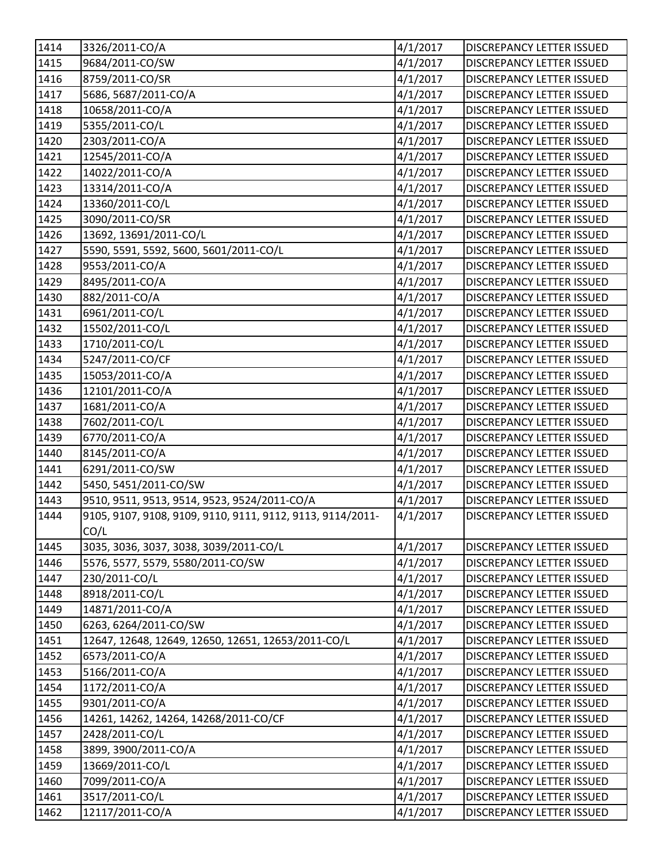| 1414 | 3326/2011-CO/A                                             | 4/1/2017 | <b>DISCREPANCY LETTER ISSUED</b> |
|------|------------------------------------------------------------|----------|----------------------------------|
| 1415 | 9684/2011-CO/SW                                            | 4/1/2017 | <b>DISCREPANCY LETTER ISSUED</b> |
| 1416 | 8759/2011-CO/SR                                            | 4/1/2017 | DISCREPANCY LETTER ISSUED        |
| 1417 | 5686, 5687/2011-CO/A                                       | 4/1/2017 | <b>DISCREPANCY LETTER ISSUED</b> |
| 1418 | 10658/2011-CO/A                                            | 4/1/2017 | DISCREPANCY LETTER ISSUED        |
| 1419 | 5355/2011-CO/L                                             | 4/1/2017 | <b>DISCREPANCY LETTER ISSUED</b> |
| 1420 | 2303/2011-CO/A                                             | 4/1/2017 | <b>DISCREPANCY LETTER ISSUED</b> |
| 1421 | 12545/2011-CO/A                                            | 4/1/2017 | DISCREPANCY LETTER ISSUED        |
| 1422 | 14022/2011-CO/A                                            | 4/1/2017 | DISCREPANCY LETTER ISSUED        |
| 1423 | 13314/2011-CO/A                                            | 4/1/2017 | <b>DISCREPANCY LETTER ISSUED</b> |
| 1424 | 13360/2011-CO/L                                            | 4/1/2017 | <b>DISCREPANCY LETTER ISSUED</b> |
| 1425 | 3090/2011-CO/SR                                            | 4/1/2017 | DISCREPANCY LETTER ISSUED        |
| 1426 | 13692, 13691/2011-CO/L                                     | 4/1/2017 | DISCREPANCY LETTER ISSUED        |
| 1427 | 5590, 5591, 5592, 5600, 5601/2011-CO/L                     | 4/1/2017 | DISCREPANCY LETTER ISSUED        |
| 1428 | 9553/2011-CO/A                                             | 4/1/2017 | <b>DISCREPANCY LETTER ISSUED</b> |
| 1429 | 8495/2011-CO/A                                             | 4/1/2017 | DISCREPANCY LETTER ISSUED        |
| 1430 | 882/2011-CO/A                                              | 4/1/2017 | DISCREPANCY LETTER ISSUED        |
| 1431 | 6961/2011-CO/L                                             | 4/1/2017 | <b>DISCREPANCY LETTER ISSUED</b> |
| 1432 | 15502/2011-CO/L                                            | 4/1/2017 | <b>DISCREPANCY LETTER ISSUED</b> |
| 1433 | 1710/2011-CO/L                                             | 4/1/2017 | <b>DISCREPANCY LETTER ISSUED</b> |
| 1434 | 5247/2011-CO/CF                                            | 4/1/2017 | DISCREPANCY LETTER ISSUED        |
| 1435 | 15053/2011-CO/A                                            | 4/1/2017 | <b>DISCREPANCY LETTER ISSUED</b> |
| 1436 | 12101/2011-CO/A                                            | 4/1/2017 | DISCREPANCY LETTER ISSUED        |
| 1437 | 1681/2011-CO/A                                             | 4/1/2017 | <b>DISCREPANCY LETTER ISSUED</b> |
| 1438 | 7602/2011-CO/L                                             | 4/1/2017 | <b>DISCREPANCY LETTER ISSUED</b> |
| 1439 | 6770/2011-CO/A                                             | 4/1/2017 | <b>DISCREPANCY LETTER ISSUED</b> |
| 1440 | 8145/2011-CO/A                                             | 4/1/2017 | <b>DISCREPANCY LETTER ISSUED</b> |
| 1441 | 6291/2011-CO/SW                                            | 4/1/2017 | <b>DISCREPANCY LETTER ISSUED</b> |
| 1442 | 5450, 5451/2011-CO/SW                                      | 4/1/2017 | DISCREPANCY LETTER ISSUED        |
| 1443 | 9510, 9511, 9513, 9514, 9523, 9524/2011-CO/A               | 4/1/2017 | <b>DISCREPANCY LETTER ISSUED</b> |
| 1444 | 9105, 9107, 9108, 9109, 9110, 9111, 9112, 9113, 9114/2011- | 4/1/2017 | <b>DISCREPANCY LETTER ISSUED</b> |
|      | CO/L                                                       |          |                                  |
| 1445 | 3035, 3036, 3037, 3038, 3039/2011-CO/L                     | 4/1/2017 | <b>DISCREPANCY LETTER ISSUED</b> |
| 1446 | 5576, 5577, 5579, 5580/2011-CO/SW                          | 4/1/2017 | <b>DISCREPANCY LETTER ISSUED</b> |
| 1447 | 230/2011-CO/L                                              | 4/1/2017 | <b>DISCREPANCY LETTER ISSUED</b> |
| 1448 | 8918/2011-CO/L                                             | 4/1/2017 | <b>DISCREPANCY LETTER ISSUED</b> |
| 1449 | 14871/2011-CO/A                                            | 4/1/2017 | DISCREPANCY LETTER ISSUED        |
| 1450 | 6263, 6264/2011-CO/SW                                      | 4/1/2017 | DISCREPANCY LETTER ISSUED        |
| 1451 | 12647, 12648, 12649, 12650, 12651, 12653/2011-CO/L         | 4/1/2017 | DISCREPANCY LETTER ISSUED        |
| 1452 | 6573/2011-CO/A                                             | 4/1/2017 | <b>DISCREPANCY LETTER ISSUED</b> |
| 1453 | 5166/2011-CO/A                                             | 4/1/2017 | <b>DISCREPANCY LETTER ISSUED</b> |
| 1454 | 1172/2011-CO/A                                             | 4/1/2017 | DISCREPANCY LETTER ISSUED        |
| 1455 | 9301/2011-CO/A                                             | 4/1/2017 | <b>DISCREPANCY LETTER ISSUED</b> |
| 1456 | 14261, 14262, 14264, 14268/2011-CO/CF                      | 4/1/2017 | <b>DISCREPANCY LETTER ISSUED</b> |
| 1457 | 2428/2011-CO/L                                             | 4/1/2017 | <b>DISCREPANCY LETTER ISSUED</b> |
| 1458 | 3899, 3900/2011-CO/A                                       | 4/1/2017 | DISCREPANCY LETTER ISSUED        |
| 1459 | 13669/2011-CO/L                                            | 4/1/2017 | DISCREPANCY LETTER ISSUED        |
| 1460 | 7099/2011-CO/A                                             | 4/1/2017 | <b>DISCREPANCY LETTER ISSUED</b> |
| 1461 | 3517/2011-CO/L                                             | 4/1/2017 | <b>DISCREPANCY LETTER ISSUED</b> |
| 1462 | 12117/2011-CO/A                                            | 4/1/2017 | DISCREPANCY LETTER ISSUED        |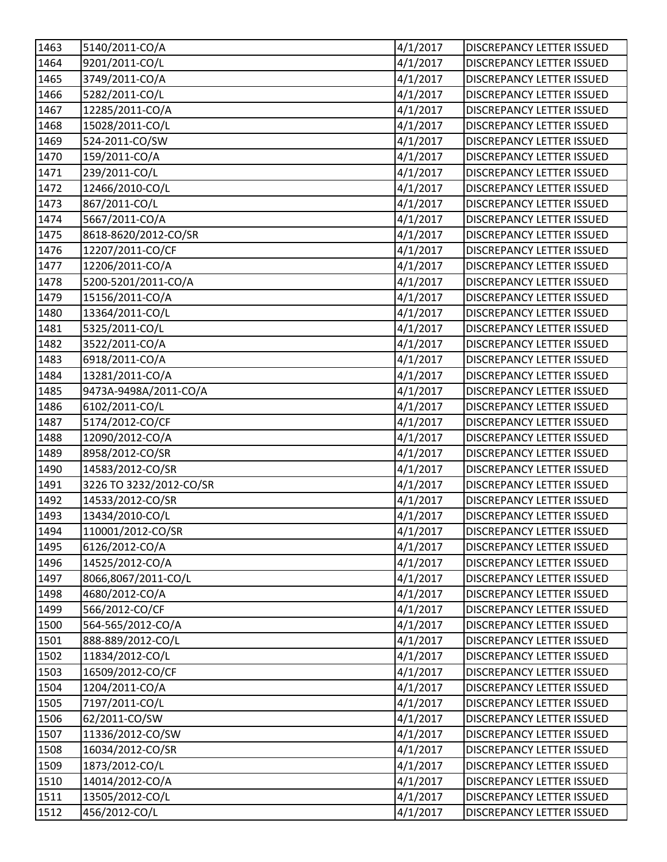| 1463              | 5140/2011-CO/A          | 4/1/2017 | DISCREPANCY LETTER ISSUED        |
|-------------------|-------------------------|----------|----------------------------------|
| 1464              | 9201/2011-CO/L          | 4/1/2017 | <b>DISCREPANCY LETTER ISSUED</b> |
| 1465              | 3749/2011-CO/A          | 4/1/2017 | <b>DISCREPANCY LETTER ISSUED</b> |
| 1466              | 5282/2011-CO/L          | 4/1/2017 | DISCREPANCY LETTER ISSUED        |
| 1467              | 12285/2011-CO/A         | 4/1/2017 | DISCREPANCY LETTER ISSUED        |
| 1468              | 15028/2011-CO/L         | 4/1/2017 | DISCREPANCY LETTER ISSUED        |
| 1469              | 524-2011-CO/SW          | 4/1/2017 | DISCREPANCY LETTER ISSUED        |
| $1470$            | 159/2011-CO/A           | 4/1/2017 | DISCREPANCY LETTER ISSUED        |
| 1471              | 239/2011-CO/L           | 4/1/2017 | DISCREPANCY LETTER ISSUED        |
| 1472              | 12466/2010-CO/L         | 4/1/2017 | <b>DISCREPANCY LETTER ISSUED</b> |
| 1473              | 867/2011-CO/L           | 4/1/2017 | <b>DISCREPANCY LETTER ISSUED</b> |
| 1474              | 5667/2011-CO/A          | 4/1/2017 | DISCREPANCY LETTER ISSUED        |
| 1475              | 8618-8620/2012-CO/SR    | 4/1/2017 | DISCREPANCY LETTER ISSUED        |
| 1476              | 12207/2011-CO/CF        | 4/1/2017 | <b>DISCREPANCY LETTER ISSUED</b> |
| 1477              | 12206/2011-CO/A         | 4/1/2017 | DISCREPANCY LETTER ISSUED        |
| 1478              | 5200-5201/2011-CO/A     | 4/1/2017 | <b>DISCREPANCY LETTER ISSUED</b> |
| 1479              | 15156/2011-CO/A         | 4/1/2017 | <b>DISCREPANCY LETTER ISSUED</b> |
| 1480              | 13364/2011-CO/L         | 4/1/2017 | DISCREPANCY LETTER ISSUED        |
| 1481              | 5325/2011-CO/L          | 4/1/2017 | DISCREPANCY LETTER ISSUED        |
| 1482              | 3522/2011-CO/A          | 4/1/2017 | <b>DISCREPANCY LETTER ISSUED</b> |
| $\overline{1483}$ | 6918/2011-CO/A          | 4/1/2017 | <b>DISCREPANCY LETTER ISSUED</b> |
| 1484              | 13281/2011-CO/A         | 4/1/2017 | DISCREPANCY LETTER ISSUED        |
| 1485              | 9473A-9498A/2011-CO/A   | 4/1/2017 | DISCREPANCY LETTER ISSUED        |
| 1486              | 6102/2011-CO/L          | 4/1/2017 | DISCREPANCY LETTER ISSUED        |
| 1487              | 5174/2012-CO/CF         | 4/1/2017 | <b>DISCREPANCY LETTER ISSUED</b> |
| 1488              | 12090/2012-CO/A         | 4/1/2017 | <b>DISCREPANCY LETTER ISSUED</b> |
| 1489              | 8958/2012-CO/SR         | 4/1/2017 | <b>DISCREPANCY LETTER ISSUED</b> |
| 1490              | 14583/2012-CO/SR        | 4/1/2017 | DISCREPANCY LETTER ISSUED        |
| 1491              | 3226 TO 3232/2012-CO/SR | 4/1/2017 | DISCREPANCY LETTER ISSUED        |
| 1492              | 14533/2012-CO/SR        | 4/1/2017 | <b>DISCREPANCY LETTER ISSUED</b> |
| 1493              | 13434/2010-CO/L         | 4/1/2017 | <b>DISCREPANCY LETTER ISSUED</b> |
| 1494              | 110001/2012-CO/SR       | 4/1/2017 | <b>DISCREPANCY LETTER ISSUED</b> |
| 1495              | 6126/2012-CO/A          | 4/1/2017 | DISCREPANCY LETTER ISSUED        |
| 1496              | 14525/2012-CO/A         | 4/1/2017 | <b>DISCREPANCY LETTER ISSUED</b> |
| 1497              | 8066,8067/2011-CO/L     | 4/1/2017 | <b>DISCREPANCY LETTER ISSUED</b> |
| 1498              | 4680/2012-CO/A          | 4/1/2017 | DISCREPANCY LETTER ISSUED        |
| 1499              | 566/2012-CO/CF          | 4/1/2017 | DISCREPANCY LETTER ISSUED        |
| 1500              | 564-565/2012-CO/A       | 4/1/2017 | DISCREPANCY LETTER ISSUED        |
| 1501              | 888-889/2012-CO/L       | 4/1/2017 | <b>DISCREPANCY LETTER ISSUED</b> |
| 1502              | 11834/2012-CO/L         | 4/1/2017 | <b>DISCREPANCY LETTER ISSUED</b> |
| 1503              | 16509/2012-CO/CF        | 4/1/2017 | DISCREPANCY LETTER ISSUED        |
| 1504              | 1204/2011-CO/A          | 4/1/2017 | DISCREPANCY LETTER ISSUED        |
| 1505              | 7197/2011-CO/L          | 4/1/2017 | <b>DISCREPANCY LETTER ISSUED</b> |
| 1506              | 62/2011-CO/SW           | 4/1/2017 | <b>DISCREPANCY LETTER ISSUED</b> |
| 1507              | 11336/2012-CO/SW        | 4/1/2017 | <b>DISCREPANCY LETTER ISSUED</b> |
| 1508              | 16034/2012-CO/SR        | 4/1/2017 | DISCREPANCY LETTER ISSUED        |
| 1509              | 1873/2012-CO/L          | 4/1/2017 | DISCREPANCY LETTER ISSUED        |
| 1510              | 14014/2012-CO/A         | 4/1/2017 | <b>DISCREPANCY LETTER ISSUED</b> |
| 1511              | 13505/2012-CO/L         | 4/1/2017 | <b>DISCREPANCY LETTER ISSUED</b> |
| 1512              | 456/2012-CO/L           | 4/1/2017 | DISCREPANCY LETTER ISSUED        |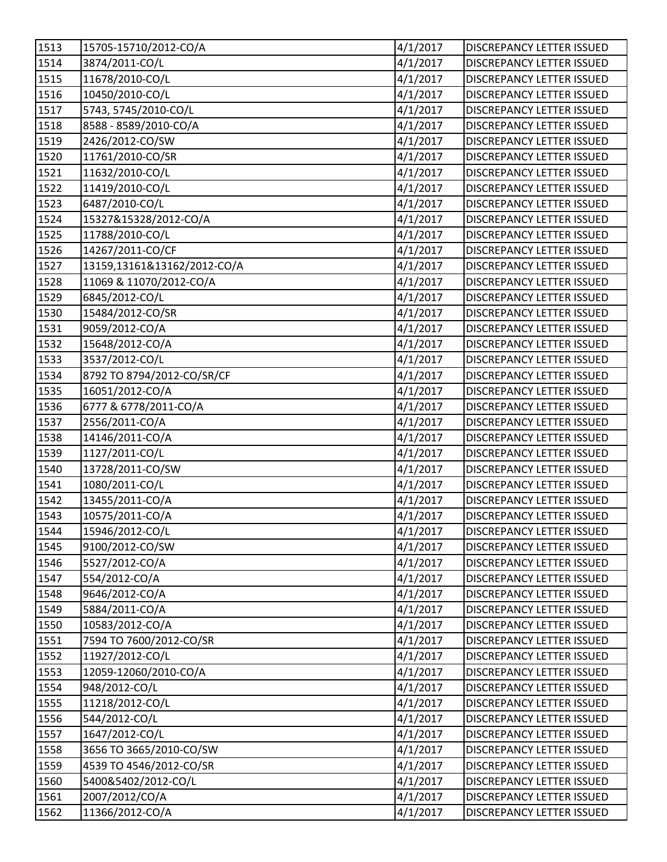| 1513               | 15705-15710/2012-CO/A       | 4/1/2017 | <b>DISCREPANCY LETTER ISSUED</b> |
|--------------------|-----------------------------|----------|----------------------------------|
| 1514               | 3874/2011-CO/L              | 4/1/2017 | <b>DISCREPANCY LETTER ISSUED</b> |
| 1515               | 11678/2010-CO/L             | 4/1/2017 | <b>DISCREPANCY LETTER ISSUED</b> |
| 1516               | 10450/2010-CO/L             | 4/1/2017 | DISCREPANCY LETTER ISSUED        |
| 1517               | 5743, 5745/2010-CO/L        | 4/1/2017 | DISCREPANCY LETTER ISSUED        |
| 1518               | 8588 - 8589/2010-CO/A       | 4/1/2017 | DISCREPANCY LETTER ISSUED        |
| 1519               | 2426/2012-CO/SW             | 4/1/2017 | DISCREPANCY LETTER ISSUED        |
| 1520               | 11761/2010-CO/SR            | 4/1/2017 | DISCREPANCY LETTER ISSUED        |
| 1521               | 11632/2010-CO/L             | 4/1/2017 | DISCREPANCY LETTER ISSUED        |
| 1522               | 11419/2010-CO/L             | 4/1/2017 | <b>DISCREPANCY LETTER ISSUED</b> |
| 1523               | 6487/2010-CO/L              | 4/1/2017 | <b>DISCREPANCY LETTER ISSUED</b> |
| 1524               | 15327&15328/2012-CO/A       | 4/1/2017 | DISCREPANCY LETTER ISSUED        |
| 1525               | 11788/2010-CO/L             | 4/1/2017 | DISCREPANCY LETTER ISSUED        |
| 1526               | 14267/2011-CO/CF            | 4/1/2017 | <b>DISCREPANCY LETTER ISSUED</b> |
| 1527               | 13159,13161&13162/2012-CO/A | 4/1/2017 | DISCREPANCY LETTER ISSUED        |
| 1528               | 11069 & 11070/2012-CO/A     | 4/1/2017 | <b>DISCREPANCY LETTER ISSUED</b> |
| 1529               | 6845/2012-CO/L              | 4/1/2017 | DISCREPANCY LETTER ISSUED        |
| 1530               | 15484/2012-CO/SR            | 4/1/2017 | DISCREPANCY LETTER ISSUED        |
| 1531               | 9059/2012-CO/A              | 4/1/2017 | DISCREPANCY LETTER ISSUED        |
| 1532               | 15648/2012-CO/A             | 4/1/2017 | <b>DISCREPANCY LETTER ISSUED</b> |
| $\overline{1}$ 533 | 3537/2012-CO/L              | 4/1/2017 | <b>DISCREPANCY LETTER ISSUED</b> |
| 1534               | 8792 TO 8794/2012-CO/SR/CF  | 4/1/2017 | DISCREPANCY LETTER ISSUED        |
| 1535               | 16051/2012-CO/A             | 4/1/2017 | DISCREPANCY LETTER ISSUED        |
| 1536               | 6777 & 6778/2011-CO/A       | 4/1/2017 | DISCREPANCY LETTER ISSUED        |
| 1537               | 2556/2011-CO/A              | 4/1/2017 | DISCREPANCY LETTER ISSUED        |
| 1538               | 14146/2011-CO/A             | 4/1/2017 | <b>DISCREPANCY LETTER ISSUED</b> |
| 1539               | 1127/2011-CO/L              | 4/1/2017 | <b>DISCREPANCY LETTER ISSUED</b> |
| 1540               | 13728/2011-CO/SW            | 4/1/2017 | DISCREPANCY LETTER ISSUED        |
| 1541               | 1080/2011-CO/L              | 4/1/2017 | DISCREPANCY LETTER ISSUED        |
| 1542               | 13455/2011-CO/A             | 4/1/2017 | <b>DISCREPANCY LETTER ISSUED</b> |
| 1543               | 10575/2011-CO/A             | 4/1/2017 | DISCREPANCY LETTER ISSUED        |
| 1544               | 15946/2012-CO/L             | 4/1/2017 | DISCREPANCY LETTER ISSUED        |
| 1545               | 9100/2012-CO/SW             | 4/1/2017 | <b>DISCREPANCY LETTER ISSUED</b> |
| 1546               | 5527/2012-CO/A              | 4/1/2017 | <b>DISCREPANCY LETTER ISSUED</b> |
| 1547               | 554/2012-CO/A               | 4/1/2017 | <b>DISCREPANCY LETTER ISSUED</b> |
| 1548               | 9646/2012-CO/A              | 4/1/2017 | DISCREPANCY LETTER ISSUED        |
| 1549               | 5884/2011-CO/A              | 4/1/2017 | <b>DISCREPANCY LETTER ISSUED</b> |
| 1550               | 10583/2012-CO/A             | 4/1/2017 | <b>DISCREPANCY LETTER ISSUED</b> |
| 1551               | 7594 TO 7600/2012-CO/SR     | 4/1/2017 | <b>DISCREPANCY LETTER ISSUED</b> |
| 1552               | 11927/2012-CO/L             | 4/1/2017 | <b>DISCREPANCY LETTER ISSUED</b> |
| 1553               | 12059-12060/2010-CO/A       | 4/1/2017 | DISCREPANCY LETTER ISSUED        |
| 1554               | 948/2012-CO/L               | 4/1/2017 | DISCREPANCY LETTER ISSUED        |
| 1555               | 11218/2012-CO/L             | 4/1/2017 | <b>DISCREPANCY LETTER ISSUED</b> |
| 1556               | 544/2012-CO/L               | 4/1/2017 | DISCREPANCY LETTER ISSUED        |
| 1557               | 1647/2012-CO/L              | 4/1/2017 | <b>DISCREPANCY LETTER ISSUED</b> |
| 1558               | 3656 TO 3665/2010-CO/SW     | 4/1/2017 | DISCREPANCY LETTER ISSUED        |
| 1559               | 4539 TO 4546/2012-CO/SR     | 4/1/2017 | DISCREPANCY LETTER ISSUED        |
| 1560               | 5400&5402/2012-CO/L         | 4/1/2017 | <b>DISCREPANCY LETTER ISSUED</b> |
| 1561               | 2007/2012/CO/A              | 4/1/2017 | <b>DISCREPANCY LETTER ISSUED</b> |
| 1562               | 11366/2012-CO/A             | 4/1/2017 | DISCREPANCY LETTER ISSUED        |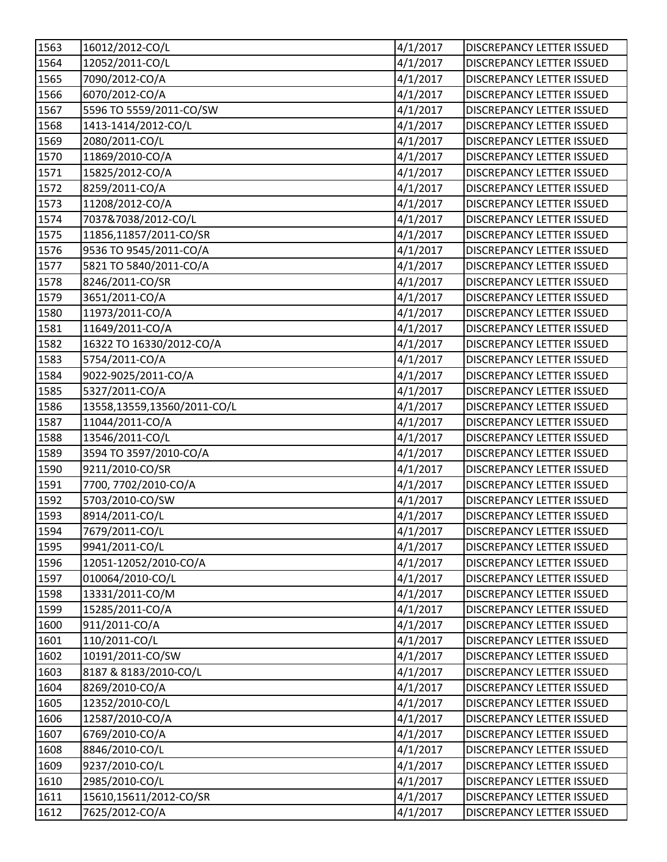| 1563 | 16012/2012-CO/L             | 4/1/2017 | <b>DISCREPANCY LETTER ISSUED</b> |
|------|-----------------------------|----------|----------------------------------|
| 1564 | 12052/2011-CO/L             | 4/1/2017 | <b>DISCREPANCY LETTER ISSUED</b> |
| 1565 | 7090/2012-CO/A              | 4/1/2017 | DISCREPANCY LETTER ISSUED        |
| 1566 | 6070/2012-CO/A              | 4/1/2017 | DISCREPANCY LETTER ISSUED        |
| 1567 | 5596 TO 5559/2011-CO/SW     | 4/1/2017 | <b>DISCREPANCY LETTER ISSUED</b> |
| 1568 | 1413-1414/2012-CO/L         | 4/1/2017 | <b>DISCREPANCY LETTER ISSUED</b> |
| 1569 | 2080/2011-CO/L              | 4/1/2017 | <b>DISCREPANCY LETTER ISSUED</b> |
| 1570 | 11869/2010-CO/A             | 4/1/2017 | <b>DISCREPANCY LETTER ISSUED</b> |
| 1571 | 15825/2012-CO/A             | 4/1/2017 | DISCREPANCY LETTER ISSUED        |
| 1572 | 8259/2011-CO/A              | 4/1/2017 | <b>DISCREPANCY LETTER ISSUED</b> |
| 1573 | 11208/2012-CO/A             | 4/1/2017 | <b>DISCREPANCY LETTER ISSUED</b> |
| 1574 | 7037&7038/2012-CO/L         | 4/1/2017 | DISCREPANCY LETTER ISSUED        |
| 1575 | 11856,11857/2011-CO/SR      | 4/1/2017 | DISCREPANCY LETTER ISSUED        |
| 1576 | 9536 TO 9545/2011-CO/A      | 4/1/2017 | DISCREPANCY LETTER ISSUED        |
| 1577 | 5821 TO 5840/2011-CO/A      | 4/1/2017 | <b>DISCREPANCY LETTER ISSUED</b> |
| 1578 | 8246/2011-CO/SR             | 4/1/2017 | DISCREPANCY LETTER ISSUED        |
| 1579 | 3651/2011-CO/A              | 4/1/2017 | <b>DISCREPANCY LETTER ISSUED</b> |
| 1580 | 11973/2011-CO/A             | 4/1/2017 | <b>DISCREPANCY LETTER ISSUED</b> |
| 1581 | 11649/2011-CO/A             | 4/1/2017 | DISCREPANCY LETTER ISSUED        |
| 1582 | 16322 TO 16330/2012-CO/A    | 4/1/2017 | <b>DISCREPANCY LETTER ISSUED</b> |
| 1583 | 5754/2011-CO/A              | 4/1/2017 | DISCREPANCY LETTER ISSUED        |
| 1584 | 9022-9025/2011-CO/A         | 4/1/2017 | <b>DISCREPANCY LETTER ISSUED</b> |
| 1585 | 5327/2011-CO/A              | 4/1/2017 | DISCREPANCY LETTER ISSUED        |
| 1586 | 13558,13559,13560/2011-CO/L | 4/1/2017 | <b>DISCREPANCY LETTER ISSUED</b> |
| 1587 | 11044/2011-CO/A             | 4/1/2017 | DISCREPANCY LETTER ISSUED        |
| 1588 | 13546/2011-CO/L             | 4/1/2017 | <b>DISCREPANCY LETTER ISSUED</b> |
| 1589 | 3594 TO 3597/2010-CO/A      | 4/1/2017 | <b>DISCREPANCY LETTER ISSUED</b> |
| 1590 | 9211/2010-CO/SR             | 4/1/2017 | <b>DISCREPANCY LETTER ISSUED</b> |
| 1591 | 7700, 7702/2010-CO/A        | 4/1/2017 | DISCREPANCY LETTER ISSUED        |
| 1592 | 5703/2010-CO/SW             | 4/1/2017 | DISCREPANCY LETTER ISSUED        |
| 1593 | 8914/2011-CO/L              | 4/1/2017 | <b>DISCREPANCY LETTER ISSUED</b> |
| 1594 | 7679/2011-CO/L              | 4/1/2017 | DISCREPANCY LETTER ISSUED        |
| 1595 | 9941/2011-CO/L              | 4/1/2017 | <b>DISCREPANCY LETTER ISSUED</b> |
| 1596 | 12051-12052/2010-CO/A       | 4/1/2017 | <b>DISCREPANCY LETTER ISSUED</b> |
| 1597 | 010064/2010-CO/L            | 4/1/2017 | DISCREPANCY LETTER ISSUED        |
| 1598 | 13331/2011-CO/M             | 4/1/2017 | <b>DISCREPANCY LETTER ISSUED</b> |
| 1599 | 15285/2011-CO/A             | 4/1/2017 | DISCREPANCY LETTER ISSUED        |
| 1600 | 911/2011-CO/A               | 4/1/2017 | <b>DISCREPANCY LETTER ISSUED</b> |
| 1601 | 110/2011-CO/L               | 4/1/2017 | <b>DISCREPANCY LETTER ISSUED</b> |
| 1602 | 10191/2011-CO/SW            | 4/1/2017 | <b>DISCREPANCY LETTER ISSUED</b> |
| 1603 | 8187 & 8183/2010-CO/L       | 4/1/2017 | DISCREPANCY LETTER ISSUED        |
| 1604 | 8269/2010-CO/A              | 4/1/2017 | DISCREPANCY LETTER ISSUED        |
| 1605 | 12352/2010-CO/L             | 4/1/2017 | <b>DISCREPANCY LETTER ISSUED</b> |
| 1606 | 12587/2010-CO/A             | 4/1/2017 | <b>DISCREPANCY LETTER ISSUED</b> |
| 1607 | 6769/2010-CO/A              | 4/1/2017 | <b>DISCREPANCY LETTER ISSUED</b> |
| 1608 | 8846/2010-CO/L              | 4/1/2017 | DISCREPANCY LETTER ISSUED        |
| 1609 | 9237/2010-CO/L              | 4/1/2017 | <b>DISCREPANCY LETTER ISSUED</b> |
| 1610 | 2985/2010-CO/L              | 4/1/2017 | <b>DISCREPANCY LETTER ISSUED</b> |
| 1611 | 15610,15611/2012-CO/SR      | 4/1/2017 | <b>DISCREPANCY LETTER ISSUED</b> |
| 1612 | 7625/2012-CO/A              | 4/1/2017 | DISCREPANCY LETTER ISSUED        |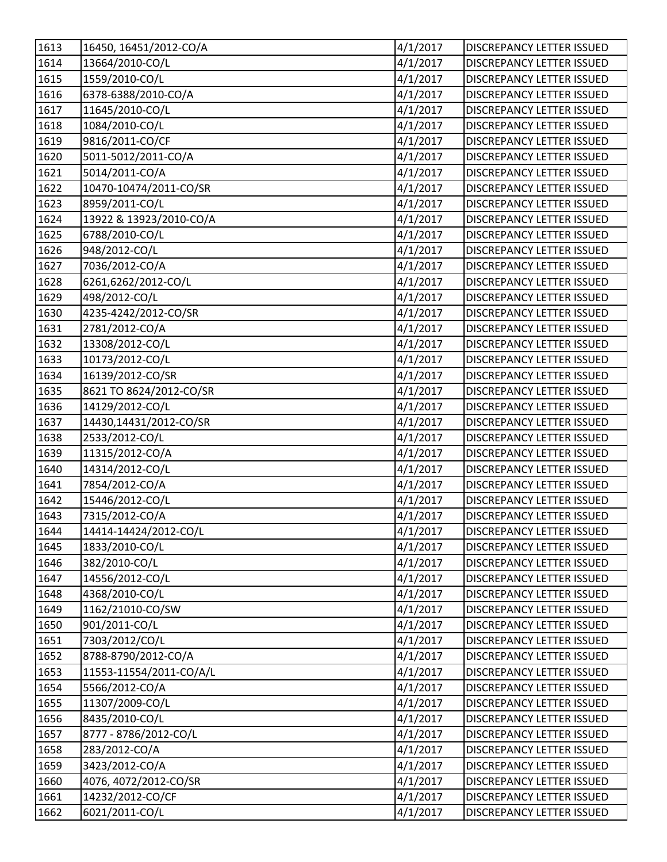| 1613              | 16450, 16451/2012-CO/A  | 4/1/2017 | DISCREPANCY LETTER ISSUED        |
|-------------------|-------------------------|----------|----------------------------------|
| 1614              | 13664/2010-CO/L         | 4/1/2017 | <b>DISCREPANCY LETTER ISSUED</b> |
| 1615              | 1559/2010-CO/L          | 4/1/2017 | DISCREPANCY LETTER ISSUED        |
| 1616              | 6378-6388/2010-CO/A     | 4/1/2017 | DISCREPANCY LETTER ISSUED        |
| 1617              | 11645/2010-CO/L         | 4/1/2017 | <b>DISCREPANCY LETTER ISSUED</b> |
| 1618              | 1084/2010-CO/L          | 4/1/2017 | <b>DISCREPANCY LETTER ISSUED</b> |
| 1619              | 9816/2011-CO/CF         | 4/1/2017 | <b>DISCREPANCY LETTER ISSUED</b> |
| 1620              | 5011-5012/2011-CO/A     | 4/1/2017 | DISCREPANCY LETTER ISSUED        |
| $\overline{1621}$ | 5014/2011-CO/A          | 4/1/2017 | DISCREPANCY LETTER ISSUED        |
| 1622              | 10470-10474/2011-CO/SR  | 4/1/2017 | <b>DISCREPANCY LETTER ISSUED</b> |
| 1623              | 8959/2011-CO/L          | 4/1/2017 | <b>DISCREPANCY LETTER ISSUED</b> |
| 1624              | 13922 & 13923/2010-CO/A | 4/1/2017 | DISCREPANCY LETTER ISSUED        |
| 1625              | 6788/2010-CO/L          | 4/1/2017 | DISCREPANCY LETTER ISSUED        |
| 1626              | 948/2012-CO/L           | 4/1/2017 | DISCREPANCY LETTER ISSUED        |
| 1627              | 7036/2012-CO/A          | 4/1/2017 | <b>DISCREPANCY LETTER ISSUED</b> |
| 1628              | 6261,6262/2012-CO/L     | 4/1/2017 | <b>DISCREPANCY LETTER ISSUED</b> |
| 1629              | 498/2012-CO/L           | 4/1/2017 | <b>DISCREPANCY LETTER ISSUED</b> |
| 1630              | 4235-4242/2012-CO/SR    | 4/1/2017 | DISCREPANCY LETTER ISSUED        |
| 1631              | 2781/2012-CO/A          | 4/1/2017 | DISCREPANCY LETTER ISSUED        |
| 1632              | 13308/2012-CO/L         | 4/1/2017 | <b>DISCREPANCY LETTER ISSUED</b> |
| 1633              | 10173/2012-CO/L         | 4/1/2017 | DISCREPANCY LETTER ISSUED        |
| 1634              | 16139/2012-CO/SR        | 4/1/2017 | <b>DISCREPANCY LETTER ISSUED</b> |
| 1635              | 8621 TO 8624/2012-CO/SR | 4/1/2017 | DISCREPANCY LETTER ISSUED        |
| 1636              | 14129/2012-CO/L         | 4/1/2017 | <b>DISCREPANCY LETTER ISSUED</b> |
| 1637              | 14430,14431/2012-CO/SR  | 4/1/2017 | <b>DISCREPANCY LETTER ISSUED</b> |
| 1638              | 2533/2012-CO/L          | 4/1/2017 | <b>DISCREPANCY LETTER ISSUED</b> |
| 1639              | 11315/2012-CO/A         | 4/1/2017 | <b>DISCREPANCY LETTER ISSUED</b> |
| 1640              | 14314/2012-CO/L         | 4/1/2017 | <b>DISCREPANCY LETTER ISSUED</b> |
| 1641              | 7854/2012-CO/A          | 4/1/2017 | <b>DISCREPANCY LETTER ISSUED</b> |
| 1642              | 15446/2012-CO/L         | 4/1/2017 | DISCREPANCY LETTER ISSUED        |
| 1643              | 7315/2012-CO/A          | 4/1/2017 | <b>DISCREPANCY LETTER ISSUED</b> |
| 1644              | 14414-14424/2012-CO/L   | 4/1/2017 | DISCREPANCY LETTER ISSUED        |
| 1645              | 1833/2010-CO/L          | 4/1/2017 | <b>DISCREPANCY LETTER ISSUED</b> |
| 1646              | 382/2010-CO/L           | 4/1/2017 | DISCREPANCY LETTER ISSUED        |
| 1647              | 14556/2012-CO/L         | 4/1/2017 | <b>DISCREPANCY LETTER ISSUED</b> |
| 1648              | 4368/2010-CO/L          | 4/1/2017 | <b>DISCREPANCY LETTER ISSUED</b> |
| 1649              | 1162/21010-CO/SW        | 4/1/2017 | DISCREPANCY LETTER ISSUED        |
| 1650              | 901/2011-CO/L           | 4/1/2017 | <b>DISCREPANCY LETTER ISSUED</b> |
| 1651              | 7303/2012/CO/L          | 4/1/2017 | <b>DISCREPANCY LETTER ISSUED</b> |
| 1652              | 8788-8790/2012-CO/A     | 4/1/2017 | <b>DISCREPANCY LETTER ISSUED</b> |
| 1653              | 11553-11554/2011-CO/A/L | 4/1/2017 | <b>DISCREPANCY LETTER ISSUED</b> |
| 1654              | 5566/2012-CO/A          | 4/1/2017 | DISCREPANCY LETTER ISSUED        |
| 1655              | 11307/2009-CO/L         | 4/1/2017 | <b>DISCREPANCY LETTER ISSUED</b> |
| 1656              | 8435/2010-CO/L          | 4/1/2017 | <b>DISCREPANCY LETTER ISSUED</b> |
| 1657              | 8777 - 8786/2012-CO/L   | 4/1/2017 | <b>DISCREPANCY LETTER ISSUED</b> |
| 1658              | 283/2012-CO/A           | 4/1/2017 | DISCREPANCY LETTER ISSUED        |
| 1659              | 3423/2012-CO/A          | 4/1/2017 | DISCREPANCY LETTER ISSUED        |
| 1660              | 4076, 4072/2012-CO/SR   | 4/1/2017 | <b>DISCREPANCY LETTER ISSUED</b> |
| 1661              | 14232/2012-CO/CF        | 4/1/2017 | <b>DISCREPANCY LETTER ISSUED</b> |
| 1662              | 6021/2011-CO/L          | 4/1/2017 | DISCREPANCY LETTER ISSUED        |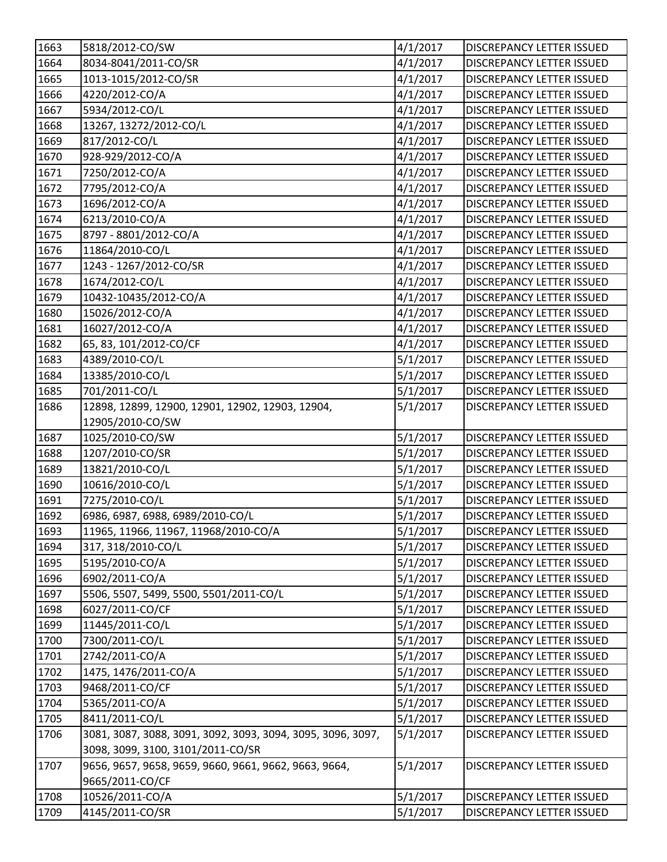| 1663 | 5818/2012-CO/SW                                             | 4/1/2017             | <b>DISCREPANCY LETTER ISSUED</b> |
|------|-------------------------------------------------------------|----------------------|----------------------------------|
| 1664 | 8034-8041/2011-CO/SR                                        | 4/1/2017             | <b>DISCREPANCY LETTER ISSUED</b> |
| 1665 | 1013-1015/2012-CO/SR                                        | 4/1/2017             | DISCREPANCY LETTER ISSUED        |
| 1666 | 4220/2012-CO/A                                              | 4/1/2017             | DISCREPANCY LETTER ISSUED        |
| 1667 | 5934/2012-CO/L                                              | 4/1/2017             | DISCREPANCY LETTER ISSUED        |
| 1668 | 13267, 13272/2012-CO/L                                      | 4/1/2017             | <b>DISCREPANCY LETTER ISSUED</b> |
| 1669 | 817/2012-CO/L                                               | 4/1/2017             | DISCREPANCY LETTER ISSUED        |
| 1670 | 928-929/2012-CO/A                                           | 4/1/2017             | DISCREPANCY LETTER ISSUED        |
| 1671 | 7250/2012-CO/A                                              | 4/1/2017             | DISCREPANCY LETTER ISSUED        |
| 1672 | 7795/2012-CO/A                                              | 4/1/2017             | <b>DISCREPANCY LETTER ISSUED</b> |
| 1673 | 1696/2012-CO/A                                              | 4/1/2017             | DISCREPANCY LETTER ISSUED        |
| 1674 | 6213/2010-CO/A                                              | 4/1/2017             | DISCREPANCY LETTER ISSUED        |
| 1675 | 8797 - 8801/2012-CO/A                                       | 4/1/2017             | DISCREPANCY LETTER ISSUED        |
| 1676 | 11864/2010-CO/L                                             | 4/1/2017             | DISCREPANCY LETTER ISSUED        |
| 1677 | 1243 - 1267/2012-CO/SR                                      | 4/1/2017             | <b>DISCREPANCY LETTER ISSUED</b> |
| 1678 | 1674/2012-CO/L                                              | 4/1/2017             | DISCREPANCY LETTER ISSUED        |
| 1679 | 10432-10435/2012-CO/A                                       | 4/1/2017             | <b>DISCREPANCY LETTER ISSUED</b> |
| 1680 | 15026/2012-CO/A                                             | 4/1/2017             | DISCREPANCY LETTER ISSUED        |
| 1681 | 16027/2012-CO/A                                             | 4/1/2017             | <b>DISCREPANCY LETTER ISSUED</b> |
| 1682 | 65, 83, 101/2012-CO/CF                                      | 4/1/2017             | <b>DISCREPANCY LETTER ISSUED</b> |
| 1683 | 4389/2010-CO/L                                              | 5/1/2017             | <b>DISCREPANCY LETTER ISSUED</b> |
| 1684 | 13385/2010-CO/L                                             | 5/1/2017             | DISCREPANCY LETTER ISSUED        |
| 1685 | 701/2011-CO/L                                               | 5/1/2017             | DISCREPANCY LETTER ISSUED        |
| 1686 | 12898, 12899, 12900, 12901, 12902, 12903, 12904,            | 5/1/2017             | DISCREPANCY LETTER ISSUED        |
|      | 12905/2010-CO/SW                                            |                      |                                  |
| 1687 | 1025/2010-CO/SW                                             | 5/1/2017             | <b>DISCREPANCY LETTER ISSUED</b> |
| 1688 | 1207/2010-CO/SR                                             | 5/1/2017             | DISCREPANCY LETTER ISSUED        |
| 1689 | 13821/2010-CO/L                                             | 5/1/2017             | <b>DISCREPANCY LETTER ISSUED</b> |
| 1690 | 10616/2010-CO/L                                             | 5/1/2017             | <b>DISCREPANCY LETTER ISSUED</b> |
| 1691 | 7275/2010-CO/L                                              | 5/1/2017             | DISCREPANCY LETTER ISSUED        |
| 1692 | 6986, 6987, 6988, 6989/2010-CO/L                            | 5/1/2017             | <b>DISCREPANCY LETTER ISSUED</b> |
| 1693 | 11965, 11966, 11967, 11968/2010-CO/A                        | $\frac{1}{5}/1/2017$ | DISCREPANCY LETTER ISSUED        |
| 1694 | 317, 318/2010-CO/L                                          | 5/1/2017             | DISCREPANCY LETTER ISSUED        |
| 1695 | 5195/2010-CO/A                                              | 5/1/2017             | <b>DISCREPANCY LETTER ISSUED</b> |
| 1696 | 6902/2011-CO/A                                              | 5/1/2017             | DISCREPANCY LETTER ISSUED        |
| 1697 | 5506, 5507, 5499, 5500, 5501/2011-CO/L                      | 5/1/2017             | <b>DISCREPANCY LETTER ISSUED</b> |
| 1698 | 6027/2011-CO/CF                                             | 5/1/2017             | DISCREPANCY LETTER ISSUED        |
| 1699 | 11445/2011-CO/L                                             | 5/1/2017             | DISCREPANCY LETTER ISSUED        |
| 1700 | 7300/2011-CO/L                                              | 5/1/2017             | <b>DISCREPANCY LETTER ISSUED</b> |
| 1701 | 2742/2011-CO/A                                              | 5/1/2017             | DISCREPANCY LETTER ISSUED        |
| 1702 | 1475, 1476/2011-CO/A                                        | 5/1/2017             | DISCREPANCY LETTER ISSUED        |
| 1703 | 9468/2011-CO/CF                                             | 5/1/2017             | DISCREPANCY LETTER ISSUED        |
| 1704 | 5365/2011-CO/A                                              | 5/1/2017             | DISCREPANCY LETTER ISSUED        |
| 1705 | 8411/2011-CO/L                                              | 5/1/2017             | DISCREPANCY LETTER ISSUED        |
| 1706 | 3081, 3087, 3088, 3091, 3092, 3093, 3094, 3095, 3096, 3097, | 5/1/2017             | DISCREPANCY LETTER ISSUED        |
|      | 3098, 3099, 3100, 3101/2011-CO/SR                           |                      |                                  |
| 1707 | 9656, 9657, 9658, 9659, 9660, 9661, 9662, 9663, 9664,       | 5/1/2017             | DISCREPANCY LETTER ISSUED        |
|      | 9665/2011-CO/CF                                             |                      |                                  |
| 1708 | 10526/2011-CO/A                                             | 5/1/2017             | DISCREPANCY LETTER ISSUED        |
| 1709 | 4145/2011-CO/SR                                             | 5/1/2017             | DISCREPANCY LETTER ISSUED        |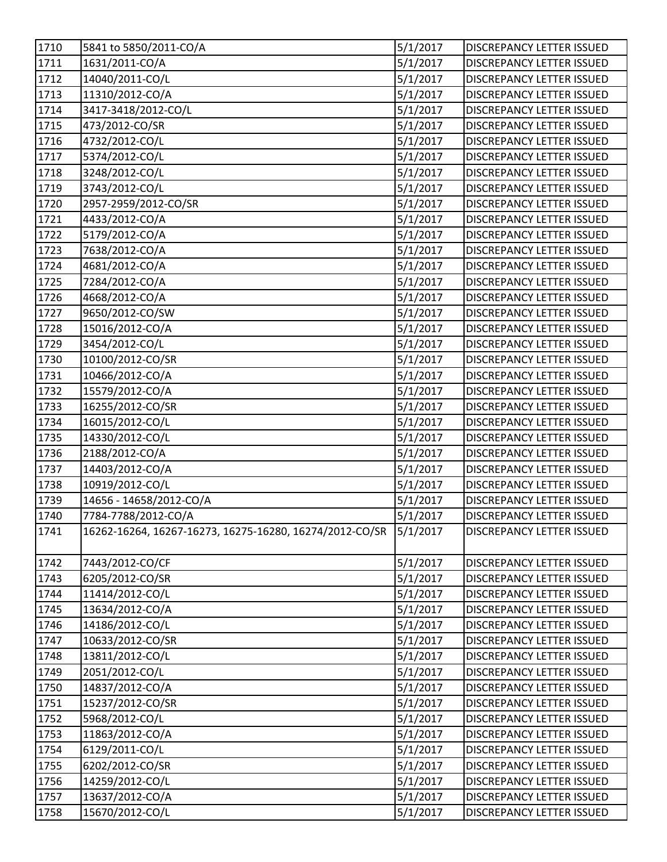| 1710 | 5841 to 5850/2011-CO/A                                           | 5/1/2017 | <b>DISCREPANCY LETTER ISSUED</b> |
|------|------------------------------------------------------------------|----------|----------------------------------|
| 1711 | 1631/2011-CO/A                                                   | 5/1/2017 | <b>DISCREPANCY LETTER ISSUED</b> |
| 1712 | 14040/2011-CO/L                                                  | 5/1/2017 | <b>DISCREPANCY LETTER ISSUED</b> |
| 1713 | 11310/2012-CO/A                                                  | 5/1/2017 | DISCREPANCY LETTER ISSUED        |
| 1714 | 3417-3418/2012-CO/L                                              | 5/1/2017 | DISCREPANCY LETTER ISSUED        |
| 1715 | 473/2012-CO/SR                                                   | 5/1/2017 | DISCREPANCY LETTER ISSUED        |
| 1716 | 4732/2012-CO/L                                                   | 5/1/2017 | <b>DISCREPANCY LETTER ISSUED</b> |
| 1717 | 5374/2012-CO/L                                                   | 5/1/2017 | DISCREPANCY LETTER ISSUED        |
| 1718 | 3248/2012-CO/L                                                   | 5/1/2017 | DISCREPANCY LETTER ISSUED        |
| 1719 | 3743/2012-CO/L                                                   | 5/1/2017 | <b>DISCREPANCY LETTER ISSUED</b> |
| 1720 | 2957-2959/2012-CO/SR                                             | 5/1/2017 | <b>DISCREPANCY LETTER ISSUED</b> |
| 1721 | 4433/2012-CO/A                                                   | 5/1/2017 | DISCREPANCY LETTER ISSUED        |
| 1722 | 5179/2012-CO/A                                                   | 5/1/2017 | DISCREPANCY LETTER ISSUED        |
| 1723 | 7638/2012-CO/A                                                   | 5/1/2017 | <b>DISCREPANCY LETTER ISSUED</b> |
| 1724 | 4681/2012-CO/A                                                   | 5/1/2017 | <b>DISCREPANCY LETTER ISSUED</b> |
| 1725 | 7284/2012-CO/A                                                   | 5/1/2017 | DISCREPANCY LETTER ISSUED        |
| 1726 | 4668/2012-CO/A                                                   | 5/1/2017 | DISCREPANCY LETTER ISSUED        |
| 1727 | 9650/2012-CO/SW                                                  | 5/1/2017 | DISCREPANCY LETTER ISSUED        |
| 1728 | 15016/2012-CO/A                                                  | 5/1/2017 | DISCREPANCY LETTER ISSUED        |
| 1729 | 3454/2012-CO/L                                                   | 5/1/2017 | <b>DISCREPANCY LETTER ISSUED</b> |
| 1730 | 10100/2012-CO/SR                                                 | 5/1/2017 | <b>DISCREPANCY LETTER ISSUED</b> |
| 1731 | 10466/2012-CO/A                                                  | 5/1/2017 | DISCREPANCY LETTER ISSUED        |
| 1732 | 15579/2012-CO/A                                                  | 5/1/2017 | DISCREPANCY LETTER ISSUED        |
| 1733 | 16255/2012-CO/SR                                                 | 5/1/2017 | DISCREPANCY LETTER ISSUED        |
| 1734 | 16015/2012-CO/L                                                  | 5/1/2017 | <b>DISCREPANCY LETTER ISSUED</b> |
| 1735 | 14330/2012-CO/L                                                  | 5/1/2017 | DISCREPANCY LETTER ISSUED        |
| 1736 | 2188/2012-CO/A                                                   | 5/1/2017 | <b>DISCREPANCY LETTER ISSUED</b> |
| 1737 | 14403/2012-CO/A                                                  | 5/1/2017 | DISCREPANCY LETTER ISSUED        |
| 1738 | 10919/2012-CO/L                                                  | 5/1/2017 | <b>DISCREPANCY LETTER ISSUED</b> |
| 1739 | 14656 - 14658/2012-CO/A                                          | 5/1/2017 | <b>DISCREPANCY LETTER ISSUED</b> |
| 1740 | 7784-7788/2012-CO/A                                              | 5/1/2017 | DISCREPANCY LETTER ISSUED        |
| 1741 | 16262-16264, 16267-16273, 16275-16280, 16274/2012-CO/SR 5/1/2017 |          | <b>DISCREPANCY LETTER ISSUED</b> |
| 1742 | 7443/2012-CO/CF                                                  | 5/1/2017 | DISCREPANCY LETTER ISSUED        |
| 1743 | 6205/2012-CO/SR                                                  | 5/1/2017 | DISCREPANCY LETTER ISSUED        |
| 1744 | 11414/2012-CO/L                                                  | 5/1/2017 | DISCREPANCY LETTER ISSUED        |
| 1745 | 13634/2012-CO/A                                                  | 5/1/2017 | <b>DISCREPANCY LETTER ISSUED</b> |
| 1746 | 14186/2012-CO/L                                                  | 5/1/2017 | DISCREPANCY LETTER ISSUED        |
| 1747 | 10633/2012-CO/SR                                                 | 5/1/2017 | DISCREPANCY LETTER ISSUED        |
| 1748 | 13811/2012-CO/L                                                  | 5/1/2017 | <b>DISCREPANCY LETTER ISSUED</b> |
| 1749 | 2051/2012-CO/L                                                   | 5/1/2017 | DISCREPANCY LETTER ISSUED        |
| 1750 | 14837/2012-CO/A                                                  | 5/1/2017 | DISCREPANCY LETTER ISSUED        |
| 1751 | 15237/2012-CO/SR                                                 | 5/1/2017 | DISCREPANCY LETTER ISSUED        |
| 1752 | 5968/2012-CO/L                                                   | 5/1/2017 | DISCREPANCY LETTER ISSUED        |
| 1753 | 11863/2012-CO/A                                                  | 5/1/2017 | DISCREPANCY LETTER ISSUED        |
| 1754 | 6129/2011-CO/L                                                   | 5/1/2017 | DISCREPANCY LETTER ISSUED        |
| 1755 | 6202/2012-CO/SR                                                  | 5/1/2017 | DISCREPANCY LETTER ISSUED        |
| 1756 | 14259/2012-CO/L                                                  | 5/1/2017 | DISCREPANCY LETTER ISSUED        |
| 1757 | 13637/2012-CO/A                                                  | 5/1/2017 | DISCREPANCY LETTER ISSUED        |
| 1758 | 15670/2012-CO/L                                                  | 5/1/2017 | DISCREPANCY LETTER ISSUED        |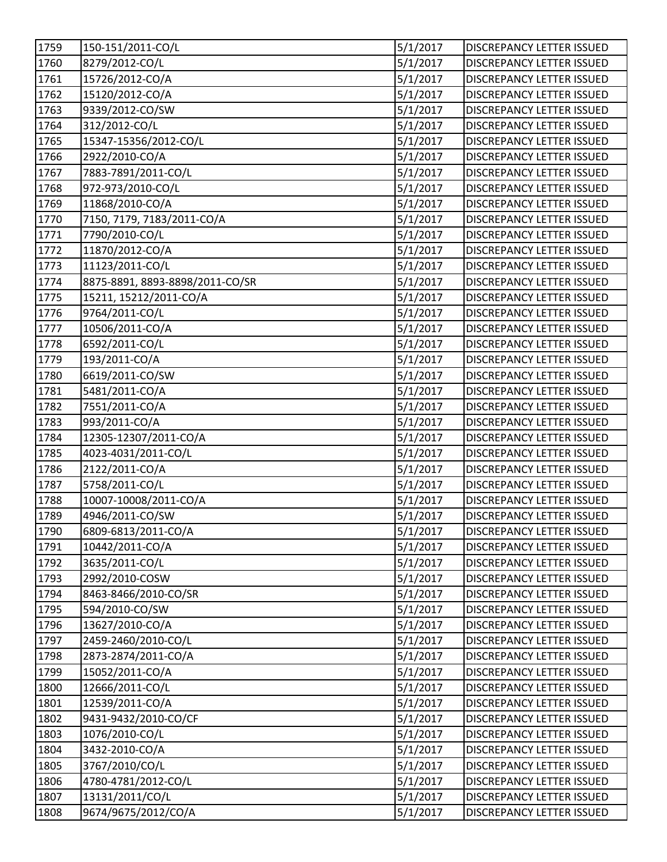| 1759 | 150-151/2011-CO/L               | 5/1/2017 | DISCREPANCY LETTER ISSUED        |
|------|---------------------------------|----------|----------------------------------|
| 1760 | 8279/2012-CO/L                  | 5/1/2017 | <b>DISCREPANCY LETTER ISSUED</b> |
| 1761 | 15726/2012-CO/A                 | 5/1/2017 | DISCREPANCY LETTER ISSUED        |
| 1762 | 15120/2012-CO/A                 | 5/1/2017 | DISCREPANCY LETTER ISSUED        |
| 1763 | 9339/2012-CO/SW                 | 5/1/2017 | <b>DISCREPANCY LETTER ISSUED</b> |
| 1764 | 312/2012-CO/L                   | 5/1/2017 | <b>DISCREPANCY LETTER ISSUED</b> |
| 1765 | 15347-15356/2012-CO/L           | 5/1/2017 | <b>DISCREPANCY LETTER ISSUED</b> |
| 1766 | 2922/2010-CO/A                  | 5/1/2017 | DISCREPANCY LETTER ISSUED        |
| 1767 | 7883-7891/2011-CO/L             | 5/1/2017 | <b>DISCREPANCY LETTER ISSUED</b> |
| 1768 | 972-973/2010-CO/L               | 5/1/2017 | <b>DISCREPANCY LETTER ISSUED</b> |
| 1769 | 11868/2010-CO/A                 | 5/1/2017 | <b>DISCREPANCY LETTER ISSUED</b> |
| 1770 | 7150, 7179, 7183/2011-CO/A      | 5/1/2017 | DISCREPANCY LETTER ISSUED        |
| 1771 | 7790/2010-CO/L                  | 5/1/2017 | DISCREPANCY LETTER ISSUED        |
| 1772 | 11870/2012-CO/A                 | 5/1/2017 | DISCREPANCY LETTER ISSUED        |
| 1773 | 11123/2011-CO/L                 | 5/1/2017 | DISCREPANCY LETTER ISSUED        |
| 1774 | 8875-8891, 8893-8898/2011-CO/SR | 5/1/2017 | <b>DISCREPANCY LETTER ISSUED</b> |
| 1775 | 15211, 15212/2011-CO/A          | 5/1/2017 | DISCREPANCY LETTER ISSUED        |
| 1776 | 9764/2011-CO/L                  | 5/1/2017 | <b>DISCREPANCY LETTER ISSUED</b> |
| 1777 | 10506/2011-CO/A                 | 5/1/2017 | DISCREPANCY LETTER ISSUED        |
| 1778 | 6592/2011-CO/L                  | 5/1/2017 | <b>DISCREPANCY LETTER ISSUED</b> |
| 1779 | 193/2011-CO/A                   | 5/1/2017 | DISCREPANCY LETTER ISSUED        |
| 1780 | 6619/2011-CO/SW                 | 5/1/2017 | <b>DISCREPANCY LETTER ISSUED</b> |
| 1781 | 5481/2011-CO/A                  | 5/1/2017 | DISCREPANCY LETTER ISSUED        |
| 1782 | 7551/2011-CO/A                  | 5/1/2017 | DISCREPANCY LETTER ISSUED        |
| 1783 | 993/2011-CO/A                   | 5/1/2017 | DISCREPANCY LETTER ISSUED        |
| 1784 | 12305-12307/2011-CO/A           | 5/1/2017 | <b>DISCREPANCY LETTER ISSUED</b> |
| 1785 | 4023-4031/2011-CO/L             | 5/1/2017 | <b>DISCREPANCY LETTER ISSUED</b> |
| 1786 | 2122/2011-CO/A                  | 5/1/2017 | <b>DISCREPANCY LETTER ISSUED</b> |
| 1787 | 5758/2011-CO/L                  | 5/1/2017 | <b>DISCREPANCY LETTER ISSUED</b> |
| 1788 | 10007-10008/2011-CO/A           | 5/1/2017 | DISCREPANCY LETTER ISSUED        |
| 1789 | 4946/2011-CO/SW                 | 5/1/2017 | <b>DISCREPANCY LETTER ISSUED</b> |
| 1790 | 6809-6813/2011-CO/A             | 5/1/2017 | DISCREPANCY LETTER ISSUED        |
| 1791 | 10442/2011-CO/A                 | 5/1/2017 | <b>DISCREPANCY LETTER ISSUED</b> |
| 1792 | 3635/2011-CO/L                  | 5/1/2017 | <b>DISCREPANCY LETTER ISSUED</b> |
| 1793 | 2992/2010-COSW                  | 5/1/2017 | <b>DISCREPANCY LETTER ISSUED</b> |
| 1794 | 8463-8466/2010-CO/SR            | 5/1/2017 | DISCREPANCY LETTER ISSUED        |
| 1795 | 594/2010-CO/SW                  | 5/1/2017 | DISCREPANCY LETTER ISSUED        |
| 1796 | 13627/2010-CO/A                 | 5/1/2017 | <b>DISCREPANCY LETTER ISSUED</b> |
| 1797 | 2459-2460/2010-CO/L             | 5/1/2017 | <b>DISCREPANCY LETTER ISSUED</b> |
| 1798 | 2873-2874/2011-CO/A             | 5/1/2017 | <b>DISCREPANCY LETTER ISSUED</b> |
| 1799 | 15052/2011-CO/A                 | 5/1/2017 | DISCREPANCY LETTER ISSUED        |
| 1800 | 12666/2011-CO/L                 | 5/1/2017 | DISCREPANCY LETTER ISSUED        |
| 1801 | 12539/2011-CO/A                 | 5/1/2017 | <b>DISCREPANCY LETTER ISSUED</b> |
| 1802 | 9431-9432/2010-CO/CF            | 5/1/2017 | <b>DISCREPANCY LETTER ISSUED</b> |
| 1803 | 1076/2010-CO/L                  | 5/1/2017 | <b>DISCREPANCY LETTER ISSUED</b> |
| 1804 | 3432-2010-CO/A                  | 5/1/2017 | DISCREPANCY LETTER ISSUED        |
| 1805 | 3767/2010/CO/L                  | 5/1/2017 | <b>DISCREPANCY LETTER ISSUED</b> |
| 1806 | 4780-4781/2012-CO/L             | 5/1/2017 | <b>DISCREPANCY LETTER ISSUED</b> |
| 1807 | 13131/2011/CO/L                 | 5/1/2017 | <b>DISCREPANCY LETTER ISSUED</b> |
| 1808 | 9674/9675/2012/CO/A             | 5/1/2017 | DISCREPANCY LETTER ISSUED        |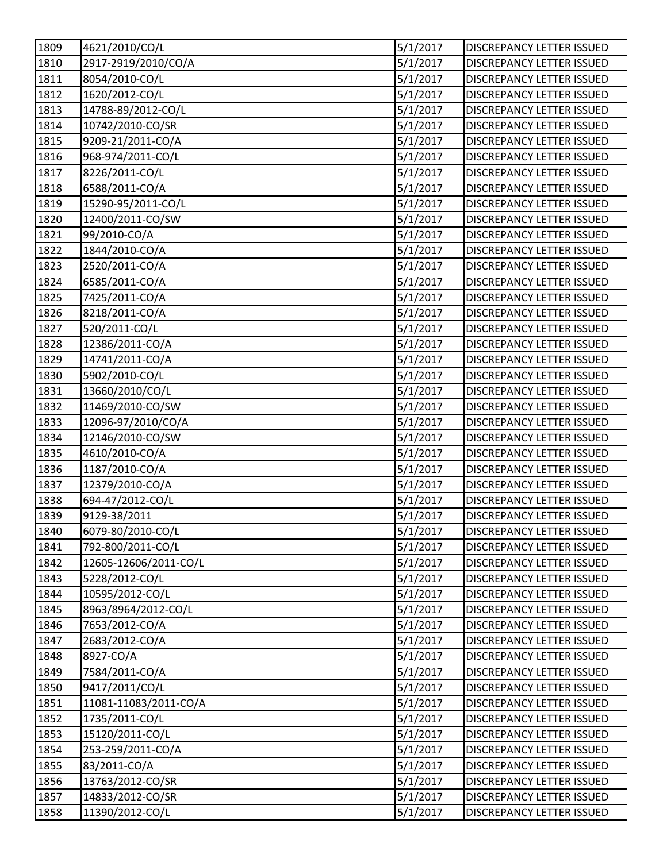| 1809              | 4621/2010/CO/L        | 5/1/2017 | DISCREPANCY LETTER ISSUED        |
|-------------------|-----------------------|----------|----------------------------------|
| 1810              | 2917-2919/2010/CO/A   | 5/1/2017 | DISCREPANCY LETTER ISSUED        |
| 1811              | 8054/2010-CO/L        | 5/1/2017 | <b>DISCREPANCY LETTER ISSUED</b> |
| 1812              | 1620/2012-CO/L        | 5/1/2017 | DISCREPANCY LETTER ISSUED        |
| 1813              | 14788-89/2012-CO/L    | 5/1/2017 | DISCREPANCY LETTER ISSUED        |
| 1814              | 10742/2010-CO/SR      | 5/1/2017 | DISCREPANCY LETTER ISSUED        |
| 1815              | 9209-21/2011-CO/A     | 5/1/2017 | <b>DISCREPANCY LETTER ISSUED</b> |
| 1816              | 968-974/2011-CO/L     | 5/1/2017 | DISCREPANCY LETTER ISSUED        |
| 1817              | 8226/2011-CO/L        | 5/1/2017 | DISCREPANCY LETTER ISSUED        |
| 1818              | 6588/2011-CO/A        | 5/1/2017 | <b>DISCREPANCY LETTER ISSUED</b> |
| 1819              | 15290-95/2011-CO/L    | 5/1/2017 | DISCREPANCY LETTER ISSUED        |
| 1820              | 12400/2011-CO/SW      | 5/1/2017 | DISCREPANCY LETTER ISSUED        |
| 1821              | 99/2010-CO/A          | 5/1/2017 | DISCREPANCY LETTER ISSUED        |
| 1822              | 1844/2010-CO/A        | 5/1/2017 | DISCREPANCY LETTER ISSUED        |
| 1823              | 2520/2011-CO/A        | 5/1/2017 | DISCREPANCY LETTER ISSUED        |
| 1824              | 6585/2011-CO/A        | 5/1/2017 | <b>DISCREPANCY LETTER ISSUED</b> |
| 1825              | 7425/2011-CO/A        | 5/1/2017 | DISCREPANCY LETTER ISSUED        |
| 1826              | 8218/2011-CO/A        | 5/1/2017 | <b>DISCREPANCY LETTER ISSUED</b> |
| 1827              | 520/2011-CO/L         | 5/1/2017 | <b>DISCREPANCY LETTER ISSUED</b> |
| 1828              | 12386/2011-CO/A       | 5/1/2017 | <b>DISCREPANCY LETTER ISSUED</b> |
| 1829              | 14741/2011-CO/A       | 5/1/2017 | <b>DISCREPANCY LETTER ISSUED</b> |
| 1830              | 5902/2010-CO/L        | 5/1/2017 | DISCREPANCY LETTER ISSUED        |
| 1831              | 13660/2010/CO/L       | 5/1/2017 | <b>DISCREPANCY LETTER ISSUED</b> |
| $\overline{1832}$ | 11469/2010-CO/SW      | 5/1/2017 | DISCREPANCY LETTER ISSUED        |
| 1833              | 12096-97/2010/CO/A    | 5/1/2017 | DISCREPANCY LETTER ISSUED        |
| 1834              | 12146/2010-CO/SW      | 5/1/2017 | DISCREPANCY LETTER ISSUED        |
| 1835              | 4610/2010-CO/A        | 5/1/2017 | DISCREPANCY LETTER ISSUED        |
| 1836              | 1187/2010-CO/A        | 5/1/2017 | <b>DISCREPANCY LETTER ISSUED</b> |
| 1837              | 12379/2010-CO/A       | 5/1/2017 | DISCREPANCY LETTER ISSUED        |
| 1838              | 694-47/2012-CO/L      | 5/1/2017 | <b>DISCREPANCY LETTER ISSUED</b> |
| 1839              | 9129-38/2011          | 5/1/2017 | <b>DISCREPANCY LETTER ISSUED</b> |
| 1840              | 6079-80/2010-CO/L     | 5/1/2017 | DISCREPANCY LETTER ISSUED        |
| 1841              | 792-800/2011-CO/L     | 5/1/2017 | <b>DISCREPANCY LETTER ISSUED</b> |
| 1842              | 12605-12606/2011-CO/L | 5/1/2017 | DISCREPANCY LETTER ISSUED        |
| 1843              | 5228/2012-CO/L        | 5/1/2017 | DISCREPANCY LETTER ISSUED        |
| 1844              | 10595/2012-CO/L       | 5/1/2017 | DISCREPANCY LETTER ISSUED        |
| 1845              | 8963/8964/2012-CO/L   | 5/1/2017 | DISCREPANCY LETTER ISSUED        |
| 1846              | 7653/2012-CO/A        | 5/1/2017 | DISCREPANCY LETTER ISSUED        |
| 1847              | 2683/2012-CO/A        | 5/1/2017 | DISCREPANCY LETTER ISSUED        |
| 1848              | 8927-CO/A             | 5/1/2017 | DISCREPANCY LETTER ISSUED        |
| 1849              | 7584/2011-CO/A        | 5/1/2017 | DISCREPANCY LETTER ISSUED        |
| 1850              | 9417/2011/CO/L        | 5/1/2017 | DISCREPANCY LETTER ISSUED        |
| 1851              | 11081-11083/2011-CO/A | 5/1/2017 | <b>DISCREPANCY LETTER ISSUED</b> |
| 1852              | 1735/2011-CO/L        | 5/1/2017 | <b>DISCREPANCY LETTER ISSUED</b> |
| 1853              | 15120/2011-CO/L       | 5/1/2017 | DISCREPANCY LETTER ISSUED        |
| 1854              | 253-259/2011-CO/A     | 5/1/2017 | DISCREPANCY LETTER ISSUED        |
| 1855              | 83/2011-CO/A          | 5/1/2017 | DISCREPANCY LETTER ISSUED        |
| 1856              | 13763/2012-CO/SR      | 5/1/2017 | <b>DISCREPANCY LETTER ISSUED</b> |
| 1857              | 14833/2012-CO/SR      | 5/1/2017 | <b>DISCREPANCY LETTER ISSUED</b> |
| 1858              | 11390/2012-CO/L       | 5/1/2017 | DISCREPANCY LETTER ISSUED        |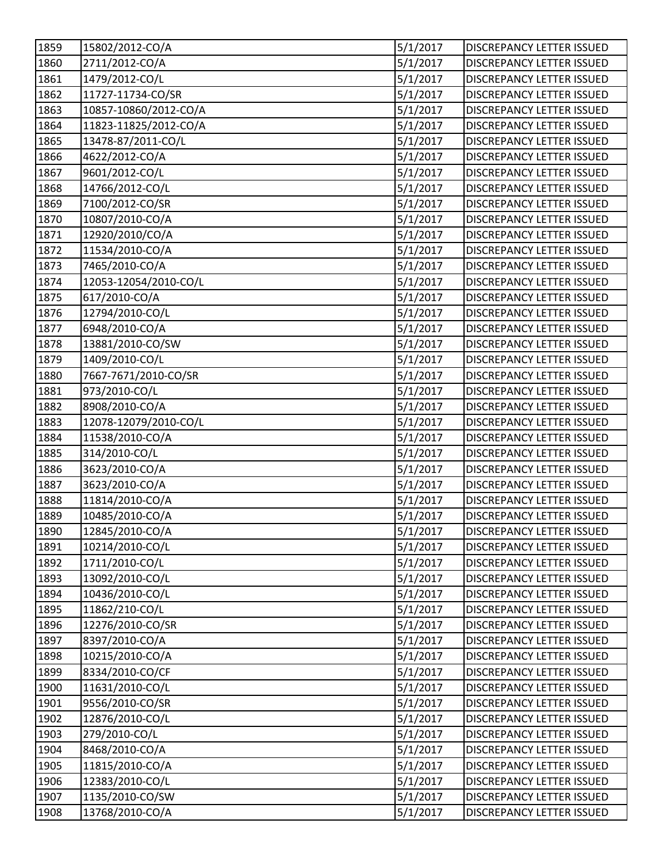| 1859 | 15802/2012-CO/A       | 5/1/2017 | <b>DISCREPANCY LETTER ISSUED</b> |
|------|-----------------------|----------|----------------------------------|
| 1860 | 2711/2012-CO/A        | 5/1/2017 | <b>DISCREPANCY LETTER ISSUED</b> |
| 1861 | 1479/2012-CO/L        | 5/1/2017 | DISCREPANCY LETTER ISSUED        |
| 1862 | 11727-11734-CO/SR     | 5/1/2017 | DISCREPANCY LETTER ISSUED        |
| 1863 | 10857-10860/2012-CO/A | 5/1/2017 | DISCREPANCY LETTER ISSUED        |
| 1864 | 11823-11825/2012-CO/A | 5/1/2017 | <b>DISCREPANCY LETTER ISSUED</b> |
| 1865 | 13478-87/2011-CO/L    | 5/1/2017 | <b>DISCREPANCY LETTER ISSUED</b> |
| 1866 | 4622/2012-CO/A        | 5/1/2017 | <b>DISCREPANCY LETTER ISSUED</b> |
| 1867 | 9601/2012-CO/L        | 5/1/2017 | DISCREPANCY LETTER ISSUED        |
| 1868 | 14766/2012-CO/L       | 5/1/2017 | <b>DISCREPANCY LETTER ISSUED</b> |
| 1869 | 7100/2012-CO/SR       | 5/1/2017 | <b>DISCREPANCY LETTER ISSUED</b> |
| 1870 | 10807/2010-CO/A       | 5/1/2017 | DISCREPANCY LETTER ISSUED        |
| 1871 | 12920/2010/CO/A       | 5/1/2017 | <b>DISCREPANCY LETTER ISSUED</b> |
| 1872 | 11534/2010-CO/A       | 5/1/2017 | DISCREPANCY LETTER ISSUED        |
| 1873 | 7465/2010-CO/A        | 5/1/2017 | DISCREPANCY LETTER ISSUED        |
| 1874 | 12053-12054/2010-CO/L | 5/1/2017 | <b>DISCREPANCY LETTER ISSUED</b> |
| 1875 | 617/2010-CO/A         | 5/1/2017 | <b>DISCREPANCY LETTER ISSUED</b> |
| 1876 | 12794/2010-CO/L       | 5/1/2017 | DISCREPANCY LETTER ISSUED        |
| 1877 | 6948/2010-CO/A        | 5/1/2017 | DISCREPANCY LETTER ISSUED        |
| 1878 | 13881/2010-CO/SW      | 5/1/2017 | <b>DISCREPANCY LETTER ISSUED</b> |
| 1879 | 1409/2010-CO/L        | 5/1/2017 | DISCREPANCY LETTER ISSUED        |
| 1880 | 7667-7671/2010-CO/SR  | 5/1/2017 | <b>DISCREPANCY LETTER ISSUED</b> |
| 1881 | 973/2010-CO/L         | 5/1/2017 | DISCREPANCY LETTER ISSUED        |
| 1882 | 8908/2010-CO/A        | 5/1/2017 | DISCREPANCY LETTER ISSUED        |
| 1883 | 12078-12079/2010-CO/L | 5/1/2017 | <b>DISCREPANCY LETTER ISSUED</b> |
| 1884 | 11538/2010-CO/A       | 5/1/2017 | <b>DISCREPANCY LETTER ISSUED</b> |
| 1885 | 314/2010-CO/L         | 5/1/2017 | <b>DISCREPANCY LETTER ISSUED</b> |
| 1886 | 3623/2010-CO/A        | 5/1/2017 | DISCREPANCY LETTER ISSUED        |
| 1887 | 3623/2010-CO/A        | 5/1/2017 | <b>DISCREPANCY LETTER ISSUED</b> |
| 1888 | 11814/2010-CO/A       | 5/1/2017 | DISCREPANCY LETTER ISSUED        |
| 1889 | 10485/2010-CO/A       | 5/1/2017 | <b>DISCREPANCY LETTER ISSUED</b> |
| 1890 | 12845/2010-CO/A       | 5/1/2017 | DISCREPANCY LETTER ISSUED        |
| 1891 | 10214/2010-CO/L       | 5/1/2017 | <b>DISCREPANCY LETTER ISSUED</b> |
| 1892 | 1711/2010-CO/L        | 5/1/2017 | <b>DISCREPANCY LETTER ISSUED</b> |
| 1893 | 13092/2010-CO/L       | 5/1/2017 | DISCREPANCY LETTER ISSUED        |
| 1894 | 10436/2010-CO/L       | 5/1/2017 | DISCREPANCY LETTER ISSUED        |
| 1895 | 11862/210-CO/L        | 5/1/2017 | DISCREPANCY LETTER ISSUED        |
| 1896 | 12276/2010-CO/SR      | 5/1/2017 | <b>DISCREPANCY LETTER ISSUED</b> |
| 1897 | 8397/2010-CO/A        | 5/1/2017 | <b>DISCREPANCY LETTER ISSUED</b> |
| 1898 | 10215/2010-CO/A       | 5/1/2017 | <b>DISCREPANCY LETTER ISSUED</b> |
| 1899 | 8334/2010-CO/CF       | 5/1/2017 | DISCREPANCY LETTER ISSUED        |
| 1900 | 11631/2010-CO/L       | 5/1/2017 | DISCREPANCY LETTER ISSUED        |
| 1901 | 9556/2010-CO/SR       | 5/1/2017 | <b>DISCREPANCY LETTER ISSUED</b> |
| 1902 | 12876/2010-CO/L       | 5/1/2017 | <b>DISCREPANCY LETTER ISSUED</b> |
| 1903 | 279/2010-CO/L         | 5/1/2017 | <b>DISCREPANCY LETTER ISSUED</b> |
| 1904 | 8468/2010-CO/A        | 5/1/2017 | DISCREPANCY LETTER ISSUED        |
| 1905 | 11815/2010-CO/A       | 5/1/2017 | <b>DISCREPANCY LETTER ISSUED</b> |
| 1906 | 12383/2010-CO/L       | 5/1/2017 | <b>DISCREPANCY LETTER ISSUED</b> |
| 1907 | 1135/2010-CO/SW       | 5/1/2017 | <b>DISCREPANCY LETTER ISSUED</b> |
| 1908 | 13768/2010-CO/A       | 5/1/2017 | DISCREPANCY LETTER ISSUED        |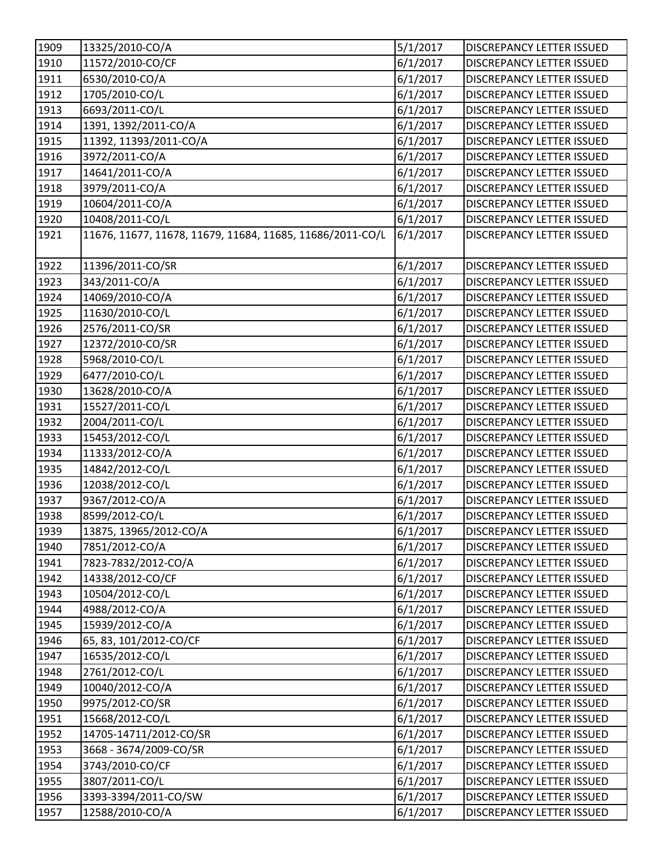| 1909         | 13325/2010-CO/A                                           | 5/1/2017             | <b>DISCREPANCY LETTER ISSUED</b>                              |
|--------------|-----------------------------------------------------------|----------------------|---------------------------------------------------------------|
| 1910         | 11572/2010-CO/CF                                          | 6/1/2017             | <b>DISCREPANCY LETTER ISSUED</b>                              |
| 1911         | 6530/2010-CO/A                                            | 6/1/2017             | DISCREPANCY LETTER ISSUED                                     |
| 1912         | 1705/2010-CO/L                                            | 6/1/2017             | DISCREPANCY LETTER ISSUED                                     |
| 1913         | 6693/2011-CO/L                                            | 6/1/2017             | <b>DISCREPANCY LETTER ISSUED</b>                              |
| 1914         | 1391, 1392/2011-CO/A                                      | 6/1/2017             | <b>DISCREPANCY LETTER ISSUED</b>                              |
| 1915         | 11392, 11393/2011-CO/A                                    | 6/1/2017             | DISCREPANCY LETTER ISSUED                                     |
| 1916         | 3972/2011-CO/A                                            | 6/1/2017             | <b>DISCREPANCY LETTER ISSUED</b>                              |
| 1917         | 14641/2011-CO/A                                           | 6/1/2017             | DISCREPANCY LETTER ISSUED                                     |
| 1918         | 3979/2011-CO/A                                            | 6/1/2017             | <b>DISCREPANCY LETTER ISSUED</b>                              |
| 1919         | 10604/2011-CO/A                                           | 6/1/2017             | <b>DISCREPANCY LETTER ISSUED</b>                              |
| 1920         | 10408/2011-CO/L                                           | 6/1/2017             | DISCREPANCY LETTER ISSUED                                     |
| 1921         | 11676, 11677, 11678, 11679, 11684, 11685, 11686/2011-CO/L | 6/1/2017             | DISCREPANCY LETTER ISSUED                                     |
|              |                                                           |                      |                                                               |
| 1922<br>1923 | 11396/2011-CO/SR<br>343/2011-CO/A                         | 6/1/2017<br>6/1/2017 | DISCREPANCY LETTER ISSUED<br><b>DISCREPANCY LETTER ISSUED</b> |
|              |                                                           |                      |                                                               |
| 1924         | 14069/2010-CO/A                                           | 6/1/2017             | DISCREPANCY LETTER ISSUED                                     |
| 1925         | 11630/2010-CO/L                                           | 6/1/2017             | DISCREPANCY LETTER ISSUED                                     |
| 1926         | 2576/2011-CO/SR                                           | 6/1/2017             | DISCREPANCY LETTER ISSUED                                     |
| 1927         | 12372/2010-CO/SR                                          | 6/1/2017             | <b>DISCREPANCY LETTER ISSUED</b>                              |
| 1928         | 5968/2010-CO/L                                            | 6/1/2017             | DISCREPANCY LETTER ISSUED                                     |
| 1929         | 6477/2010-CO/L                                            | 6/1/2017             | DISCREPANCY LETTER ISSUED                                     |
| 1930         | 13628/2010-CO/A                                           | 6/1/2017             | DISCREPANCY LETTER ISSUED                                     |
| 1931         | 15527/2011-CO/L                                           | 6/1/2017             | DISCREPANCY LETTER ISSUED                                     |
| 1932         | 2004/2011-CO/L                                            | 6/1/2017             | DISCREPANCY LETTER ISSUED                                     |
| 1933         | 15453/2012-CO/L                                           | 6/1/2017             | <b>DISCREPANCY LETTER ISSUED</b>                              |
| 1934         | 11333/2012-CO/A                                           | 6/1/2017             | <b>DISCREPANCY LETTER ISSUED</b>                              |
| 1935         | 14842/2012-CO/L                                           | 6/1/2017             | <b>DISCREPANCY LETTER ISSUED</b>                              |
| 1936         | 12038/2012-CO/L                                           | 6/1/2017             | DISCREPANCY LETTER ISSUED                                     |
| 1937         | 9367/2012-CO/A                                            | 6/1/2017             | DISCREPANCY LETTER ISSUED                                     |
| 1938         | 8599/2012-CO/L                                            | 6/1/2017             | <b>DISCREPANCY LETTER ISSUED</b>                              |
| 1939         | 13875, 13965/2012-CO/A                                    | 6/1/2017             | DISCREPANCY LETTER ISSUED                                     |
| 1940         | 7851/2012-CO/A                                            | 6/1/2017             | <b>DISCREPANCY LETTER ISSUED</b>                              |
| 1941         | 7823-7832/2012-CO/A                                       | 6/1/2017             | <b>DISCREPANCY LETTER ISSUED</b>                              |
| 1942         | 14338/2012-CO/CF                                          | 6/1/2017             | <b>DISCREPANCY LETTER ISSUED</b>                              |
| 1943         | 10504/2012-CO/L                                           | 6/1/2017             | DISCREPANCY LETTER ISSUED                                     |
| 1944         | 4988/2012-CO/A                                            | 6/1/2017             | DISCREPANCY LETTER ISSUED                                     |
| 1945         | 15939/2012-CO/A                                           | 6/1/2017             | <b>DISCREPANCY LETTER ISSUED</b>                              |
| 1946         | 65, 83, 101/2012-CO/CF                                    | 6/1/2017             | <b>DISCREPANCY LETTER ISSUED</b>                              |
| 1947         | 16535/2012-CO/L                                           | 6/1/2017             | <b>DISCREPANCY LETTER ISSUED</b>                              |
| 1948         | 2761/2012-CO/L                                            | 6/1/2017             | DISCREPANCY LETTER ISSUED                                     |
| 1949         | 10040/2012-CO/A                                           | 6/1/2017             | DISCREPANCY LETTER ISSUED                                     |
| 1950         | 9975/2012-CO/SR                                           | 6/1/2017             | <b>DISCREPANCY LETTER ISSUED</b>                              |
| 1951         | 15668/2012-CO/L                                           | 6/1/2017             | <b>DISCREPANCY LETTER ISSUED</b>                              |
| 1952         | 14705-14711/2012-CO/SR                                    | 6/1/2017             | <b>DISCREPANCY LETTER ISSUED</b>                              |
| 1953         | 3668 - 3674/2009-CO/SR                                    | 6/1/2017             | DISCREPANCY LETTER ISSUED                                     |
| 1954         | 3743/2010-CO/CF                                           | 6/1/2017             | <b>DISCREPANCY LETTER ISSUED</b>                              |
| 1955         | 3807/2011-CO/L                                            | 6/1/2017             | <b>DISCREPANCY LETTER ISSUED</b>                              |
| 1956         | 3393-3394/2011-CO/SW                                      | 6/1/2017             | <b>DISCREPANCY LETTER ISSUED</b>                              |
| 1957         | 12588/2010-CO/A                                           | 6/1/2017             | DISCREPANCY LETTER ISSUED                                     |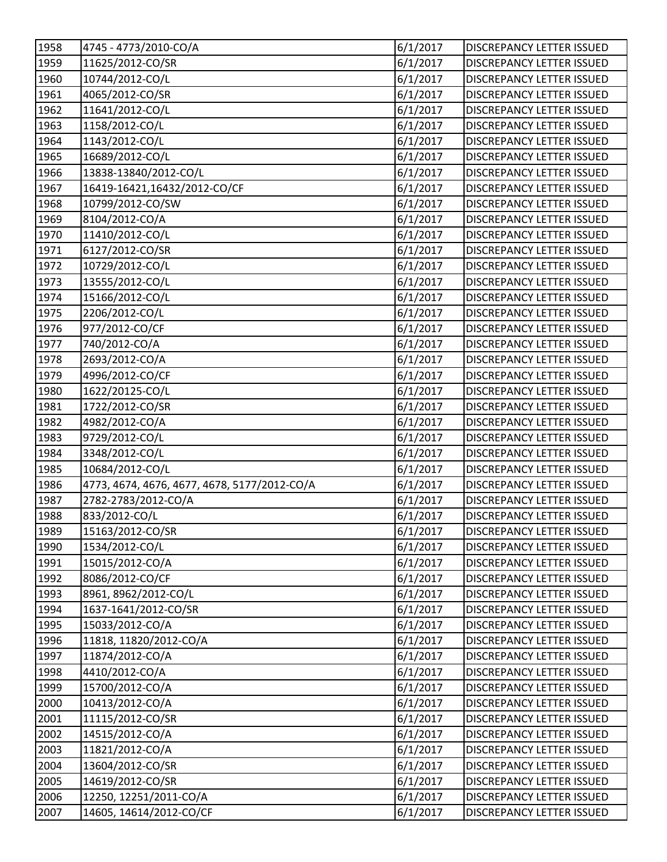| 1958 | 4745 - 4773/2010-CO/A                        | 6/1/2017              | DISCREPANCY LETTER ISSUED        |
|------|----------------------------------------------|-----------------------|----------------------------------|
| 1959 | 11625/2012-CO/SR                             | 6/1/2017              | <b>DISCREPANCY LETTER ISSUED</b> |
| 1960 | 10744/2012-CO/L                              | 6/1/2017              | DISCREPANCY LETTER ISSUED        |
| 1961 | 4065/2012-CO/SR                              | 6/1/2017              | DISCREPANCY LETTER ISSUED        |
| 1962 | 11641/2012-CO/L                              | 6/1/2017              | <b>DISCREPANCY LETTER ISSUED</b> |
| 1963 | 1158/2012-CO/L                               | 6/1/2017              | <b>DISCREPANCY LETTER ISSUED</b> |
| 1964 | 1143/2012-CO/L                               | 6/1/2017              | <b>DISCREPANCY LETTER ISSUED</b> |
| 1965 | 16689/2012-CO/L                              | 6/1/2017              | <b>DISCREPANCY LETTER ISSUED</b> |
| 1966 | 13838-13840/2012-CO/L                        | 6/1/2017              | DISCREPANCY LETTER ISSUED        |
| 1967 | 16419-16421,16432/2012-CO/CF                 | 6/1/2017              | <b>DISCREPANCY LETTER ISSUED</b> |
| 1968 | 10799/2012-CO/SW                             | 6/1/2017              | <b>DISCREPANCY LETTER ISSUED</b> |
| 1969 | 8104/2012-CO/A                               | 6/1/2017              | DISCREPANCY LETTER ISSUED        |
| 1970 | 11410/2012-CO/L                              | 6/1/2017              | DISCREPANCY LETTER ISSUED        |
| 1971 | 6127/2012-CO/SR                              | 6/1/2017              | <b>DISCREPANCY LETTER ISSUED</b> |
| 1972 | 10729/2012-CO/L                              | 6/1/2017              | <b>DISCREPANCY LETTER ISSUED</b> |
| 1973 | 13555/2012-CO/L                              | 6/1/2017              | <b>DISCREPANCY LETTER ISSUED</b> |
| 1974 | 15166/2012-CO/L                              | 6/1/2017              | <b>DISCREPANCY LETTER ISSUED</b> |
| 1975 | 2206/2012-CO/L                               | 6/1/2017              | <b>DISCREPANCY LETTER ISSUED</b> |
| 1976 | 977/2012-CO/CF                               | 6/1/2017              | DISCREPANCY LETTER ISSUED        |
| 1977 | 740/2012-CO/A                                | 6/1/2017              | <b>DISCREPANCY LETTER ISSUED</b> |
| 1978 | 2693/2012-CO/A                               | 6/1/2017              | DISCREPANCY LETTER ISSUED        |
| 1979 | 4996/2012-CO/CF                              | 6/1/2017              | <b>DISCREPANCY LETTER ISSUED</b> |
| 1980 | 1622/20125-CO/L                              | 6/1/2017              | <b>DISCREPANCY LETTER ISSUED</b> |
| 1981 | 1722/2012-CO/SR                              | 6/1/2017              | DISCREPANCY LETTER ISSUED        |
| 1982 | 4982/2012-CO/A                               | 6/1/2017              | DISCREPANCY LETTER ISSUED        |
| 1983 | 9729/2012-CO/L                               | 6/1/2017              | <b>DISCREPANCY LETTER ISSUED</b> |
| 1984 | 3348/2012-CO/L                               | 6/1/2017              | <b>DISCREPANCY LETTER ISSUED</b> |
| 1985 | 10684/2012-CO/L                              | 6/1/2017              | <b>DISCREPANCY LETTER ISSUED</b> |
| 1986 | 4773, 4674, 4676, 4677, 4678, 5177/2012-CO/A | 6/1/2017              | <b>DISCREPANCY LETTER ISSUED</b> |
| 1987 | 2782-2783/2012-CO/A                          | 6/1/2017              | DISCREPANCY LETTER ISSUED        |
| 1988 | 833/2012-CO/L                                | 6/1/2017              | <b>DISCREPANCY LETTER ISSUED</b> |
| 1989 | 15163/2012-CO/SR                             | $\frac{1}{6}$ /1/2017 | DISCREPANCY LETTER ISSUED        |
| 1990 | 1534/2012-CO/L                               | 6/1/2017              | <b>DISCREPANCY LETTER ISSUED</b> |
| 1991 | 15015/2012-CO/A                              | 6/1/2017              | DISCREPANCY LETTER ISSUED        |
| 1992 | 8086/2012-CO/CF                              | 6/1/2017              | <b>DISCREPANCY LETTER ISSUED</b> |
| 1993 | 8961, 8962/2012-CO/L                         | 6/1/2017              | DISCREPANCY LETTER ISSUED        |
| 1994 | 1637-1641/2012-CO/SR                         | 6/1/2017              | DISCREPANCY LETTER ISSUED        |
| 1995 | 15033/2012-CO/A                              | 6/1/2017              | <b>DISCREPANCY LETTER ISSUED</b> |
| 1996 | 11818, 11820/2012-CO/A                       | 6/1/2017              | <b>DISCREPANCY LETTER ISSUED</b> |
| 1997 | 11874/2012-CO/A                              | 6/1/2017              | <b>DISCREPANCY LETTER ISSUED</b> |
| 1998 | 4410/2012-CO/A                               | 6/1/2017              | DISCREPANCY LETTER ISSUED        |
| 1999 | 15700/2012-CO/A                              | 6/1/2017              | DISCREPANCY LETTER ISSUED        |
| 2000 | 10413/2012-CO/A                              | 6/1/2017              | <b>DISCREPANCY LETTER ISSUED</b> |
| 2001 | 11115/2012-CO/SR                             | 6/1/2017              | <b>DISCREPANCY LETTER ISSUED</b> |
| 2002 | 14515/2012-CO/A                              | 6/1/2017              | <b>DISCREPANCY LETTER ISSUED</b> |
| 2003 | 11821/2012-CO/A                              | 6/1/2017              | DISCREPANCY LETTER ISSUED        |
| 2004 | 13604/2012-CO/SR                             | 6/1/2017              | <b>DISCREPANCY LETTER ISSUED</b> |
| 2005 | 14619/2012-CO/SR                             | 6/1/2017              | <b>DISCREPANCY LETTER ISSUED</b> |
| 2006 | 12250, 12251/2011-CO/A                       | 6/1/2017              | <b>DISCREPANCY LETTER ISSUED</b> |
| 2007 | 14605, 14614/2012-CO/CF                      | 6/1/2017              | DISCREPANCY LETTER ISSUED        |